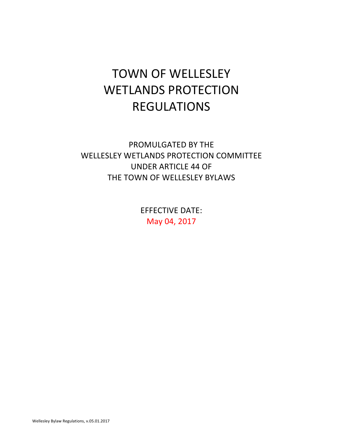# TOWN OF WELLESLEY WETLANDS PROTECTION REGULATIONS

PROMULGATED BY THE WELLESLEY WETLANDS PROTECTION COMMITTEE UNDER ARTICLE 44 OF THE TOWN OF WELLESLEY BYLAWS

> **EFFECTIVE DATE:** May 04, 2017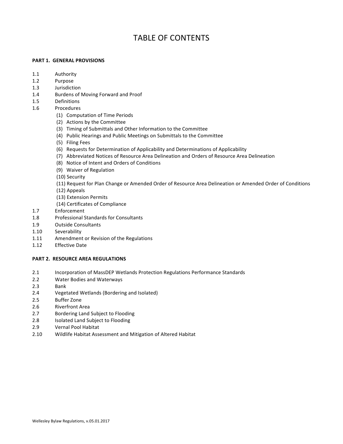# TABLE OF CONTENTS

#### **PART 1. GENERAL PROVISIONS**

- 1.1 Authority
- 1.2 Purpose
- 1.3 **Jurisdiction**
- 1.4 Burdens of Moving Forward and Proof
- 1.5  [Definitions](#page-6-0)
- 1.6  [Procedures](#page-11-0)
	- (1) Computation of Time Periods
	- (2) Actions by the Committee
	- (3) Timing of Submittals and Other Information to the Committee
	- (4) Public Hearings and Public Meetings on Submittals to the Committee
	- (5) Filing Fees
	- [\(6\) Requests for Determination of Applicability and Determinations of Applicability](#page-16-0)
	- (7) Abbreviated Notices of Resource Area Delineation and Orders of Resource Area Delineation
	- (8) Notice of Intent and Orders of Conditions
	- (9) Waiver of Regulation
	- (10) Security
	- (11) Request for Plan Change or Amended Order of Resource Area Delineation or Amended Order of Conditions
	- [\(12\) Appeals](#page-28-0)
	- (13) Extension Permits
	- (14) Certificates of Compliance
- 1.7  [Enforcement](#page-30-0)
- 1.8 **Professional Standards for Consultants**
- 1.9 Outside Consultants
- 1.10 Severability
- 1.11 Amendment or Revision of the Regulations
- 1.12 Effective Date

# **PART 2. RESOURCE AREA REGULATIONS**

- 2.1 Incorporation of MassDEP Wetlands Protection Regulations Performance Standards
- 2.2 Water Bodies and Waterways
- 2.3 **Bank**
- 2.4 Vegetated Wetlands (Bordering and Isolated)
- 2.5 **Buffer Zone**
- 2.6 **Riverfront Area**
- 2.7 Bordering Land Subject to Flooding
- 2.8 **Isolated Land Subject to Flooding**
- 2.9 Vernal Pool Habitat
- 2.10 Wildlife Habitat Assessment and Mitigation of Altered Habitat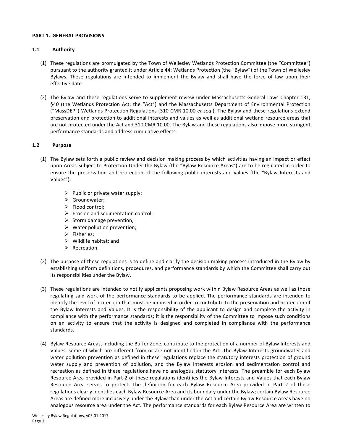#### <span id="page-2-0"></span>**PART 1. GENERAL PROVISIONS**

# **1.1 Authority**

- (1) These regulations are promulgated by the Town of Wellesley Wetlands Protection Committee (the "Committee") pursuant to the authority granted it under Article 44: Wetlands Protection (the "Bylaw") of the Town of Wellesley Bylaws. These regulations are intended to implement the Bylaw and shall have the force of law upon their effective date.
- (2) The Bylaw and these regulations serve to supplement review under Massachusetts General Laws Chapter 131, §40 (the Wetlands Protection Act; the "Act") and the Massachusetts Department of Environmental Protection ("MassDEP") Wetlands Protection Regulations (310 CMR 10.00 et seq.). The Bylaw and these regulations extend preservation and protection to additional interests and values as well as additional wetland resource areas that are not protected under the Act and 310 CMR 10.00. The Bylaw and these regulations also impose more stringent performance standards and address cumulative effects.

# **1.2 Purpose**

- (1) The Bylaw sets forth a public review and decision making process by which activities having an impact or effect upon Areas Subject to Protection Under the Bylaw (the "Bylaw Resource Areas") are to be regulated in order to ensure the preservation and protection of the following public interests and values (the "Bylaw Interests and Values"):
	- $\triangleright$  Public or private water supply;
	- $\triangleright$  Groundwater:
	- $\triangleright$  Flood control;
	- $\triangleright$  Erosion and sedimentation control;
	- $\triangleright$  Storm damage prevention;
	- $\triangleright$  Water pollution prevention;
	- $\triangleright$  Fisheries;
	- $\triangleright$  Wildlife habitat; and
	- $\triangleright$  Recreation.
- (2) The purpose of these regulations is to define and clarify the decision making process introduced in the Bylaw by establishing uniform definitions, procedures, and performance standards by which the Committee shall carry out its responsibilities under the Bylaw.
- (3) These regulations are intended to notify applicants proposing work within Bylaw Resource Areas as well as those regulating said work of the performance standards to be applied. The performance standards are intended to identify the level of protection that must be imposed in order to contribute to the preservation and protection of the Bylaw Interests and Values. It is the responsibility of the applicant to design and complete the activity in compliance with the performance standards; it is the responsibility of the Committee to impose such conditions on an activity to ensure that the activity is designed and completed in compliance with the performance standards.
- (4) Bylaw Resource Areas, including the Buffer Zone, contribute to the protection of a number of Bylaw Interests and Values, some of which are different from or are not identified in the Act. The Bylaw Interests groundwater and water pollution prevention as defined in these regulations replace the statutory interests protection of ground water supply and prevention of pollution, and the Bylaw Interests erosion and sedimentation control and recreation as defined in these regulations have no analogous statutory interests. The preamble for each Bylaw Resource Area provided in Part 2 of these regulations identifies the Bylaw Interests and Values that each Bylaw Resource Area serves to protect. The definition for each Bylaw Resource Area provided in Part 2 of these regulations clearly identifies each Bylaw Resource Area and its boundary under the Bylaw; certain Bylaw Resource Areas are defined more inclusively under the Bylaw than under the Act and certain Bylaw Resource Areas have no analogous resource area under the Act. The performance standards for each Bylaw Resource Area are written to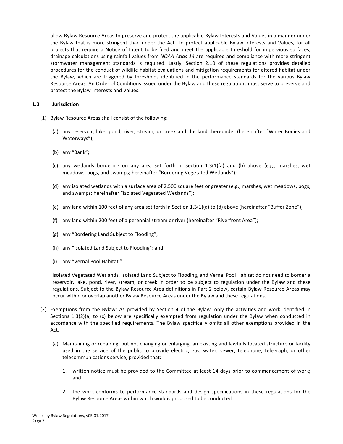<span id="page-3-0"></span>allow Bylaw Resource Areas to preserve and protect the applicable Bylaw Interests and Values in a manner under the Bylaw that is more stringent than under the Act. To protect applicable Bylaw Interests and Values, for all projects that require a Notice of Intent to be filed and meet the applicable threshold for impervious surfaces, drainage calculations using rainfall values from *NOAA Atlas 14* are required and compliance with more stringent stormwater management standards is required. Lastly, Section 2.10 of these regulations provides detailed procedures for the conduct of wildlife habitat evaluations and mitigation requirements for altered habitat under the Bylaw, which are triggered by thresholds identified in the performance standards for the various Bylaw Resource Areas. An Order of Conditions issued under the Bylaw and these regulations must serve to preserve and protect the Bylaw Interests and Values.

#### **1.3 Jurisdiction**

- (1) Bylaw Resource Areas shall consist of the following:
	- (a) any reservoir, lake, pond, river, stream, or creek and the land thereunder (hereinafter "Water Bodies and Waterways");
	- (b) any "Bank";
	- (c) any wetlands bordering on any area set forth in Section  $1.3(1)(a)$  and (b) above (e.g., marshes, wet meadows, bogs, and swamps; hereinafter "Bordering Vegetated Wetlands");
	- (d) any isolated wetlands with a surface area of 2,500 square feet or greater (e.g., marshes, wet meadows, bogs, and swamps; hereinafter "Isolated Vegetated Wetlands");
	- (e) any land within 100 feet of any area set forth in Section 1.3(1)(a) to (d) above (hereinafter "Buffer Zone");
	- (f) any land within 200 feet of a perennial stream or river (hereinafter "Riverfront Area");
	- (g) any "Bordering Land Subject to Flooding";
	- (h) any "Isolated Land Subject to Flooding"; and
	- (i) any "Vernal Pool Habitat."

Isolated Vegetated Wetlands, Isolated Land Subject to Flooding, and Vernal Pool Habitat do not need to border a reservoir, lake, pond, river, stream, or creek in order to be subject to regulation under the Bylaw and these regulations. Subject to the Bylaw Resource Area definitions in Part 2 below, certain Bylaw Resource Areas may occur within or overlap another Bylaw Resource Areas under the Bylaw and these regulations.

- (2) Exemptions from the Bylaw: As provided by Section 4 of the Bylaw, only the activities and work identified in Sections  $1.3(2)(a)$  to (c) below are specifically exempted from regulation under the Bylaw when conducted in accordance with the specified requirements. The Bylaw specifically omits all other exemptions provided in the Act.
	- (a) Maintaining or repairing, but not changing or enlarging, an existing and lawfully located structure or facility used in the service of the public to provide electric, gas, water, sewer, telephone, telegraph, or other telecommunications service, provided that:
		- 1. written notice must be provided to the Committee at least 14 days prior to commencement of work; and
		- 2. the work conforms to performance standards and design specifications in these regulations for the Bylaw Resource Areas within which work is proposed to be conducted.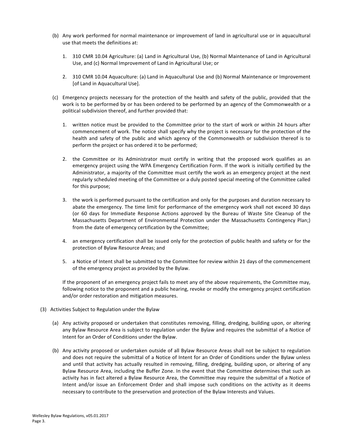- (b) Any work performed for normal maintenance or improvement of land in agricultural use or in aquacultural use that meets the definitions at:
	- 1. 310 CMR 10.04 Agriculture: (a) Land in Agricultural Use, (b) Normal Maintenance of Land in Agricultural Use, and (c) Normal Improvement of Land in Agricultural Use; or
	- 2. 310 CMR 10.04 Aquaculture: (a) Land in Aquacultural Use and (b) Normal Maintenance or Improvement [of Land in Aquacultural Use].
- (c) Emergency projects necessary for the protection of the health and safety of the public, provided that the work is to be performed by or has been ordered to be performed by an agency of the Commonwealth or a political subdivision thereof, and further provided that:
	- 1. written notice must be provided to the Committee prior to the start of work or within 24 hours after commencement of work. The notice shall specify why the project is necessary for the protection of the health and safety of the public and which agency of the Commonwealth or subdivision thereof is to perform the project or has ordered it to be performed;
	- 2. the Committee or its Administrator must certify in writing that the proposed work qualifies as an emergency project using the WPA Emergency Certification Form. If the work is initially certified by the Administrator, a majority of the Committee must certify the work as an emergency project at the next regularly scheduled meeting of the Committee or a duly posted special meeting of the Committee called for this purpose;
	- 3. the work is performed pursuant to the certification and only for the purposes and duration necessary to abate the emergency. The time limit for performance of the emergency work shall not exceed 30 days (or 60 days for Immediate Response Actions approved by the Bureau of Waste Site Cleanup of the Massachusetts Department of Environmental Protection under the Massachusetts Contingency Plan;) from the date of emergency certification by the Committee;
	- 4. an emergency certification shall be issued only for the protection of public health and safety or for the protection of Bylaw Resource Areas; and
	- 5. a Notice of Intent shall be submitted to the Committee for review within 21 days of the commencement of the emergency project as provided by the Bylaw.

If the proponent of an emergency project fails to meet any of the above requirements, the Committee may, following notice to the proponent and a public hearing, revoke or modify the emergency project certification and/or order restoration and mitigation measures.

- (3) Activities Subject to Regulation under the Bylaw
	- (a) Any activity proposed or undertaken that constitutes removing, filling, dredging, building upon, or altering any Bylaw Resource Area is subject to regulation under the Bylaw and requires the submittal of a Notice of Intent for an Order of Conditions under the Bylaw.
	- (b) Any activity proposed or undertaken outside of all Bylaw Resource Areas shall not be subject to regulation and does not require the submittal of a Notice of Intent for an Order of Conditions under the Bylaw unless and until that activity has actually resulted in removing, filling, dredging, building upon, or altering of any Bylaw Resource Area, including the Buffer Zone. In the event that the Committee determines that such an activity has in fact altered a Bylaw Resource Area, the Committee may require the submittal of a Notice of Intent and/or issue an Enforcement Order and shall impose such conditions on the activity as it deems necessary to contribute to the preservation and protection of the Bylaw Interests and Values.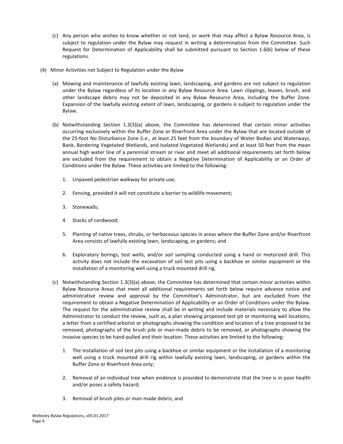- (c) Any person who wishes to know whether or not land, or work that may affect a Bylaw Resource Area, is subject to regulation under the Bylaw may request in writing a determination from the Committee. Such Request for Determination of Applicability shall be submitted pursuant to Section  $1.6(6)$  below of these regulations.
- (4) Minor Activities not Subject to Regulation under the Bylaw
	- (a) Mowing and maintenance of lawfully existing lawn, landscaping, and gardens are not subject to regulation under the Bylaw regardless of its location in any Bylaw Resource Area. Lawn clippings, leaves, brush, and other landscape debris may not be deposited in any Bylaw Resource Area, including the Buffer Zone. Expansion of the lawfully existing extent of lawn, landscaping, or gardens is subject to regulation under the Bylaw.
	- (b) Notwithstanding Section 1.3(3)(a) above, the Committee has determined that certain minor activities occurring exclusively within the Buffer Zone or Riverfront Area under the Bylaw that are located outside of the 25-foot No Disturbance Zone (i.e., at least 25 feet from the boundary of Water Bodies and Waterways, Bank, Bordering Vegetated Wetlands, and Isolated Vegetated Wetlands) and at least 50 feet from the mean annual high water line of a perennial stream or river and meet all additional requirements set forth below are excluded from the requirement to obtain a Negative Determination of Applicability or an Order of Conditions under the Bylaw. These activities are limited to the following:
		- 1. Unpaved pedestrian walkway for private use;
		- 2. Fencing, provided it will not constitute a barrier to wildlife movement;
		- 3. Stonewalls;
		- 4. Stacks of cordwood;
		- 5. Planting of native trees, shrubs, or herbaceous species in areas where the Buffer Zone and/or Riverfront Area consists of lawfully existing lawn, landscaping, or gardens; and
		- 6. Exploratory borings, test wells, and/or soil sampling conducted using a hand or motorized drill. This activity does not include the excavation of soil test pits using a backhoe or similar equipment or the installation of a monitoring well using a truck mounted drill rig.
	- (c) Notwithstanding Section 1.3(3)(a) above, the Committee has determined that certain minor activities within Bylaw Resource Areas that meet all additional requirements set forth below require advance notice and administrative review and approval by the Committee's Administrator, but are excluded from the requirement to obtain a Negative Determination of Applicability or an Order of Conditions under the Bylaw. The request for the administrative review shall be in writing and include materials necessary to allow the Administrator to conduct the review, such as, a plan showing proposed test pit or monitoring well locations, a letter from a certified arborist or photographs showing the condition and location of a tree proposed to be removed, photographs of the brush pile or man-made debris to be removed, or photographs showing the invasive species to be hand-pulled and their location. These activities are limited to the following:
		- 1. The installation of soil test pits using a backhoe or similar equipment or the installation of a monitoring well using a truck mounted drill rig within lawfully existing lawn, landscaping, or gardens within the Buffer Zone or Riverfront Area only;
		- 2. Removal of an individual tree when evidence is provided to demonstrate that the tree is in poor health and/or poses a safety hazard;
		- 3. Removal of brush piles or man-made debris; and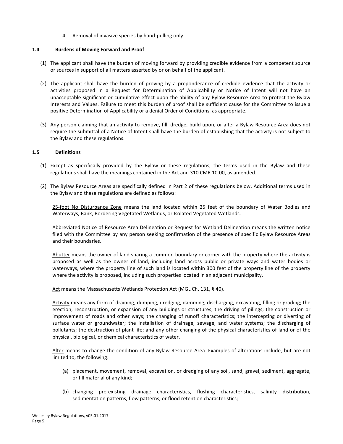4. Removal of invasive species by hand-pulling only.

#### <span id="page-6-0"></span>1.4 **Burdens of Moving Forward and Proof**

- (1) The applicant shall have the burden of moving forward by providing credible evidence from a competent source or sources in support of all matters asserted by or on behalf of the applicant.
- (2) The applicant shall have the burden of proving by a preponderance of credible evidence that the activity or activities proposed in a Request for Determination of Applicability or Notice of Intent will not have an unacceptable significant or cumulative effect upon the ability of any Bylaw Resource Area to protect the Bylaw Interests and Values. Failure to meet this burden of proof shall be sufficient cause for the Committee to issue a positive Determination of Applicability or a denial Order of Conditions, as appropriate.
- (3) Any person claiming that an activity to remove, fill, dredge, build upon, or alter a Bylaw Resource Area does not require the submittal of a Notice of Intent shall have the burden of establishing that the activity is not subject to the Bylaw and these regulations.

#### **1.5 Definitions**

- (1) Except as specifically provided by the Bylaw or these regulations, the terms used in the Bylaw and these regulations shall have the meanings contained in the Act and 310 CMR 10.00, as amended.
- (2) The Bylaw Resource Areas are specifically defined in Part 2 of these regulations below. Additional terms used in the Bylaw and these regulations are defined as follows:

25-foot No Disturbance Zone means the land located within 25 feet of the boundary of Water Bodies and Waterways, Bank, Bordering Vegetated Wetlands, or Isolated Vegetated Wetlands.

Abbreviated Notice of Resource Area Delineation or Request for Wetland Delineation means the written notice filed with the Committee by any person seeking confirmation of the presence of specific Bylaw Resource Areas and their boundaries.

Abutter means the owner of land sharing a common boundary or corner with the property where the activity is proposed as well as the owner of land, including land across public or private ways and water bodies or waterways, where the property line of such land is located within 300 feet of the property line of the property where the activity is proposed, including such properties located in an adjacent municipality.

Act means the Massachusetts Wetlands Protection Act (MGL Ch. 131, § 40).

Activity means any form of draining, dumping, dredging, damming, discharging, excavating, filling or grading; the erection, reconstruction, or expansion of any buildings or structures; the driving of pilings; the construction or improvement of roads and other ways; the changing of runoff characteristics; the intercepting or diverting of surface water or groundwater; the installation of drainage, sewage, and water systems; the discharging of pollutants; the destruction of plant life; and any other changing of the physical characteristics of land or of the physical, biological, or chemical characteristics of water.

Alter means to change the condition of any Bylaw Resource Area. Examples of alterations include, but are not limited to, the following:

- (a) placement, movement, removal, excavation, or dredging of any soil, sand, gravel, sediment, aggregate, or fill material of any kind;
- (b) changing pre-existing drainage characteristics, flushing characteristics, salinity distribution, sedimentation patterns, flow patterns, or flood retention characteristics;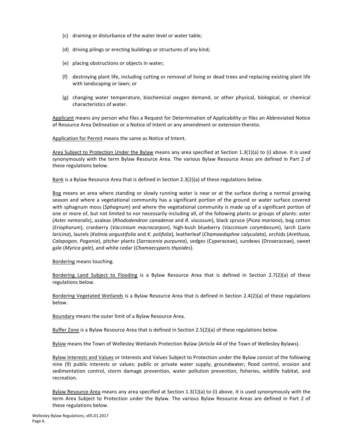- (c) draining or disturbance of the water level or water table;
- (d) driving pilings or erecting buildings or structures of any kind;
- (e) placing obstructions or objects in water;
- (f) destroying plant life, including cutting or removal of living or dead trees and replacing existing plant life with landscaping or lawn; or
- $(g)$  changing water temperature, biochemical oxygen demand, or other physical, biological, or chemical characteristics of water.

Applicant means any person who files a Request for Determination of Applicability or files an Abbreviated Notice of Resource Area Delineation or a Notice of Intent or any amendment or extension thereto.

Application for Permit means the same as Notice of Intent.

Area Subject to Protection Under the Bylaw means any area specified at Section 1.3(1)(a) to (i) above. It is used synonymously with the term Bylaw Resource Area. The various Bylaw Resource Areas are defined in Part 2 of these regulations below.

Bank is a Bylaw Resource Area that is defined in Section 2.3(2)(a) of these regulations below.

Bog means an area where standing or slowly running water is near or at the surface during a normal growing season and where a vegetational community has a significant portion of the ground or water surface covered with sphagnum moss (*Sphagnum*) and where the vegetational community is made up of a significant portion of one or more of, but not limited to nor necessarily including all, of the following plants or groups of plants: aster (*Aster nemoralis*), azaleas (*Rhododendron canadense* and *R. viscosum*), black spruce (*Picea mariana*), bog cotton (*Eriophorum*), cranberry (*Vaccinium macrocarpon*), high-bush blueberry (*Vaccinium corymbosum*), larch (*Larix laricina*), laurels (Kalmia angustifolia and *K. polifolia*), leatherleaf (Chamaedaphne calyculata), orchids (Arethusa, *Calopogon, Pogonia*), pitcher plants (*Sarracenia purpurea*), sedges (Cyperaceae), sundews (Droseraceae), sweet gale (Myrica gale), and white cedar (*Chamaecyparis thyoides*).

#### Bordering means touching.

Bordering Land Subject to Flooding is a Bylaw Resource Area that is defined in Section 2.7(2)(a) of these regulations below.

Bordering Vegetated Wetlands is a Bylaw Resource Area that is defined in Section 2.4(2)(a) of these regulations below.

Boundary means the outer limit of a Bylaw Resource Area.

Buffer Zone is a Bylaw Resource Area that is defined in Section 2.5(2)(a) of these regulations below.

Bylaw means the Town of Wellesley Wetlands Protection Bylaw (Article 44 of the Town of Wellesley Bylaws).

Bylaw Interests and Values or Interests and Values Subject to Protection under the Bylaw consist of the following nine (9) public interests or values: public or private water supply, groundwater, flood control, erosion and sedimentation control, storm damage prevention, water pollution prevention, fisheries, wildlife habitat, and recreation.

Bylaw Resource Area means any area specified at Section 1.3(1)(a) to (i) above. It is used synonymously with the term Area Subject to Protection under the Bylaw. The various Bylaw Resource Areas are defined in Part 2 of these regulations below.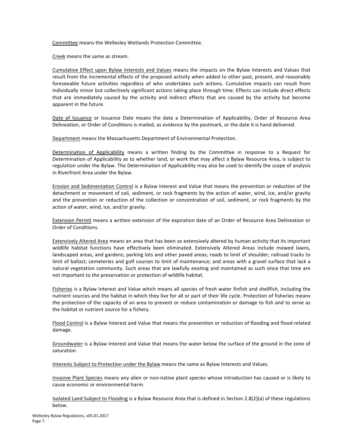Committee means the Wellesley Wetlands Protection Committee.

Creek means the same as stream.

Cumulative Effect upon Bylaw Interests and Values means the impacts on the Bylaw Interests and Values that result from the incremental effects of the proposed activity when added to other past, present, and reasonably foreseeable future activities regardless of who undertakes such actions. Cumulative impacts can result from individually minor but collectively significant actions taking place through time. Effects can include direct effects that are immediately caused by the activity and indirect effects that are caused by the activity but become apparent in the future.

Date of Issuance or Issuance Date means the date a Determination of Applicability, Order of Resource Area Delineation, or Order of Conditions is mailed, as evidence by the postmark, or the date it is hand delivered.

Department means the Massachusetts Department of Environmental Protection.

Determination of Applicability means a written finding by the Committee in response to a Request for Determination of Applicability as to whether land, or work that may affect a Bylaw Resource Area, is subject to regulation under the Bylaw. The Determination of Applicability may also be used to identify the scope of analysis in Riverfront Area under the Bylaw.

Erosion and Sedimentation Control is a Bylaw Interest and Value that means the prevention or reduction of the detachment or movement of soil, sediment, or rock fragments by the action of water, wind, ice, and/or gravity and the prevention or reduction of the collection or concentration of soil, sediment, or rock fragments by the action of water, wind, ice, and/or gravity.

Extension Permit means a written extension of the expiration date of an Order of Resource Area Delineation or Order of Conditions.

Extensively Altered Area means an area that has been so extensively altered by human activity that its important wildlife habitat functions have effectively been eliminated. Extensively Altered Areas include mowed lawns, landscaped areas, and gardens; parking lots and other paved areas; roads to limit of shoulder; railroad tracks to limit of ballast; cemeteries and golf courses to limit of maintenance; and areas with a gravel surface that lack a natural vegetation community. Such areas that are lawfully existing and maintained as such since that time are not important to the preservation or protection of wildlife habitat.

Fisheries is a Bylaw Interest and Value which means all species of fresh water finfish and shellfish, including the nutrient sources and the habitat in which they live for all or part of their life cycle. Protection of fisheries means the protection of the capacity of an area to prevent or reduce contamination or damage to fish and to serve as the habitat or nutrient source for a fishery.

Flood Control is a Bylaw Interest and Value that means the prevention or reduction of flooding and flood-related damage.

Groundwater is a Bylaw Interest and Value that means the water below the surface of the ground in the zone of saturation.

Interests Subject to Protection under the Bylaw means the same as Bylaw Interests and Values.

Invasive Plant Species means any alien or non-native plant species whose introduction has caused or is likely to cause economic or environmental harm.

Isolated Land Subject to Flooding is a Bylaw Resource Area that is defined in Section 2.8(2)(a) of these regulations below.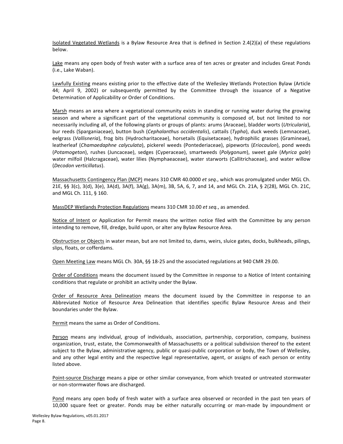Isolated Vegetated Wetlands is a Bylaw Resource Area that is defined in Section 2.4(2)(a) of these regulations below.

Lake means any open body of fresh water with a surface area of ten acres or greater and includes Great Ponds (i.e., Lake Waban).

Lawfully Existing means existing prior to the effective date of the Wellesley Wetlands Protection Bylaw (Article 44; April 9, 2002) or subsequently permitted by the Committee through the issuance of a Negative Determination of Applicability or Order of Conditions.

Marsh means an area where a vegetational community exists in standing or running water during the growing season and where a significant part of the vegetational community is composed of, but not limited to nor necessarily including all, of the following plants or groups of plants: arums (Araceae), bladder worts (Utricularia), bur reeds (Sparganiaceae), button bush (*Cephalanthus occidentalis*), cattails (*Typha*), duck weeds (Lemnaceae), eelgrass (Vallisneria), frog bits (Hydrocharitaceae), horsetails (Equisetaceae), hydrophilic grasses (Gramineae), leatherleaf (*Chamaedaphne calyculata*), pickerel weeds (Pontederiaceae), pipeworts (*Eriocaulon*), pond weeds (*Potamogeton*), rushes (Juncaceae), sedges (Cyperaceae), smartweeds (*Polygonum*), sweet gale (*Myrica gale*) water milfoil (Halcragaceae), water lilies (Nymphaeaceae), water starworts (Callitrichaceae), and water willow (*Decodon verticillatus*).

Massachusetts Contingency Plan (MCP) means 310 CMR 40.0000 et seq., which was promulgated under MGL Ch. 21E, §§ 3(c), 3(d), 3(e), 3A(d), 3A(f), 3A(g), 3A(m), 3B, 5A, 6, 7, and 14, and MGL Ch. 21A, § 2(28), MGL Ch. 21C, and MGL Ch. 111, § 160.

MassDEP Wetlands Protection Regulations means 310 CMR 10.00 *et seq.*, as amended.

Notice of Intent or Application for Permit means the written notice filed with the Committee by any person intending to remove, fill, dredge, build upon, or alter any Bylaw Resource Area.

Obstruction or Objects in water mean, but are not limited to, dams, weirs, sluice gates, docks, bulkheads, pilings, slips, floats, or cofferdams.

Open Meeting Law means MGL Ch. 30A, §§ 18-25 and the associated regulations at 940 CMR 29.00.

Order of Conditions means the document issued by the Committee in response to a Notice of Intent containing conditions that regulate or prohibit an activity under the Bylaw.

Order of Resource Area Delineation means the document issued by the Committee in response to an Abbreviated Notice of Resource Area Delineation that identifies specific Bylaw Resource Areas and their boundaries under the Bylaw.

Permit means the same as Order of Conditions.

Person means any individual, group of individuals, association, partnership, corporation, company, business organization, trust, estate, the Commonwealth of Massachusetts or a political subdivision thereof to the extent subject to the Bylaw, administrative agency, public or quasi-public corporation or body, the Town of Wellesley, and any other legal entity and the respective legal representative, agent, or assigns of each person or entity listed above.

Point-source Discharge means a pipe or other similar conveyance, from which treated or untreated stormwater or non-stormwater flows are discharged.

Pond means any open body of fresh water with a surface area observed or recorded in the past ten years of 10,000 square feet or greater. Ponds may be either naturally occurring or man-made by impoundment or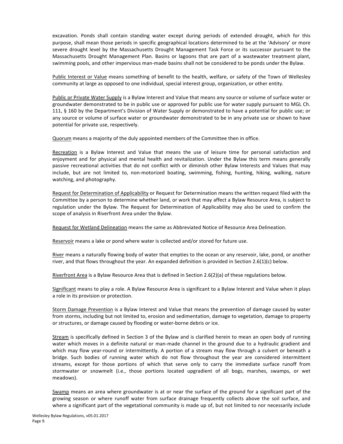excavation. Ponds shall contain standing water except during periods of extended drought, which for this purpose, shall mean those periods in specific geographical locations determined to be at the 'Advisory' or more severe drought level by the Massachusetts Drought Management Task Force or its successor pursuant to the Massachusetts Drought Management Plan. Basins or lagoons that are part of a wastewater treatment plant, swimming pools, and other impervious man-made basins shall not be considered to be ponds under the Bylaw.

Public Interest or Value means something of benefit to the health, welfare, or safety of the Town of Wellesley community at large as opposed to one individual, special interest group, organization, or other entity.

Public or Private Water Supply is a Bylaw Interest and Value that means any source or volume of surface water or groundwater demonstrated to be in public use or approved for public use for water supply pursuant to MGL Ch. 111, § 160 by the Department's Division of Water Supply or demonstrated to have a potential for public use; or any source or volume of surface water or groundwater demonstrated to be in any private use or shown to have potential for private use, respectively.

Quorum means a majority of the duly appointed members of the Committee then in office.

Recreation is a Bylaw Interest and Value that means the use of leisure time for personal satisfaction and enjoyment and for physical and mental health and revitalization. Under the Bylaw this term means generally passive recreational activities that do not conflict with or diminish other Bylaw Interests and Values that may include, but are not limited to, non-motorized boating, swimming, fishing, hunting, hiking, walking, nature watching, and photography.

Request for Determination of Applicability or Request for Determination means the written request filed with the Committee by a person to determine whether land, or work that may affect a Bylaw Resource Area, is subject to regulation under the Bylaw. The Request for Determination of Applicability may also be used to confirm the scope of analysis in Riverfront Area under the Bylaw.

Request for Wetland Delineation means the same as Abbreviated Notice of Resource Area Delineation.

Reservoir means a lake or pond where water is collected and/or stored for future use.

River means a naturally flowing body of water that empties to the ocean or any reservoir, lake, pond, or another river, and that flows throughout the year. An expanded definition is provided in Section 2.6(1)(c) below.

Riverfront Area is a Bylaw Resource Area that is defined in Section 2.6(2)(a) of these regulations below.

Significant means to play a role. A Bylaw Resource Area is significant to a Bylaw Interest and Value when it plays a role in its provision or protection.

Storm Damage Prevention is a Bylaw Interest and Value that means the prevention of damage caused by water from storms, including but not limited to, erosion and sedimentation, damage to vegetation, damage to property or structures, or damage caused by flooding or water-borne debris or ice.

Stream is specifically defined in Section 3 of the Bylaw and is clarified herein to mean an open body of running water which moves in a definite natural or man-made channel in the ground due to a hydraulic gradient and which may flow year-round or intermittently. A portion of a stream may flow through a culvert or beneath a bridge. Such bodies of running water which do not flow throughout the year are considered intermittent streams, except for those portions of which that serve only to carry the immediate surface runoff from stormwater or snowmelt (i.e., those portions located upgradient of all bogs, marshes, swamps, or wet meadows).

Swamp means an area where groundwater is at or near the surface of the ground for a significant part of the growing season or where runoff water from surface drainage frequently collects above the soil surface, and where a significant part of the vegetational community is made up of, but not limited to nor necessarily include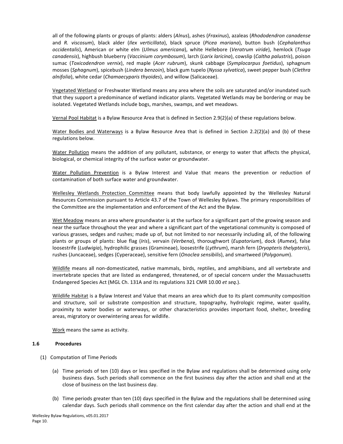<span id="page-11-0"></span>all of the following plants or groups of plants: alders (*Alnus*), ashes (*Fraxinus*), azaleas (*Rhododendron canadense* and *R. viscosum*), black alder (*Ilex verticillata*), black spruce (*Picea mariana*), button bush (*Cephalanthus occidentalis*), American or white elm (*Ulmus americana*), white Hellebore (*Veratrum viride*), hemlock (*Tsuga canadensis*), highbush blueberry (*Vaccinium corymbosum*), larch (*Larix laricina*), cowslip (*Caltha palustris*), poison sumac (*Toxicodendron vernix*), red maple (*Acer rubrum*), skunk cabbage (*Symplocarpus foetidus*), sphagnum mosses (Sphagnum), spicebush (Lindera benzoin), black gum tupelo (Nyssa sylvatica), sweet pepper bush (Clethra *alnifolia*), white cedar (*Chamaecyparis thyoides*), and willow (Salicaceae).

Vegetated Wetland or Freshwater Wetland means any area where the soils are saturated and/or inundated such that they support a predominance of wetland indicator plants. Vegetated Wetlands may be bordering or may be isolated. Vegetated Wetlands include bogs, marshes, swamps, and wet meadows.

Vernal Pool Habitat is a Bylaw Resource Area that is defined in Section 2.9(2)(a) of these regulations below.

Water Bodies and Waterways is a Bylaw Resource Area that is defined in Section 2.2(2)(a) and (b) of these regulations below.

Water Pollution means the addition of any pollutant, substance, or energy to water that affects the physical, biological, or chemical integrity of the surface water or groundwater.

Water Pollution Prevention is a Bylaw Interest and Value that means the prevention or reduction of contamination of both surface water and groundwater.

Wellesley Wetlands Protection Committee means that body lawfully appointed by the Wellesley Natural Resources Commission pursuant to Article 43.7 of the Town of Wellesley Bylaws. The primary responsibilities of the Committee are the implementation and enforcement of the Act and the Bylaw.

Wet Meadow means an area where groundwater is at the surface for a significant part of the growing season and near the surface throughout the year and where a significant part of the vegetational community is composed of various grasses, sedges and rushes; made up of, but not limited to nor necessarily including all, of the following plants or groups of plants: blue flag (*Iris*), vervain (*Verbena*), thoroughwort (*Eupatorium*), dock (*Rumex*), false loosestrife (*Ludwigia*), hydrophilic grasses (Gramineae), loosestrife (*Lythrum*), marsh fern (*Dryopteris thelypteris*), rushes (Juncaceae), sedges (Cyperaceae), sensitive fern (*Onoclea sensibilis*), and smartweed (*Polygonum*).

Wildlife means all non-domesticated, native mammals, birds, reptiles, and amphibians, and all vertebrate and invertebrate species that are listed as endangered, threatened, or of special concern under the Massachusetts Endangered Species Act (MGL Ch. 131A and its regulations 321 CMR 10.00 *et seq.*).

Wildlife Habitat is a Bylaw Interest and Value that means an area which due to its plant community composition and structure, soil or substrate composition and structure, topography, hydrologic regime, water quality, proximity to water bodies or waterways, or other characteristics provides important food, shelter, breeding areas, migratory or overwintering areas for wildlife.

Work means the same as activity.

# **1.6 Procedures**

- (1) Computation of Time Periods
	- (a) Time periods of ten (10) days or less specified in the Bylaw and regulations shall be determined using only business days. Such periods shall commence on the first business day after the action and shall end at the close of business on the last business day.
	- (b) Time periods greater than ten (10) days specified in the Bylaw and the regulations shall be determined using calendar days. Such periods shall commence on the first calendar day after the action and shall end at the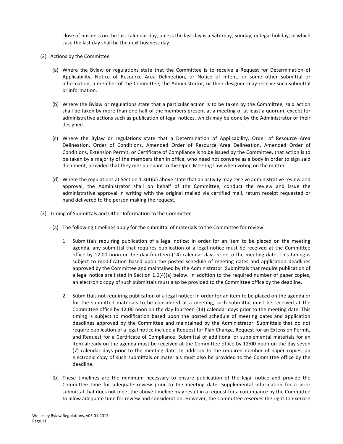close of business on the last calendar day, unless the last day is a Saturday, Sunday, or legal holiday, in which case the last day shall be the next business day.

- <span id="page-12-0"></span>(2) Actions by the Committee
	- (a) Where the Bylaw or regulations state that the Committee is to receive a Request for Determination of Applicability, Notice of Resource Area Delineation, or Notice of Intent, or some other submittal or information, a member of the Committee, the Administrator, or their designee may receive such submittal or information.
	- (b) Where the Bylaw or regulations state that a particular action is to be taken by the Committee, said action shall be taken by more than one-half of the members present at a meeting of at least a quorum, except for administrative actions such as publication of legal notices, which may be done by the Administrator or their designee.
	- (c) Where the Bylaw or regulations state that a Determination of Applicability, Order of Resource Area Delineation, Order of Conditions, Amended Order of Resource Area Delineation, Amended Order of Conditions, Extension Permit, or Certificate of Compliance is to be issued by the Committee, that action is to be taken by a majority of the members then in office, who need not convene as a body in order to sign said document, provided that they met pursuant to the Open Meeting Law when voting on the matter.
	- (d) Where the regulations at Section  $1.3(4)(c)$  above state that an activity may receive administrative review and approval, the Administrator shall on behalf of the Committee, conduct the review and issue the administrative approval in writing with the original mailed via certified mail, return receipt requested or hand delivered to the person making the request.
- (3) Timing of Submittals and Other Information to the Committee
	- (a) The following timelines apply for the submittal of materials to the Committee for review:
		- 1. Submittals requiring publication of a legal notice: In order for an item to be placed on the meeting agenda, any submittal that requires publication of a legal notice must be received at the Committee office by 12:00 noon on the day fourteen  $(14)$  calendar days prior to the meeting date. This timing is subject to modification based upon the posted schedule of meeting dates and application deadlines approved by the Committee and maintained by the Administrator. Submittals that require publication of a legal notice are listed in Section  $1.6(4)(a)$  below. In addition to the required number of paper copies, an electronic copy of such submittals must also be provided to the Committee office by the deadline.
		- 2. Submittals not requiring publication of a legal notice: In order for an item to be placed on the agenda or for the submitted materials to be considered at a meeting, such submittal must be received at the Committee office by 12:00 noon on the day fourteen (14) calendar days prior to the meeting date. This timing is subject to modification based upon the posted schedule of meeting dates and application deadlines approved by the Committee and maintained by the Administrator. Submittals that do not require publication of a legal notice include a Request for Plan Change, Request for an Extension Permit, and Request for a Certificate of Compliance. Submittal of additional or supplemental materials for an item already on the agenda must be received at the Committee office by 12:00 noon on the day seven (7) calendar days prior to the meeting date. In addition to the required number of paper copies, an electronic copy of such submittals or materials must also be provided to the Committee office by the deadline.
	- (b) These timelines are the minimum necessary to ensure publication of the legal notice and provide the Committee time for adequate review prior to the meeting date. Supplemental information for a prior submittal that does not meet the above timeline may result in a request for a continuance by the Committee to allow adequate time for review and consideration. However, the Committee reserves the right to exercise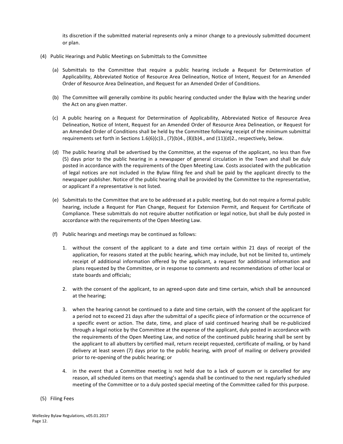its discretion if the submitted material represents only a minor change to a previously submitted document or plan.

- <span id="page-13-0"></span>(4) Public Hearings and Public Meetings on Submittals to the Committee
	- (a) Submittals to the Committee that require a public hearing include a Request for Determination of Applicability, Abbreviated Notice of Resource Area Delineation, Notice of Intent, Request for an Amended Order of Resource Area Delineation, and Request for an Amended Order of Conditions.
	- (b) The Committee will generally combine its public hearing conducted under the Bylaw with the hearing under the Act on any given matter.
	- (c) A public hearing on a Request for Determination of Applicability, Abbreviated Notice of Resource Area Delineation, Notice of Intent, Request for an Amended Order of Resource Area Delineation, or Request for an Amended Order of Conditions shall be held by the Committee following receipt of the minimum submittal requirements set forth in Sections  $1.6(6)(c)3$ .,  $(7)(b)4$ .,  $(8)(b)4$ ., and  $(11)(d)2$ ., respectively, below.
	- (d) The public hearing shall be advertised by the Committee, at the expense of the applicant, no less than five (5) days prior to the public hearing in a newspaper of general circulation in the Town and shall be duly posted in accordance with the requirements of the Open Meeting Law. Costs associated with the publication of legal notices are not included in the Bylaw filing fee and shall be paid by the applicant directly to the newspaper publisher. Notice of the public hearing shall be provided by the Committee to the representative, or applicant if a representative is not listed.
	- (e) Submittals to the Committee that are to be addressed at a public meeting, but do not require a formal public hearing, include a Request for Plan Change, Request for Extension Permit, and Request for Certificate of Compliance. These submittals do not require abutter notification or legal notice, but shall be duly posted in accordance with the requirements of the Open Meeting Law.
	- (f) Public hearings and meetings may be continued as follows:
		- 1. without the consent of the applicant to a date and time certain within 21 days of receipt of the application, for reasons stated at the public hearing, which may include, but not be limited to, untimely receipt of additional information offered by the applicant, a request for additional information and plans requested by the Committee, or in response to comments and recommendations of other local or state boards and officials:
		- 2. with the consent of the applicant, to an agreed-upon date and time certain, which shall be announced at the hearing;
		- 3. when the hearing cannot be continued to a date and time certain, with the consent of the applicant for a period not to exceed 21 days after the submittal of a specific piece of information or the occurrence of a specific event or action. The date, time, and place of said continued hearing shall be re-publicized through a legal notice by the Committee at the expense of the applicant, duly posted in accordance with the requirements of the Open Meeting Law, and notice of the continued public hearing shall be sent by the applicant to all abutters by certified mail, return receipt requested, certificate of mailing, or by hand delivery at least seven (7) days prior to the public hearing, with proof of mailing or delivery provided prior to re-opening of the public hearing; or
		- 4. in the event that a Committee meeting is not held due to a lack of quorum or is cancelled for any reason, all scheduled items on that meeting's agenda shall be continued to the next regularly scheduled meeting of the Committee or to a duly posted special meeting of the Committee called for this purpose.
- (5) Filing Fees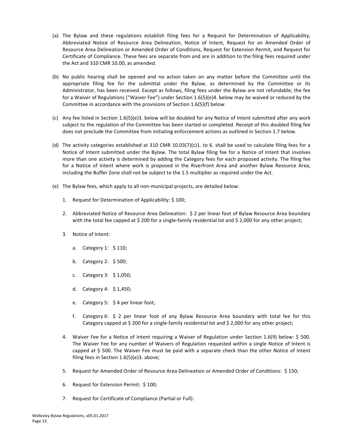- <span id="page-14-0"></span>(a) The Bylaw and these regulations establish filing fees for a Request for Determination of Applicability, Abbreviated Notice of Resource Area Delineation, Notice of Intent, Request for an Amended Order of Resource Area Delineation or Amended Order of Conditions, Request for Extension Permit, and Request for Certificate of Compliance. These fees are separate from and are in addition to the filing fees required under the Act and 310 CMR 10.00, as amended.
- (b) No public hearing shall be opened and no action taken on any matter before the Committee until the appropriate filing fee for the submittal under the Bylaw, as determined by the Committee or its Administrator, has been received. Except as follows, filing fees under the Bylaw are not refundable; the fee for a Waiver of Regulations ("Waiver Fee") under Section 1.6(5)(e)4. below may be waived or reduced by the Committee in accordance with the provisions of Section  $1.6(5)(f)$  below.
- (c) Any fee listed in Section  $1.6(5)(e)3$ . below will be doubled for any Notice of Intent submitted after any work subject to the regulation of the Committee has been started or completed. Receipt of this doubled filing fee does not preclude the Committee from initiating enforcement actions as outlined in Section 1.7 below.
- (d) The activity categories established at 310 CMR 10.03(7)(c)1. to 6. shall be used to calculate filing fees for a Notice of Intent submitted under the Bylaw. The total Bylaw filing fee for a Notice of Intent that involves more than one activity is determined by adding the Category fees for each proposed activity. The filing fee for a Notice of Intent where work is proposed in the Riverfront Area and another Bylaw Resource Area, including the Buffer Zone shall not be subject to the 1.5 multiplier as required under the Act.
- (e) The Bylaw fees, which apply to all non-municipal projects, are detailed below:
	- 1. Request for Determination of Applicability: \$100;
	- 2. Abbreviated Notice of Resource Area Delineation: S 2 per linear foot of Bylaw Resource Area boundary with the total fee capped at \$200 for a single-family residential lot and \$2,000 for any other project;
	- 3. Notice of Intent:
		- a. Category 1: \$110;
		- b. Category 2:  $$500;$
		- c. Category  $3: $1,050;$
		- d. Category 4: \$ 1,450;
		- e. Category 5:  $\frac{1}{2}$  4 per linear foot;
		- f. Category 6:  $\frac{2}{3}$  2 per linear foot of any Bylaw Resource Area boundary with total fee for this Category capped at \$ 200 for a single-family residential lot and \$ 2,000 for any other project;
	- 4. Waiver Fee for a Notice of Intent requiring a Waiver of Regulation under Section 1.6(9) below: \$ 500. The Waiver Fee for any number of Waivers of Regulation requested within a single Notice of Intent is capped at \$ 500. The Waiver Fee must be paid with a separate check than the other Notice of Intent filing fees in Section  $1.6(5)(e)3$ . above;
	- 5. Request for Amended Order of Resource Area Delineation or Amended Order of Conditions: \$150;
	- 6. Request for Extension Permit: \$100;
	- 7. Request for Certificate of Compliance (Partial or Full):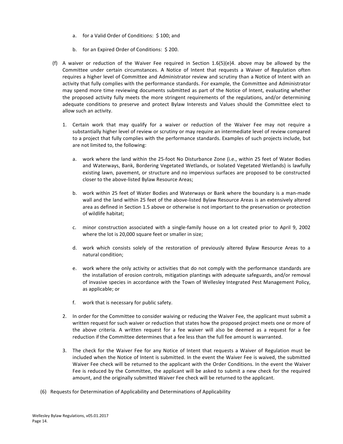- a. for a Valid Order of Conditions: \$100; and
- b. for an Expired Order of Conditions: \$200.
- (f) A waiver or reduction of the Waiver Fee required in Section  $1.6(5)(e)4$ . above may be allowed by the Committee under certain circumstances. A Notice of Intent that requests a Waiver of Regulation often requires a higher level of Committee and Administrator review and scrutiny than a Notice of Intent with an activity that fully complies with the performance standards. For example, the Committee and Administrator may spend more time reviewing documents submitted as part of the Notice of Intent, evaluating whether the proposed activity fully meets the more stringent requirements of the regulations, and/or determining adequate conditions to preserve and protect Bylaw Interests and Values should the Committee elect to allow such an activity.
	- 1. Certain work that may qualify for a waiver or reduction of the Waiver Fee may not require a substantially higher level of review or scrutiny or may require an intermediate level of review compared to a project that fully complies with the performance standards. Examples of such projects include, but are not limited to, the following:
		- a. work where the land within the 25-foot No Disturbance Zone (i.e., within 25 feet of Water Bodies and Waterways, Bank, Bordering Vegetated Wetlands, or Isolated Vegetated Wetlands) is lawfully existing lawn, pavement, or structure and no impervious surfaces are proposed to be constructed closer to the above-listed Bylaw Resource Areas;
		- b. work within 25 feet of Water Bodies and Waterways or Bank where the boundary is a man-made wall and the land within 25 feet of the above-listed Bylaw Resource Areas is an extensively altered area as defined in Section 1.5 above or otherwise is not important to the preservation or protection of wildlife habitat;
		- c. minor construction associated with a single-family house on a lot created prior to April 9, 2002 where the lot is 20,000 square feet or smaller in size;
		- d. work which consists solely of the restoration of previously altered Bylaw Resource Areas to a natural condition;
		- e. work where the only activity or activities that do not comply with the performance standards are the installation of erosion controls, mitigation plantings with adequate safeguards, and/or removal of invasive species in accordance with the Town of Wellesley Integrated Pest Management Policy, as applicable; or
		- f. work that is necessary for public safety.
	- 2. In order for the Committee to consider waiving or reducing the Waiver Fee, the applicant must submit a written request for such waiver or reduction that states how the proposed project meets one or more of the above criteria. A written request for a fee waiver will also be deemed as a request for a fee reduction if the Committee determines that a fee less than the full fee amount is warranted.
	- 3. The check for the Waiver Fee for any Notice of Intent that requests a Waiver of Regulation must be included when the Notice of Intent is submitted. In the event the Waiver Fee is waived, the submitted Waiver Fee check will be returned to the applicant with the Order Conditions. In the event the Waiver Fee is reduced by the Committee, the applicant will be asked to submit a new check for the required amount, and the originally submitted Waiver Fee check will be returned to the applicant.
- (6) Requests for Determination of Applicability and Determinations of Applicability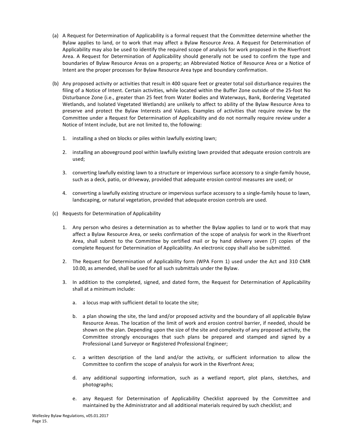- <span id="page-16-0"></span>(a) A Request for Determination of Applicability is a formal request that the Committee determine whether the Bylaw applies to land, or to work that may affect a Bylaw Resource Area. A Request for Determination of Applicability may also be used to identify the required scope of analysis for work proposed in the Riverfront Area. A Request for Determination of Applicability should generally not be used to confirm the type and boundaries of Bylaw Resource Areas on a property; an Abbreviated Notice of Resource Area or a Notice of Intent are the proper processes for Bylaw Resource Area type and boundary confirmation.
- (b) Any proposed activity or activities that result in 400 square feet or greater total soil disturbance requires the filing of a Notice of Intent. Certain activities, while located within the Buffer Zone outside of the 25-foot No Disturbance Zone (i.e., greater than 25 feet from Water Bodies and Waterways, Bank, Bordering Vegetated Wetlands, and Isolated Vegetated Wetlands) are unlikely to affect to ability of the Bylaw Resource Area to preserve and protect the Bylaw Interests and Values. Examples of activities that require review by the Committee under a Request for Determination of Applicability and do not normally require review under a Notice of Intent include, but are not limited to, the following:
	- 1. installing a shed on blocks or piles within lawfully existing lawn;
	- 2. installing an aboveground pool within lawfully existing lawn provided that adequate erosion controls are used;
	- 3. converting lawfully existing lawn to a structure or impervious surface accessory to a single-family house, such as a deck, patio, or driveway, provided that adequate erosion control measures are used; or
	- 4. converting a lawfully existing structure or impervious surface accessory to a single-family house to lawn, landscaping, or natural vegetation, provided that adequate erosion controls are used.
- (c) Requests for Determination of Applicability
	- 1. Any person who desires a determination as to whether the Bylaw applies to land or to work that may affect a Bylaw Resource Area, or seeks confirmation of the scope of analysis for work in the Riverfront Area, shall submit to the Committee by certified mail or by hand delivery seven (7) copies of the complete Request for Determination of Applicability. An electronic copy shall also be submitted.
	- 2. The Request for Determination of Applicability form (WPA Form 1) used under the Act and 310 CMR 10.00, as amended, shall be used for all such submittals under the Bylaw.
	- 3. In addition to the completed, signed, and dated form, the Request for Determination of Applicability shall at a minimum include:
		- a. a locus map with sufficient detail to locate the site;
		- b. a plan showing the site, the land and/or proposed activity and the boundary of all applicable Bylaw Resource Areas. The location of the limit of work and erosion control barrier, if needed, should be shown on the plan. Depending upon the size of the site and complexity of any proposed activity, the Committee strongly encourages that such plans be prepared and stamped and signed by a Professional Land Surveyor or Registered Professional Engineer;
		- c. a written description of the land and/or the activity, or sufficient information to allow the Committee to confirm the scope of analysis for work in the Riverfront Area;
		- d. any additional supporting information, such as a wetland report, plot plans, sketches, and photographs;
		- e. any Request for Determination of Applicability Checklist approved by the Committee and maintained by the Administrator and all additional materials required by such checklist; and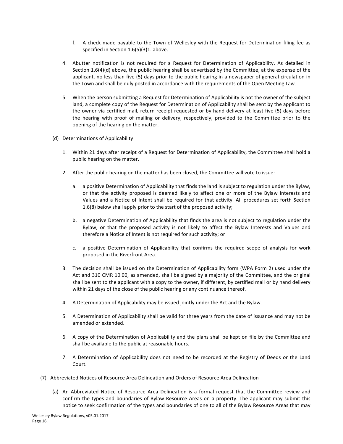- f. A check made payable to the Town of Wellesley with the Request for Determination filing fee as specified in Section  $1.6(5)(3)1$ . above.
- 4. Abutter notification is not required for a Request for Determination of Applicability. As detailed in Section  $1.6(4)(d)$  above, the public hearing shall be advertised by the Committee, at the expense of the applicant, no less than five (5) days prior to the public hearing in a newspaper of general circulation in the Town and shall be duly posted in accordance with the requirements of the Open Meeting Law.
- 5. When the person submitting a Request for Determination of Applicability is not the owner of the subject land, a complete copy of the Request for Determination of Applicability shall be sent by the applicant to the owner via certified mail, return receipt requested or by hand delivery at least five (5) days before the hearing with proof of mailing or delivery, respectively, provided to the Committee prior to the opening of the hearing on the matter.
- (d) Determinations of Applicability
	- 1. Within 21 days after receipt of a Request for Determination of Applicability, the Committee shall hold a public hearing on the matter.
	- 2. After the public hearing on the matter has been closed, the Committee will vote to issue:
		- a. a positive Determination of Applicability that finds the land is subject to regulation under the Bylaw, or that the activity proposed is deemed likely to affect one or more of the Bylaw Interests and Values and a Notice of Intent shall be required for that activity. All procedures set forth Section 1.6(8) below shall apply prior to the start of the proposed activity;
		- b. a negative Determination of Applicability that finds the area is not subject to regulation under the Bylaw, or that the proposed activity is not likely to affect the Bylaw Interests and Values and therefore a Notice of Intent is not required for such activity; or
		- c. a positive Determination of Applicability that confirms the required scope of analysis for work proposed in the Riverfront Area.
	- 3. The decision shall be issued on the Determination of Applicability form (WPA Form 2) used under the Act and 310 CMR 10.00, as amended, shall be signed by a majority of the Committee, and the original shall be sent to the applicant with a copy to the owner, if different, by certified mail or by hand delivery within 21 days of the close of the public hearing or any continuance thereof.
	- 4. A Determination of Applicability may be issued jointly under the Act and the Bylaw.
	- 5. A Determination of Applicability shall be valid for three years from the date of issuance and may not be amended or extended.
	- 6. A copy of the Determination of Applicability and the plans shall be kept on file by the Committee and shall be available to the public at reasonable hours.
	- 7. A Determination of Applicability does not need to be recorded at the Registry of Deeds or the Land Court.
- (7) Abbreviated Notices of Resource Area Delineation and Orders of Resource Area Delineation
	- (a) An Abbreviated Notice of Resource Area Delineation is a formal request that the Committee review and confirm the types and boundaries of Bylaw Resource Areas on a property. The applicant may submit this notice to seek confirmation of the types and boundaries of one to all of the Bylaw Resource Areas that may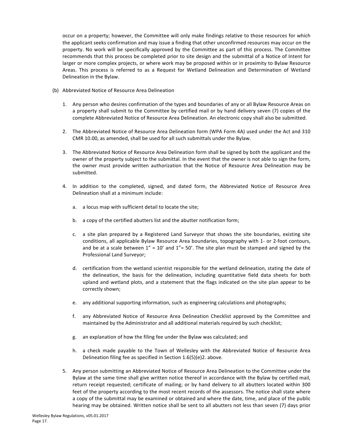<span id="page-18-0"></span>occur on a property; however, the Committee will only make findings relative to those resources for which the applicant seeks confirmation and may issue a finding that other unconfirmed resources may occur on the property. No work will be specifically approved by the Committee as part of this process. The Committee recommends that this process be completed prior to site design and the submittal of a Notice of Intent for larger or more complex projects, or where work may be proposed within or in proximity to Bylaw Resource Areas. This process is referred to as a Request for Wetland Delineation and Determination of Wetland Delineation in the Bylaw.

- (b) Abbreviated Notice of Resource Area Delineation
	- 1. Any person who desires confirmation of the types and boundaries of any or all Bylaw Resource Areas on a property shall submit to the Committee by certified mail or by hand delivery seven (7) copies of the complete Abbreviated Notice of Resource Area Delineation. An electronic copy shall also be submitted.
	- 2. The Abbreviated Notice of Resource Area Delineation form (WPA Form 4A) used under the Act and 310 CMR 10.00, as amended, shall be used for all such submittals under the Bylaw.
	- 3. The Abbreviated Notice of Resource Area Delineation form shall be signed by both the applicant and the owner of the property subject to the submittal. In the event that the owner is not able to sign the form, the owner must provide written authorization that the Notice of Resource Area Delineation may be submitted.
	- 4. In addition to the completed, signed, and dated form, the Abbreviated Notice of Resource Area Delineation shall at a minimum include:
		- a. a locus map with sufficient detail to locate the site;
		- b. a copy of the certified abutters list and the abutter notification form;
		- c. a site plan prepared by a Registered Land Surveyor that shows the site boundaries, existing site conditions, all applicable Bylaw Resource Area boundaries, topography with 1- or 2-foot contours, and be at a scale between  $1'' = 10'$  and  $1'' = 50'$ . The site plan must be stamped and signed by the Professional Land Surveyor;
		- d. certification from the wetland scientist responsible for the wetland delineation, stating the date of the delineation, the basis for the delineation, including quantitative field data sheets for both upland and wetland plots, and a statement that the flags indicated on the site plan appear to be correctly shown;
		- e. any additional supporting information, such as engineering calculations and photographs;
		- f. any Abbreviated Notice of Resource Area Delineation Checklist approved by the Committee and maintained by the Administrator and all additional materials required by such checklist;
		- g. an explanation of how the filing fee under the Bylaw was calculated; and
		- h. a check made payable to the Town of Wellesley with the Abbreviated Notice of Resource Area Delineation filing fee as specified in Section  $1.6(5)(e)$ 2. above.
	- 5. Any person submitting an Abbreviated Notice of Resource Area Delineation to the Committee under the Bylaw at the same time shall give written notice thereof in accordance with the Bylaw by certified mail, return receipt requested; certificate of mailing; or by hand delivery to all abutters located within 300 feet of the property according to the most recent records of the assessors. The notice shall state where a copy of the submittal may be examined or obtained and where the date, time, and place of the public hearing may be obtained. Written notice shall be sent to all abutters not less than seven (7) days prior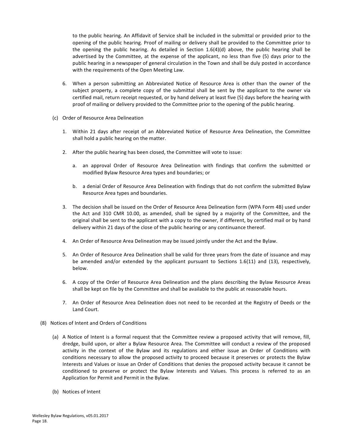to the public hearing. An Affidavit of Service shall be included in the submittal or provided prior to the opening of the public hearing. Proof of mailing or delivery shall be provided to the Committee prior to the opening the public hearing. As detailed in Section  $1.6(4)(d)$  above, the public hearing shall be advertised by the Committee, at the expense of the applicant, no less than five (5) days prior to the public hearing in a newspaper of general circulation in the Town and shall be duly posted in accordance with the requirements of the Open Meeting Law.

- 6. When a person submitting an Abbreviated Notice of Resource Area is other than the owner of the subject property, a complete copy of the submittal shall be sent by the applicant to the owner via certified mail, return receipt requested, or by hand delivery at least five (5) days before the hearing with proof of mailing or delivery provided to the Committee prior to the opening of the public hearing.
- (c) Order of Resource Area Delineation
	- 1. Within 21 days after receipt of an Abbreviated Notice of Resource Area Delineation, the Committee shall hold a public hearing on the matter.
	- 2. After the public hearing has been closed, the Committee will vote to issue:
		- a. an approval Order of Resource Area Delineation with findings that confirm the submitted or modified Bylaw Resource Area types and boundaries; or
		- b. a denial Order of Resource Area Delineation with findings that do not confirm the submitted Bylaw Resource Area types and boundaries.
	- 3. The decision shall be issued on the Order of Resource Area Delineation form (WPA Form 4B) used under the Act and 310 CMR 10.00, as amended, shall be signed by a majority of the Committee, and the original shall be sent to the applicant with a copy to the owner, if different, by certified mail or by hand delivery within 21 days of the close of the public hearing or any continuance thereof.
	- 4. An Order of Resource Area Delineation may be issued jointly under the Act and the Bylaw.
	- 5. An Order of Resource Area Delineation shall be valid for three years from the date of issuance and may be amended and/or extended by the applicant pursuant to Sections  $1.6(11)$  and  $(13)$ , respectively, below.
	- 6. A copy of the Order of Resource Area Delineation and the plans describing the Bylaw Resource Areas shall be kept on file by the Committee and shall be available to the public at reasonable hours.
	- 7. An Order of Resource Area Delineation does not need to be recorded at the Registry of Deeds or the Land Court.
- (8) Notices of Intent and Orders of Conditions
	- (a) A Notice of Intent is a formal request that the Committee review a proposed activity that will remove, fill, dredge, build upon, or alter a Bylaw Resource Area. The Committee will conduct a review of the proposed activity in the context of the Bylaw and its regulations and either issue an Order of Conditions with conditions necessary to allow the proposed activity to proceed because it preserves or protects the Bylaw Interests and Values or issue an Order of Conditions that denies the proposed activity because it cannot be conditioned to preserve or protect the Bylaw Interests and Values. This process is referred to as an Application for Permit and Permit in the Bylaw.
	- (b) Notices of Intent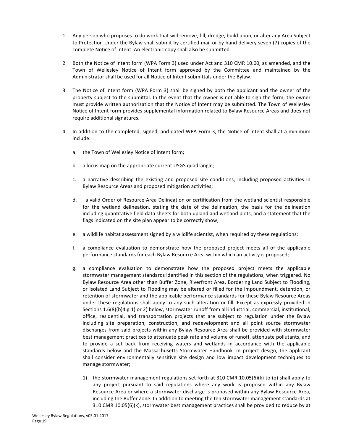- <span id="page-20-0"></span>1. Any person who proposes to do work that will remove, fill, dredge, build upon, or alter any Area Subject to Protection Under the Bylaw shall submit by certified mail or by hand delivery seven (7) copies of the complete Notice of Intent. An electronic copy shall also be submitted.
- 2. Both the Notice of Intent form (WPA Form 3) used under Act and 310 CMR 10.00, as amended, and the Town of Wellesley Notice of Intent form approved by the Committee and maintained by the Administrator shall be used for all Notice of Intent submittals under the Bylaw.
- 3. The Notice of Intent form (WPA Form 3) shall be signed by both the applicant and the owner of the property subject to the submittal. In the event that the owner is not able to sign the form, the owner must provide written authorization that the Notice of Intent may be submitted. The Town of Wellesley Notice of Intent form provides supplemental information related to Bylaw Resource Areas and does not require additional signatures.
- 4. In addition to the completed, signed, and dated WPA Form 3, the Notice of Intent shall at a minimum include:
	- a. the Town of Wellesley Notice of Intent form;
	- b. a locus map on the appropriate current USGS quadrangle;
	- c. a narrative describing the existing and proposed site conditions, including proposed activities in Bylaw Resource Areas and proposed mitigation activities;
	- d. a valid Order of Resource Area Delineation or certification from the wetland scientist responsible for the wetland delineation, stating the date of the delineation, the basis for the delineation including quantitative field data sheets for both upland and wetland plots, and a statement that the flags indicated on the site plan appear to be correctly show;
	- e. a wildlife habitat assessment signed by a wildlife scientist, when required by these regulations;
	- f. a compliance evaluation to demonstrate how the proposed project meets all of the applicable performance standards for each Bylaw Resource Area within which an activity is proposed;
	- g. a compliance evaluation to demonstrate how the proposed project meets the applicable stormwater management standards identified in this section of the regulations, when triggered. No Bylaw Resource Area other than Buffer Zone, Riverfront Area, Bordering Land Subject to Flooding, or Isolated Land Subject to Flooding may be altered or filled for the impoundment, detention, or retention of stormwater and the applicable performance standards for these Bylaw Resource Areas under these regulations shall apply to any such alteration or fill. Except as expressly provided in Sections 1.6(8)(b)4.g.1) or 2) below, stormwater runoff from all industrial, commercial, institutional, office, residential, and transportation projects that are subject to regulation under the Bylaw including site preparation, construction, and redevelopment and all point source stormwater discharges from said projects within any Bylaw Resource Area shall be provided with stormwater best management practices to attenuate peak rate and volume of runoff, attenuate pollutants, and to provide a set back from receiving waters and wetlands in accordance with the applicable standards below and the Massachusetts Stormwater Handbook. In project design, the applicant shall consider environmentally sensitive site design and low impact development techniques to manage stormwater;
		- 1) the stormwater management regulations set forth at 310 CMR 10.05(6)(k) to (q) shall apply to any project pursuant to said regulations where any work is proposed within any Bylaw Resource Area or where a stormwater discharge is proposed within any Bylaw Resource Area, including the Buffer Zone. In addition to meeting the ten stormwater management standards at 310 CMR 10.05(6)(k), stormwater best management practices shall be provided to reduce by at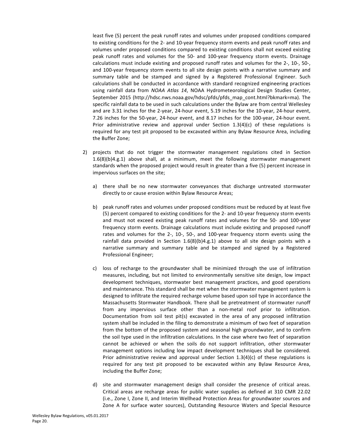least five (5) percent the peak runoff rates and volumes under proposed conditions compared to existing conditions for the 2- and 10-year frequency storm events and peak runoff rates and volumes under proposed conditions compared to existing conditions shall not exceed existing peak runoff rates and volumes for the 50- and 100-year frequency storm events. Drainage calculations must include existing and proposed runoff rates and volumes for the 2-, 10-, 50-, and 100-year frequency storm events to all site design points with a narrative summary and summary table and be stamped and signed by a Registered Professional Engineer. Such calculations shall be conducted in accordance with standard recognized engineering practices using rainfall data from *NOAA Atlas 14*, NOAA Hydrometeorological Design Studies Center, September 2015 (http://hdsc.nws.noaa.gov/hdsc/pfds/pfds\_map\_cont.html?bkmark=ma). The specific rainfall data to be used in such calculations under the Bylaw are from central Wellesley and are 3.31 inches for the 2-year, 24-hour event, 5.19 inches for the 10-year, 24-hour event, 7.26 inches for the 50-year, 24-hour event, and 8.17 inches for the 100-year, 24-hour event. Prior administrative review and approval under Section  $1.3(4)(c)$  of these regulations is required for any test pit proposed to be excavated within any Bylaw Resource Area, including the Buffer Zone;

- 2) projects that do not trigger the stormwater management regulations cited in Section  $1.6(8)(b)4.g.1$  above shall, at a minimum, meet the following stormwater management standards when the proposed project would result in greater than a five (5) percent increase in impervious surfaces on the site;
	- a) there shall be no new stormwater conveyances that discharge untreated stormwater directly to or cause erosion within Bylaw Resource Areas;
	- b) peak runoff rates and volumes under proposed conditions must be reduced by at least five (5) percent compared to existing conditions for the 2- and 10-year frequency storm events and must not exceed existing peak runoff rates and volumes for the 50- and 100-year frequency storm events. Drainage calculations must include existing and proposed runoff rates and volumes for the 2-, 10-, 50-, and 100-year frequency storm events using the rainfall data provided in Section  $1.6(8)(b)4.g.1$ ) above to all site design points with a narrative summary and summary table and be stamped and signed by a Registered Professional Engineer;
	- c) loss of recharge to the groundwater shall be minimized through the use of infiltration measures, including, but not limited to environmentally sensitive site design, low impact development techniques, stormwater best management practices, and good operations and maintenance. This standard shall be met when the stormwater management system is designed to infiltrate the required recharge volume based upon soil type in accordance the Massachusetts Stormwater Handbook. There shall be pretreatment of stormwater runoff from any impervious surface other than a non-metal roof prior to infiltration. Documentation from soil test pit(s) excavated in the area of any proposed infiltration system shall be included in the filing to demonstrate a minimum of two feet of separation from the bottom of the proposed system and seasonal high groundwater, and to confirm the soil type used in the infiltration calculations. In the case where two feet of separation cannot be achieved or when the soils do not support infiltration, other stormwater management options including low impact development techniques shall be considered. Prior administrative review and approval under Section  $1.3(4)(c)$  of these regulations is required for any test pit proposed to be excavated within any Bylaw Resource Area, including the Buffer Zone;
	- d) site and stormwater management design shall consider the presence of critical areas. Critical areas are recharge areas for public water supplies as defined at 310 CMR 22.02 (i.e., Zone I, Zone II, and Interim Wellhead Protection Areas for groundwater sources and Zone A for surface water sources), Outstanding Resource Waters and Special Resource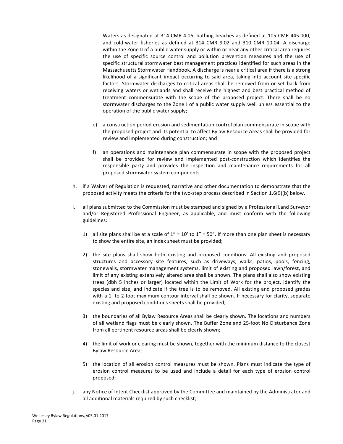Waters as designated at 314 CMR 4.06, bathing beaches as defined at 105 CMR 445.000, and cold-water fisheries as defined at 314 CMR 9.02 and 310 CMR 10.04. A discharge within the Zone II of a public water supply or within or near any other critical area requires the use of specific source control and pollution prevention measures and the use of specific structural stormwater best management practices identified for such areas in the Massachusetts Stormwater Handbook. A discharge is near a critical area if there is a strong likelihood of a significant impact occurring to said area, taking into account site-specific factors. Stormwater discharges to critical areas shall be removed from or set back from receiving waters or wetlands and shall receive the highest and best practical method of treatment commensurate with the scope of the proposed project. There shall be no stormwater discharges to the Zone I of a public water supply well unless essential to the operation of the public water supply;

- e) a construction period erosion and sedimentation control plan commensurate in scope with the proposed project and its potential to affect Bylaw Resource Areas shall be provided for review and implemented during construction; and
- f) an operations and maintenance plan commensurate in scope with the proposed project shall be provided for review and implemented post-construction which identifies the responsible party and provides the inspection and maintenance requirements for all proposed stormwater system components.
- h. if a Waiver of Regulation is requested, narrative and other documentation to demonstrate that the proposed activity meets the criteria for the two-step process described in Section 1.6(9)(b) below.
- i. all plans submitted to the Commission must be stamped and signed by a Professional Land Surveyor and/or Registered Professional Engineer, as applicable, and must conform with the following guidelines:
	- 1) all site plans shall be at a scale of  $1'' = 10'$  to  $1'' = 50''$ . If more than one plan sheet is necessary to show the entire site, an index sheet must be provided;
	- 2) the site plans shall show both existing and proposed conditions. All existing and proposed structures and accessory site features, such as driveways, walks, patios, pools, fencing, stonewalls, stormwater management systems, limit of existing and proposed lawn/forest, and limit of any existing extensively altered area shall be shown. The plans shall also show existing trees (dbh 5 inches or larger) located within the Limit of Work for the project, identify the species and size, and indicate if the tree is to be removed. All existing and proposed grades with a 1- to 2-foot maximum contour interval shall be shown. If necessary for clarity, separate existing and proposed conditions sheets shall be provided;
	- 3) the boundaries of all Bylaw Resource Areas shall be clearly shown. The locations and numbers of all wetland flags must be clearly shown. The Buffer Zone and 25-foot No Disturbance Zone from all pertinent resource areas shall be clearly shown;
	- 4) the limit of work or clearing must be shown, together with the minimum distance to the closest Bylaw Resource Area;
	- 5) the location of all erosion control measures must be shown. Plans must indicate the type of erosion control measures to be used and include a detail for each type of erosion control proposed;
- j. any Notice of Intent Checklist approved by the Committee and maintained by the Administrator and all additional materials required by such checklist;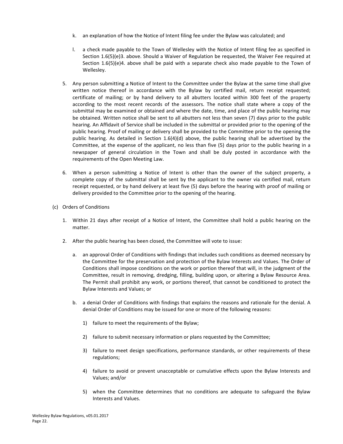- k. an explanation of how the Notice of Intent filing fee under the Bylaw was calculated; and
- I. a check made payable to the Town of Wellesley with the Notice of Intent filing fee as specified in Section  $1.6(5)(e)3$ . above. Should a Waiver of Regulation be requested, the Waiver Fee required at Section  $1.6(5)(e)4$ . above shall be paid with a separate check also made payable to the Town of Wellesley.
- 5. Any person submitting a Notice of Intent to the Committee under the Bylaw at the same time shall give written notice thereof in accordance with the Bylaw by certified mail, return receipt requested; certificate of mailing; or by hand delivery to all abutters located within 300 feet of the property according to the most recent records of the assessors. The notice shall state where a copy of the submittal may be examined or obtained and where the date, time, and place of the public hearing may be obtained. Written notice shall be sent to all abutters not less than seven (7) days prior to the public hearing. An Affidavit of Service shall be included in the submittal or provided prior to the opening of the public hearing. Proof of mailing or delivery shall be provided to the Committee prior to the opening the public hearing. As detailed in Section  $1.6(4)(d)$  above, the public hearing shall be advertised by the Committee, at the expense of the applicant, no less than five (5) days prior to the public hearing in a newspaper of general circulation in the Town and shall be duly posted in accordance with the requirements of the Open Meeting Law.
- 6. When a person submitting a Notice of Intent is other than the owner of the subject property, a complete copy of the submittal shall be sent by the applicant to the owner via certified mail, return receipt requested, or by hand delivery at least five (5) days before the hearing with proof of mailing or delivery provided to the Committee prior to the opening of the hearing.
- (c) Orders of Conditions
	- 1. Within 21 days after receipt of a Notice of Intent, the Committee shall hold a public hearing on the matter.
	- 2. After the public hearing has been closed, the Committee will vote to issue:
		- a. an approval Order of Conditions with findings that includes such conditions as deemed necessary by the Committee for the preservation and protection of the Bylaw Interests and Values. The Order of Conditions shall impose conditions on the work or portion thereof that will, in the judgment of the Committee, result in removing, dredging, filling, building upon, or altering a Bylaw Resource Area. The Permit shall prohibit any work, or portions thereof, that cannot be conditioned to protect the Bylaw Interests and Values; or
		- b. a denial Order of Conditions with findings that explains the reasons and rationale for the denial. A denial Order of Conditions may be issued for one or more of the following reasons:
			- 1) failure to meet the requirements of the Bylaw;
			- 2) failure to submit necessary information or plans requested by the Committee;
			- 3) failure to meet design specifications, performance standards, or other requirements of these regulations;
			- 4) failure to avoid or prevent unacceptable or cumulative effects upon the Bylaw Interests and Values; and/or
			- 5) when the Committee determines that no conditions are adequate to safeguard the Bylaw Interests and Values.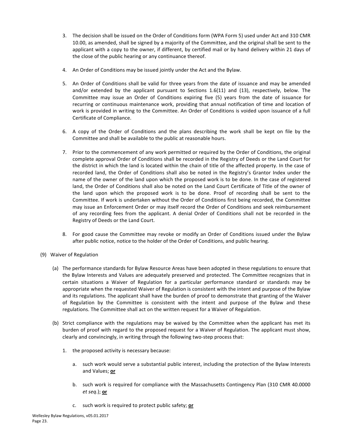- <span id="page-24-0"></span>3. The decision shall be issued on the Order of Conditions form (WPA Form 5) used under Act and 310 CMR 10.00, as amended, shall be signed by a majority of the Committee, and the original shall be sent to the applicant with a copy to the owner, if different, by certified mail or by hand delivery within 21 days of the close of the public hearing or any continuance thereof.
- 4. An Order of Conditions may be issued jointly under the Act and the Bylaw.
- 5. An Order of Conditions shall be valid for three years from the date of issuance and may be amended and/or extended by the applicant pursuant to Sections  $1.6(11)$  and  $(13)$ , respectively, below. The Committee may issue an Order of Conditions expiring five (5) years from the date of issuance for recurring or continuous maintenance work, providing that annual notification of time and location of work is provided in writing to the Committee. An Order of Conditions is voided upon issuance of a full Certificate of Compliance.
- 6. A copy of the Order of Conditions and the plans describing the work shall be kept on file by the Committee and shall be available to the public at reasonable hours.
- 7. Prior to the commencement of any work permitted or required by the Order of Conditions, the original complete approval Order of Conditions shall be recorded in the Registry of Deeds or the Land Court for the district in which the land is located within the chain of title of the affected property. In the case of recorded land, the Order of Conditions shall also be noted in the Registry's Grantor Index under the name of the owner of the land upon which the proposed work is to be done. In the case of registered land, the Order of Conditions shall also be noted on the Land Court Certificate of Title of the owner of the land upon which the proposed work is to be done. Proof of recording shall be sent to the Committee. If work is undertaken without the Order of Conditions first being recorded, the Committee may issue an Enforcement Order or may itself record the Order of Conditions and seek reimbursement of any recording fees from the applicant. A denial Order of Conditions shall not be recorded in the Registry of Deeds or the Land Court.
- 8. For good cause the Committee may revoke or modify an Order of Conditions issued under the Bylaw after public notice, notice to the holder of the Order of Conditions, and public hearing.
- (9) Waiver of Regulation
	- (a) The performance standards for Bylaw Resource Areas have been adopted in these regulations to ensure that the Bylaw Interests and Values are adequately preserved and protected. The Committee recognizes that in certain situations a Waiver of Regulation for a particular performance standard or standards may be appropriate when the requested Waiver of Regulation is consistent with the intent and purpose of the Bylaw and its regulations. The applicant shall have the burden of proof to demonstrate that granting of the Waiver of Regulation by the Committee is consistent with the intent and purpose of the Bylaw and these regulations. The Committee shall act on the written request for a Waiver of Regulation.
	- (b) Strict compliance with the regulations may be waived by the Committee when the applicant has met its burden of proof with regard to the proposed request for a Waiver of Regulation. The applicant must show, clearly and convincingly, in writing through the following two-step process that:
		- 1. the proposed activity is necessary because:
			- a. such work would serve a substantial public interest, including the protection of the Bylaw Interests and Values; **or**
			- b. such work is required for compliance with the Massachusetts Contingency Plan (310 CMR 40.0000 *et seq*.); **or**
			- c. such work is required to protect public safety; **or**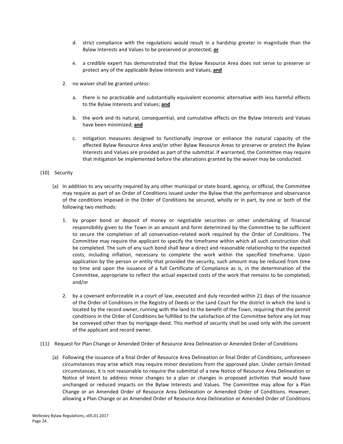- <span id="page-25-0"></span>d. strict compliance with the regulations would result in a hardship greater in magnitude than the Bylaw Interests and Values to be preserved or protected; or
- e. a credible expert has demonstrated that the Bylaw Resource Area does not serve to preserve or protect any of the applicable Bylaw Interests and Values; **and**
- 2. no waiver shall be granted unless:
	- a. there is no practicable and substantially equivalent economic alternative with less harmful effects to the Bylaw Interests and Values; and
	- b. the work and its natural, consequential, and cumulative effects on the Bylaw Interests and Values have been minimized; and
	- c. mitigation measures designed to functionally improve or enhance the natural capacity of the affected Bylaw Resource Area and/or other Bylaw Resource Areas to preserve or protect the Bylaw Interests and Values are provided as part of the submittal. If warranted, the Committee may require that mitigation be implemented before the alterations granted by the waiver may be conducted.

#### (10) Security

- (a) In addition to any security required by any other municipal or state board, agency, or official, the Committee may require as part of an Order of Conditions issued under the Bylaw that the performance and observance of the conditions imposed in the Order of Conditions be secured, wholly or in part, by one or both of the following two methods:
	- 1. by proper bond or deposit of money or negotiable securities or other undertaking of financial responsibility given to the Town in an amount and form determined by the Committee to be sufficient to secure the completion of all conservation-related work required by the Order of Conditions. The Committee may require the applicant to specify the timeframe within which all such construction shall be completed. The sum of any such bond shall bear a direct and reasonable relationship to the expected costs, including inflation, necessary to complete the work within the specified timeframe. Upon application by the person or entity that provided the security, such amount may be reduced from time to time and upon the issuance of a full Certificate of Compliance as is, in the determination of the Committee, appropriate to reflect the actual expected costs of the work that remains to be completed; and/or
	- 2. by a covenant enforceable in a court of law, executed and duly recorded within 21 days of the issuance of the Order of Conditions in the Registry of Deeds or the Land Court for the district in which the land is located by the record owner, running with the land to the benefit of the Town, requiring that the permit conditions in the Order of Conditions be fulfilled to the satisfaction of the Committee before any lot may be conveyed other than by mortgage deed. This method of security shall be used only with the consent of the applicant and record owner.
- (11) Request for Plan Change or Amended Order of Resource Area Delineation or Amended Order of Conditions
	- (a) Following the issuance of a final Order of Resource Area Delineation or final Order of Conditions, unforeseen circumstances may arise which may require minor deviations from the approved plan. Under certain limited circumstances, it is not reasonable to require the submittal of a new Notice of Resource Area Delineation or Notice of Intent to address minor changes to a plan or changes in proposed activities that would have unchanged or reduced impacts on the Bylaw Interests and Values. The Committee may allow for a Plan Change or an Amended Order of Resource Area Delineation or Amended Order of Conditions. However, allowing a Plan Change or an Amended Order of Resource Area Delineation or Amended Order of Conditions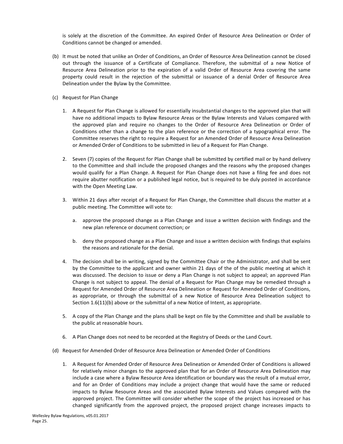<span id="page-26-0"></span>is solely at the discretion of the Committee. An expired Order of Resource Area Delineation or Order of Conditions cannot be changed or amended.

- (b) It must be noted that unlike an Order of Conditions, an Order of Resource Area Delineation cannot be closed out through the issuance of a Certificate of Compliance. Therefore, the submittal of a new Notice of Resource Area Delineation prior to the expiration of a valid Order of Resource Area covering the same property could result in the rejection of the submittal or issuance of a denial Order of Resource Area Delineation under the Bylaw by the Committee.
- (c) Request for Plan Change
	- 1. A Request for Plan Change is allowed for essentially insubstantial changes to the approved plan that will have no additional impacts to Bylaw Resource Areas or the Bylaw Interests and Values compared with the approved plan and require no changes to the Order of Resource Area Delineation or Order of Conditions other than a change to the plan reference or the correction of a typographical error. The Committee reserves the right to require a Request for an Amended Order of Resource Area Delineation or Amended Order of Conditions to be submitted in lieu of a Request for Plan Change.
	- 2. Seven (7) copies of the Request for Plan Change shall be submitted by certified mail or by hand delivery to the Committee and shall include the proposed changes and the reasons why the proposed changes would qualify for a Plan Change. A Request for Plan Change does not have a filing fee and does not require abutter notification or a published legal notice, but is required to be duly posted in accordance with the Open Meeting Law.
	- 3. Within 21 days after receipt of a Request for Plan Change, the Committee shall discuss the matter at a public meeting. The Committee will vote to:
		- a. approve the proposed change as a Plan Change and issue a written decision with findings and the new plan reference or document correction; or
		- b. deny the proposed change as a Plan Change and issue a written decision with findings that explains the reasons and rationale for the denial.
	- 4. The decision shall be in writing, signed by the Committee Chair or the Administrator, and shall be sent by the Committee to the applicant and owner within 21 days of the of the public meeting at which it was discussed. The decision to issue or deny a Plan Change is not subject to appeal; an approved Plan Change is not subject to appeal. The denial of a Request for Plan Change may be remedied through a Request for Amended Order of Resource Area Delineation or Request for Amended Order of Conditions, as appropriate, or through the submittal of a new Notice of Resource Area Delineation subject to Section  $1.6(11)(b)$  above or the submittal of a new Notice of Intent, as appropriate.
	- 5. A copy of the Plan Change and the plans shall be kept on file by the Committee and shall be available to the public at reasonable hours.
	- 6. A Plan Change does not need to be recorded at the Registry of Deeds or the Land Court.
- (d) Request for Amended Order of Resource Area Delineation or Amended Order of Conditions
	- 1. A Request for Amended Order of Resource Area Delineation or Amended Order of Conditions is allowed for relatively minor changes to the approved plan that for an Order of Resource Area Delineation may include a case where a Bylaw Resource Area identification or boundary was the result of a mutual error, and for an Order of Conditions may include a project change that would have the same or reduced impacts to Bylaw Resource Areas and the associated Bylaw Interests and Values compared with the approved project. The Committee will consider whether the scope of the project has increased or has changed significantly from the approved project, the proposed project change increases impacts to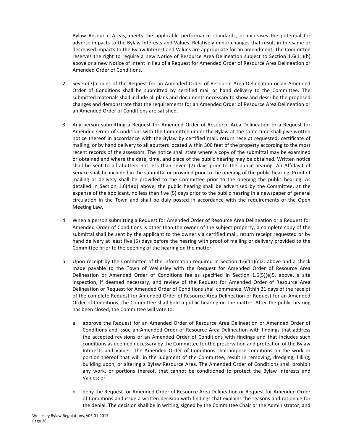Bylaw Resource Areas, meets the applicable performance standards, or increases the potential for adverse impacts to the Bylaw Interests and Values. Relatively minor changes that result in the same or decreased impacts to the Bylaw Interest and Values are appropriate for an amendment. The Committee reserves the right to require a new Notice of Resource Area Delineation subject to Section  $1.6(11)(b)$ above or a new Notice of Intent in lieu of a Request for Amended Order of Resource Area Delineation or Amended Order of Conditions.

- 2. Seven (7) copies of the Request for an Amended Order of Resource Area Delineation or an Amended Order of Conditions shall be submitted by certified mail or hand delivery to the Committee. The submitted materials shall include all plans and documents necessary to show and describe the proposed changes and demonstrate that the requirements for an Amended Order of Resource Area Delineation or an Amended Order of Conditions are satisfied.
- 3. Any person submitting a Request for Amended Order of Resource Area Delineation or a Request for Amended Order of Conditions with the Committee under the Bylaw at the same time shall give written notice thereof in accordance with the Bylaw by certified mail, return receipt requested; certificate of mailing; or by hand delivery to all abutters located within 300 feet of the property according to the most recent records of the assessors. The notice shall state where a copy of the submittal may be examined or obtained and where the date, time, and place of the public hearing may be obtained. Written notice shall be sent to all abutters not less than seven (7) days prior to the public hearing. An Affidavit of Service shall be included in the submittal or provided prior to the opening of the public hearing. Proof of mailing or delivery shall be provided to the Committee prior to the opening the public hearing. As detailed in Section  $1.6(4)(d)$  above, the public hearing shall be advertised by the Committee, at the expense of the applicant, no less than five (5) days prior to the public hearing in a newspaper of general circulation in the Town and shall be duly posted in accordance with the requirements of the Open Meeting Law.
- 4. When a person submitting a Request for Amended Order of Resource Area Delineation or a Request for Amended Order of Conditions is other than the owner of the subject property, a complete copy of the submittal shall be sent by the applicant to the owner via certified mail, return receipt requested or by hand delivery at least five (5) days before the hearing with proof of mailing or delivery provided to the Committee prior to the opening of the hearing on the matter.
- 5. Upon receipt by the Committee of the information required in Section  $1.6(11)(c)2$ . above and a check made payable to the Town of Wellesley with the Request for Amended Order of Resource Area Delineation or Amended Order of Conditions fee as specified in Section  $1.6(5)(e)5$ . above, a site inspection, if deemed necessary, and review of the Request for Amended Order of Resource Area Delineation or Request for Amended Order of Conditions shall commence. Within 21 days of the receipt of the complete Request for Amended Order of Resource Area Delineation or Request for an Amended Order of Conditions, the Committee shall hold a public hearing on the matter. After the public hearing has been closed, the Committee will vote to:
	- a. approve the Request for an Amended Order of Resource Area Delineation or Amended Order of Conditions and issue an Amended Order of Resource Area Delineation with findings that address the accepted revisions or an Amended Order of Conditions with findings and that includes such conditions as deemed necessary by the Committee for the preservation and protection of the Bylaw Interests and Values. The Amended Order of Conditions shall impose conditions on the work or portion thereof that will, in the judgment of the Committee, result in removing, dredging, filling, building upon, or altering a Bylaw Resource Area. The Amended Order of Conditions shall prohibit any work, or portions thereof, that cannot be conditioned to protect the Bylaw Interests and Values; or
	- b. deny the Request for Amended Order of Resource Area Delineation or Request for Amended Order of Conditions and issue a written decision with findings that explains the reasons and rationale for the denial. The decision shall be in writing, signed by the Committee Chair or the Administrator, and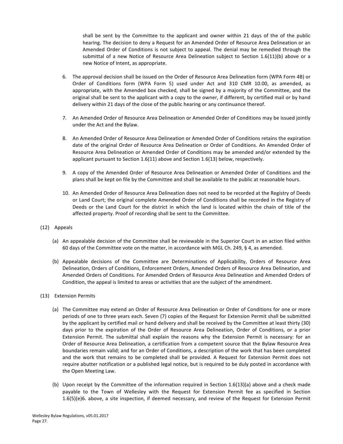<span id="page-28-0"></span>shall be sent by the Committee to the applicant and owner within 21 days of the of the public hearing. The decision to deny a Request for an Amended Order of Resource Area Delineation or an Amended Order of Conditions is not subject to appeal. The denial may be remedied through the submittal of a new Notice of Resource Area Delineation subject to Section  $1.6(11)(b)$  above or a new Notice of Intent, as appropriate.

- 6. The approval decision shall be issued on the Order of Resource Area Delineation form (WPA Form 4B) or Order of Conditions form (WPA Form 5) used under Act and 310 CMR 10.00, as amended, as appropriate, with the Amended box checked, shall be signed by a majority of the Committee, and the original shall be sent to the applicant with a copy to the owner, if different, by certified mail or by hand delivery within 21 days of the close of the public hearing or any continuance thereof.
- 7. An Amended Order of Resource Area Delineation or Amended Order of Conditions may be issued jointly under the Act and the Bylaw.
- 8. An Amended Order of Resource Area Delineation or Amended Order of Conditions retains the expiration date of the original Order of Resource Area Delineation or Order of Conditions. An Amended Order of Resource Area Delineation or Amended Order of Conditions may be amended and/or extended by the applicant pursuant to Section  $1.6(11)$  above and Section  $1.6(13)$  below, respectively.
- 9. A copy of the Amended Order of Resource Area Delineation or Amended Order of Conditions and the plans shall be kept on file by the Committee and shall be available to the public at reasonable hours.
- 10. An Amended Order of Resource Area Delineation does not need to be recorded at the Registry of Deeds or Land Court; the original complete Amended Order of Conditions shall be recorded in the Registry of Deeds or the Land Court for the district in which the land is located within the chain of title of the affected property. Proof of recording shall be sent to the Committee.
- (12) Appeals
	- (a) An appealable decision of the Committee shall be reviewable in the Superior Court in an action filed within 60 days of the Committee vote on the matter, in accordance with MGL Ch. 249, § 4, as amended.
	- (b) Appealable decisions of the Committee are Determinations of Applicability, Orders of Resource Area Delineation, Orders of Conditions, Enforcement Orders, Amended Orders of Resource Area Delineation, and Amended Orders of Conditions. For Amended Orders of Resource Area Delineation and Amended Orders of Condition, the appeal is limited to areas or activities that are the subject of the amendment.
- (13) Extension Permits
	- (a) The Committee may extend an Order of Resource Area Delineation or Order of Conditions for one or more periods of one to three years each. Seven (7) copies of the Request for Extension Permit shall be submitted by the applicant by certified mail or hand delivery and shall be received by the Committee at least thirty (30) days prior to the expiration of the Order of Resource Area Delineation, Order of Conditions, or a prior Extension Permit. The submittal shall explain the reasons why the Extension Permit is necessary: for an Order of Resource Area Delineation, a certification from a competent source that the Bylaw Resource Area boundaries remain valid; and for an Order of Conditions, a description of the work that has been completed and the work that remains to be completed shall be provided. A Request for Extension Permit does not require abutter notification or a published legal notice, but is required to be duly posted in accordance with the Open Meeting Law.
	- (b) Upon receipt by the Committee of the information required in Section 1.6(13)(a) above and a check made payable to the Town of Wellesley with the Request for Extension Permit fee as specified in Section 1.6(5)(e)6. above, a site inspection, if deemed necessary, and review of the Request for Extension Permit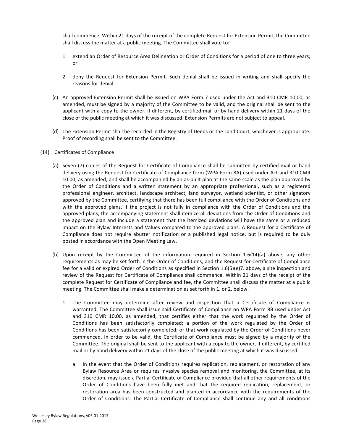<span id="page-29-0"></span>shall commence. Within 21 days of the receipt of the complete Request for Extension Permit, the Committee shall discuss the matter at a public meeting. The Committee shall vote to:

- 1. extend an Order of Resource Area Delineation or Order of Conditions for a period of one to three years; or
- 2. deny the Request for Extension Permit. Such denial shall be issued in writing and shall specify the reasons for denial.
- (c) An approved Extension Permit shall be issued on WPA Form 7 used under the Act and 310 CMR 10.00, as amended, must be signed by a majority of the Committee to be valid, and the original shall be sent to the applicant with a copy to the owner, if different, by certified mail or by hand delivery within 21 days of the close of the public meeting at which it was discussed. Extension Permits are not subject to appeal.
- (d) The Extension Permit shall be recorded in the Registry of Deeds or the Land Court, whichever is appropriate. Proof of recording shall be sent to the Committee.
- (14) Certificates of Compliance
	- (a) Seven (7) copies of the Request for Certificate of Compliance shall be submitted by certified mail or hand delivery using the Request for Certificate of Compliance form (WPA Form 8A) used under Act and 310 CMR 10.00, as amended, and shall be accompanied by an as-built plan at the same scale as the plan approved by the Order of Conditions and a written statement by an appropriate professional, such as a registered professional engineer, architect, landscape architect, land surveyor, wetland scientist, or other signatory approved by the Committee, certifying that there has been full compliance with the Order of Conditions and with the approved plans. If the project is not fully in compliance with the Order of Conditions and the approved plans, the accompanying statement shall itemize all deviations from the Order of Conditions and the approved plan and include a statement that the itemized deviations will have the same or a reduced impact on the Bylaw Interests and Values compared to the approved plans. A Request for a Certificate of Compliance does not require abutter notification or a published legal notice, but is required to be duly posted in accordance with the Open Meeting Law.
	- (b) Upon receipt by the Committee of the information required in Section 1.6(14)(a) above, any other requirements as may be set forth in the Order of Conditions, and the Request for Certificate of Compliance fee for a valid or expired Order of Conditions as specified in Section 1.6(5)(e)7. above, a site inspection and review of the Request for Certificate of Compliance shall commence. Within 21 days of the receipt of the complete Request for Certificate of Compliance and fee, the Committee shall discuss the matter at a public meeting. The Committee shall make a determination as set forth in 1. or 2. below.
		- 1. The Committee may determine after review and inspection that a Certificate of Compliance is warranted. The Committee shall issue said Certificate of Compliance on WPA Form 8B used under Act and 310 CMR 10.00, as amended, that certifies either that the work regulated by the Order of Conditions has been satisfactorily completed; a portion of the work regulated by the Order of Conditions has been satisfactorily completed; or that work regulated by the Order of Conditions never commenced. In order to be valid, the Certificate of Compliance must be signed by a majority of the Committee. The original shall be sent to the applicant with a copy to the owner, if different, by certified mail or by hand delivery within 21 days of the close of the public meeting at which it was discussed.
			- a. In the event that the Order of Conditions requires replication, replacement, or restoration of any Bylaw Resource Area or requires invasive species removal and monitoring, the Committee, at its discretion, may issue a Partial Certificate of Compliance provided that all other requirements of the Order of Conditions have been fully met and that the required replication, replacement, or restoration area has been constructed and planted in accordance with the requirements of the Order of Conditions. The Partial Certificate of Compliance shall continue any and all conditions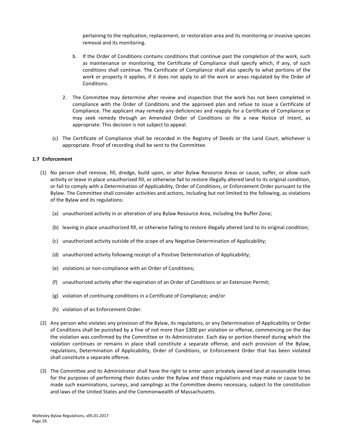<span id="page-30-0"></span>pertaining to the replication, replacement, or restoration area and its monitoring or invasive species removal and its monitoring.

- b. If the Order of Conditions contains conditions that continue past the completion of the work, such as maintenance or monitoring, the Certificate of Compliance shall specify which, if any, of such conditions shall continue. The Certificate of Compliance shall also specify to what portions of the work or property it applies, if it does not apply to all the work or areas regulated by the Order of Conditions.
- 2. The Committee may determine after review and inspection that the work has not been completed in compliance with the Order of Conditions and the approved plan and refuse to issue a Certificate of Compliance. The applicant may remedy any deficiencies and reapply for a Certificate of Compliance or may seek remedy through an Amended Order of Conditions or file a new Notice of Intent, as appropriate. This decision is not subject to appeal.
- (c) The Certificate of Compliance shall be recorded in the Registry of Deeds or the Land Court, whichever is appropriate. Proof of recording shall be sent to the Committee.

# **1.7 Enforcement**

- (1) No person shall remove, fill, dredge, build upon, or alter Bylaw Resource Areas or cause, suffer, or allow such activity or leave in place unauthorized fill, or otherwise fail to restore illegally altered land to its original condition, or fail to comply with a Determination of Applicability, Order of Conditions, or Enforcement Order pursuant to the Bylaw. The Committee shall consider activities and actions, including but not limited to the following, as violations of the Bylaw and its regulations:
	- (a) unauthorized activity in or alteration of any Bylaw Resource Area, including the Buffer Zone;
	- (b) leaving in place unauthorized fill, or otherwise failing to restore illegally altered land to its original condition;
	- (c) unauthorized activity outside of the scope of any Negative Determination of Applicability;
	- (d) unauthorized activity following receipt of a Positive Determination of Applicability;
	- (e) violations or non-compliance with an Order of Conditions;
	- (f) unauthorized activity after the expiration of an Order of Conditions or an Extension Permit;
	- (g) violation of continuing conditions in a Certificate of Compliance; and/or
	- (h) violation of an Enforcement Order.
- (2) Any person who violates any provision of the Bylaw, its regulations, or any Determination of Applicability or Order of Conditions shall be punished by a fine of not more than \$300 per violation or offense, commencing on the day the violation was confirmed by the Committee or its Administrator. Each day or portion thereof during which the violation continues or remains in place shall constitute a separate offense, and each provision of the Bylaw, regulations, Determination of Applicability, Order of Conditions, or Enforcement Order that has been violated shall constitute a separate offense.
- (3) The Committee and its Administrator shall have the right to enter upon privately owned land at reasonable times for the purposes of performing their duties under the Bylaw and these regulations and may make or cause to be made such examinations, surveys, and samplings as the Committee deems necessary, subject to the constitution and laws of the United States and the Commonwealth of Massachusetts.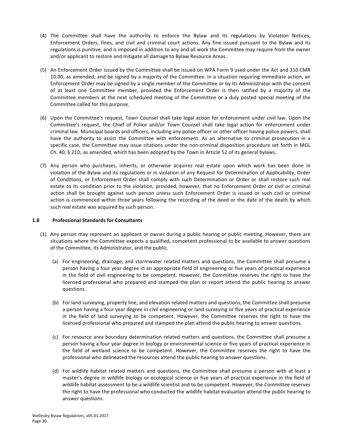- <span id="page-31-0"></span>(4) The Committee shall have the authority to enforce the Bylaw and its regulations by Violation Notices, Enforcement Orders, fines, and civil and criminal court actions. Any fine issued pursuant to the Bylaw and its regulations is punitive, and is imposed in addition to any and all work the Committee may require from the owner and/or applicant to restore and mitigate all damage to Bylaw Resource Areas.
- (5) An Enforcement Order issued by the Committee shall be issued on WPA Form 9 used under the Act and 310 CMR 10.00, as amended, and be signed by a majority of the Committee. In a situation requiring immediate action, an Enforcement Order may be signed by a single member of the Committee or by its Administrator with the consent of at least one Committee member, provided the Enforcement Order is then ratified by a majority of the Committee members at the next scheduled meeting of the Committee or a duly posted special meeting of the Committee called for this purpose.
- (6) Upon the Committee's request, Town Counsel shall take legal action for enforcement under civil law. Upon the Committee's request, the Chief of Police and/or Town Counsel shall take legal action for enforcement under criminal law. Municipal boards and officers, including any police officer or other officer having police powers, shall have the authority to assist the Committee with enforcement. As an alternative to criminal prosecution in a specific case, the Committee may issue citations under the non-criminal disposition procedure set forth in MGL Ch. 40,  $\S$  21D, as amended, which has been adopted by the Town in Article 52 of its general bylaws.
- (7) Any person who purchases, inherits, or otherwise acquires real estate upon which work has been done in violation of the Bylaw and its regulations or in violation of any Request for Determination of Applicability, Order of Conditions, or Enforcement Order shall comply with such Determination or Order or shall restore such real estate to its condition prior to the violation, provided, however, that no Enforcement Order or civil or criminal action shall be brought against such person unless such Enforcement Order is issued or such civil or criminal action is commenced within three years following the recording of the deed or the date of the death by which such real estate was acquired by such person.

# **1.8 Professional Standards for Consultants**

- (1) Any person may represent an applicant or owner during a public hearing or public meeting. However, there are situations where the Committee expects a qualified, competent professional to be available to answer questions of the Committee, its Administrator, and the public.
	- (a) For engineering, drainage, and stormwater related matters and questions, the Committee shall presume a person having a four year degree in an appropriate field of engineering or five years of practical experience in the field of civil engineering to be competent. However, the Committee reserves the right to have the licensed professional who prepared and stamped the plan or report attend the public hearing to answer questions.
	- (b) For land surveying, property line, and elevation related matters and questions, the Committee shall presume a person having a four year degree in civil engineering or land surveying or five years of practical experience in the field of land surveying to be competent. However, the Committee reserves the right to have the licensed professional who prepared and stamped the plan attend the public hearing to answer questions.
	- (c) For resource area boundary determination related matters and questions, the Committee shall presume a person having a four year degree in biology or environmental science or five years of practical experience in the field of wetland science to be competent. However, the Committee reserves the right to have the professional who delineated the resources attend the public hearing to answer questions.
	- (d) For wildlife habitat related matters and questions, the Committee shall presume a person with at least a master's degree in wildlife biology or ecological science or five years of practical experience in the field of wildlife habitat assessment to be a wildlife scientist and to be competent. However, the Committee reserves the right to have the professional who conducted the wildlife habitat evaluation attend the public hearing to answer questions.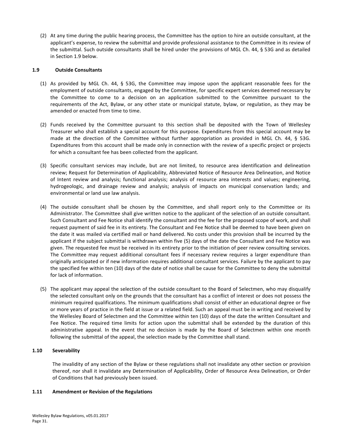<span id="page-32-0"></span>(2) At any time during the public hearing process, the Committee has the option to hire an outside consultant, at the applicant's expense, to review the submittal and provide professional assistance to the Committee in its review of the submittal. Such outside consultants shall be hired under the provisions of MGL Ch. 44, § 53G and as detailed in Section 1.9 below.

#### **1.9 Outside Consultants**

- (1) As provided by MGL Ch. 44, § 53G, the Committee may impose upon the applicant reasonable fees for the employment of outside consultants, engaged by the Committee, for specific expert services deemed necessary by the Committee to come to a decision on an application submitted to the Committee pursuant to the requirements of the Act, Bylaw, or any other state or municipal statute, bylaw, or regulation, as they may be amended or enacted from time to time.
- (2) Funds received by the Committee pursuant to this section shall be deposited with the Town of Wellesley Treasurer who shall establish a special account for this purpose. Expenditures from this special account may be made at the direction of the Committee without further appropriation as provided in MGL Ch. 44,  $\S$  53G. Expenditures from this account shall be made only in connection with the review of a specific project or projects for which a consultant fee has been collected from the applicant.
- (3) Specific consultant services may include, but are not limited, to resource area identification and delineation review; Request for Determination of Applicability, Abbreviated Notice of Resource Area Delineation, and Notice of Intent review and analysis; functional analysis; analysis of resource area interests and values; engineering, hydrogeologic, and drainage review and analysis; analysis of impacts on municipal conservation lands; and environmental or land use law analysis.
- (4) The outside consultant shall be chosen by the Committee, and shall report only to the Committee or its Administrator. The Committee shall give written notice to the applicant of the selection of an outside consultant. Such Consultant and Fee Notice shall identify the consultant and the fee for the proposed scope of work, and shall request payment of said fee in its entirety. The Consultant and Fee Notice shall be deemed to have been given on the date it was mailed via certified mail or hand delivered. No costs under this provision shall be incurred by the applicant if the subject submittal is withdrawn within five (5) days of the date the Consultant and Fee Notice was given. The requested fee must be received in its entirety prior to the initiation of peer review consulting services. The Committee may request additional consultant fees if necessary review requires a larger expenditure than originally anticipated or if new information requires additional consultant services. Failure by the applicant to pay the specified fee within ten (10) days of the date of notice shall be cause for the Committee to deny the submittal for lack of information.
- (5) The applicant may appeal the selection of the outside consultant to the Board of Selectmen, who may disqualify the selected consultant only on the grounds that the consultant has a conflict of interest or does not possess the minimum required qualifications. The minimum qualifications shall consist of either an educational degree or five or more years of practice in the field at issue or a related field. Such an appeal must be in writing and received by the Wellesley Board of Selectmen and the Committee within ten (10) days of the date the written Consultant and Fee Notice. The required time limits for action upon the submittal shall be extended by the duration of this administrative appeal. In the event that no decision is made by the Board of Selectmen within one month following the submittal of the appeal, the selection made by the Committee shall stand.

# **1.10 Severability**

The invalidity of any section of the Bylaw or these regulations shall not invalidate any other section or provision thereof, nor shall it invalidate any Determination of Applicability, Order of Resource Area Delineation, or Order of Conditions that had previously been issued.

#### **1.11** Amendment or Revision of the Regulations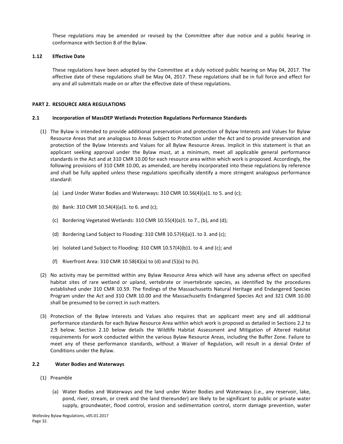<span id="page-33-0"></span>These regulations may be amended or revised by the Committee after due notice and a public hearing in conformance with Section 8 of the Bylaw.

## **1.12 Effective Date**

These regulations have been adopted by the Committee at a duly noticed public hearing on May 04, 2017. The effective date of these regulations shall be May 04, 2017. These regulations shall be in full force and effect for any and all submittals made on or after the effective date of these regulations.

#### **PART 2. RESOURCE AREA REGULATIONS**

#### **2.1 Incorporation of MassDEP Wetlands Protection Regulations Performance Standards**

- (1) The Bylaw is intended to provide additional preservation and protection of Bylaw Interests and Values for Bylaw Resource Areas that are analogous to Areas Subject to Protection under the Act and to provide preservation and protection of the Bylaw Interests and Values for all Bylaw Resource Areas. Implicit in this statement is that an applicant seeking approval under the Bylaw must, at a minimum, meet all applicable general performance standards in the Act and at 310 CMR 10.00 for each resource area within which work is proposed. Accordingly, the following provisions of 310 CMR 10.00, as amended, are hereby incorporated into these regulations by reference and shall be fully applied unless these regulations specifically identify a more stringent analogous performance standard:
	- (a) Land Under Water Bodies and Waterways:  $310$  CMR  $10.56(4)(a)1$ . to 5. and (c);
	- (b) Bank: 310 CMR 10.54(4)(a)1. to 6. and (c);
	- (c) Bordering Vegetated Wetlands: 310 CMR 10.55(4)(a)1. to 7., (b), and (d);
	- (d) Bordering Land Subject to Flooding:  $310$  CMR  $10.57(4)(a)1$ . to 3. and (c);
	- (e) Isolated Land Subject to Flooding:  $310$  CMR  $10.57(4)(b)1$ . to 4. and (c); and
	- (f) Riverfront Area:  $310$  CMR  $10.58(4)(a)$  to  $(d)$  and  $(5)(a)$  to  $(h)$ .
- (2) No activity may be permitted within any Bylaw Resource Area which will have any adverse effect on specified habitat sites of rare wetland or upland, vertebrate or invertebrate species, as identified by the procedures established under 310 CMR 10.59. The findings of the Massachusetts Natural Heritage and Endangered Species Program under the Act and 310 CMR 10.00 and the Massachusetts Endangered Species Act and 321 CMR 10.00 shall be presumed to be correct in such matters.
- (3) Protection of the Bylaw Interests and Values also requires that an applicant meet any and all additional performance standards for each Bylaw Resource Area within which work is proposed as detailed in Sections 2.2 to 2.9 below. Section 2.10 below details the Wildlife Habitat Assessment and Mitigation of Altered Habitat requirements for work conducted within the various Bylaw Resource Areas, including the Buffer Zone. Failure to meet any of these performance standards, without a Waiver of Regulation, will result in a denial Order of Conditions under the Bylaw.

#### **2.2 Water Bodies and Waterways**

- (1) Preamble
	- (a) Water Bodies and Waterways and the land under Water Bodies and Waterways (i.e., any reservoir, lake, pond, river, stream, or creek and the land thereunder) are likely to be significant to public or private water supply, groundwater, flood control, erosion and sedimentation control, storm damage prevention, water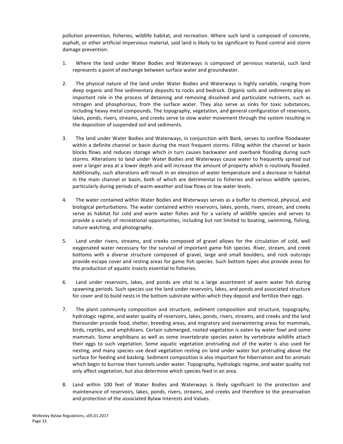pollution prevention, fisheries, wildlife habitat, and recreation. Where such land is composed of concrete, asphalt, or other artificial impervious material, said land is likely to be significant to flood control and storm damage prevention.

- 1. Where the land under Water Bodies and Waterways is composed of pervious material, such land represents a point of exchange between surface water and groundwater.
- 2. The physical nature of the land under Water Bodies and Waterways is highly variable, ranging from deep organic and fine sedimentary deposits to rocks and bedrock. Organic soils and sediments play an important role in the process of detaining and removing dissolved and particulate nutrients, such as nitrogen and phosphorous, from the surface water. They also serve as sinks for toxic substances, including heavy metal compounds. The topography, vegetation, and general configuration of reservoirs, lakes, ponds, rivers, streams, and creeks serve to slow water movement through the system resulting in the deposition of suspended soil and sediments.
- 3. The land under Water Bodies and Waterways, in conjunction with Bank, serves to confine floodwater within a definite channel or basin during the most frequent storms. Filling within the channel or basin blocks flows and reduces storage which in turn causes backwater and overbank flooding during such storms. Alterations to land under Water Bodies and Waterways cause water to frequently spread out over a larger area at a lower depth and will increase the amount of property which is routinely flooded. Additionally, such alterations will result in an elevation of water temperature and a decrease in habitat in the main channel or basin, both of which are detrimental to fisheries and various wildlife species, particularly during periods of warm weather and low flows or low water levels.
- 4. The water contained within Water Bodies and Waterways serves as a buffer to chemical, physical, and biological perturbations. The water contained within reservoirs, lakes, ponds, rivers, stream, and creeks serve as habitat for cold and warm water fishes and for a variety of wildlife species and serves to provide a variety of recreational opportunities, including but not limited to boating, swimming, fishing, nature watching, and photography.
- 5. Land under rivers, streams, and creeks composed of gravel allows for the circulation of cold, well oxygenated water necessary for the survival of important game fish species. River, stream, and creek bottoms with a diverse structure composed of gravel, large and small boulders, and rock outcrops provide escape cover and resting areas for game fish species. Such bottom types also provide areas for the production of aquatic insects essential to fisheries.
- 6. Land under reservoirs, lakes, and ponds are vital to a large assortment of warm water fish during spawning periods. Such species use the land under reservoirs, lakes, and ponds and associated structure for cover and to build nests in the bottom substrate within which they deposit and fertilize their eggs.
- 7. The plant community composition and structure, sediment composition and structure, topography, hydrologic regime, and water quality of reservoirs, lakes, ponds, rivers, streams, and creeks and the land thereunder provide food, shelter, breeding areas, and migratory and overwintering areas for mammals, birds, reptiles, and amphibians. Certain submerged, rooted vegetation is eaten by water fowl and some mammals. Some amphibians as well as some invertebrate species eaten by vertebrate wildlife attach their eggs to such vegetation. Some aquatic vegetation protruding out of the water is also used for nesting, and many species use dead vegetation resting on land under water but protruding above the surface for feeding and basking. Sediment composition is also important for hibernation and for animals which begin to burrow their tunnels under water. Topography, hydrologic regime, and water quality not only affect vegetation, but also determine which species feed in an area.
- 8. Land within 100 feet of Water Bodies and Waterways is likely significant to the protection and maintenance of reservoirs, lakes, ponds, rivers, streams, and creeks and therefore to the preservation and protection of the associated Bylaw Interests and Values.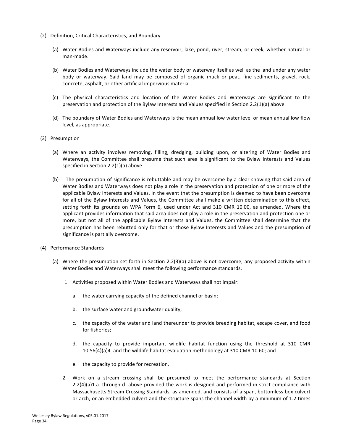- (2) Definition, Critical Characteristics, and Boundary
	- (a) Water Bodies and Waterways include any reservoir, lake, pond, river, stream, or creek, whether natural or man-made.
	- (b) Water Bodies and Waterways include the water body or waterway itself as well as the land under any water body or waterway. Said land may be composed of organic muck or peat, fine sediments, gravel, rock, concrete, asphalt, or other artificial impervious material.
	- (c) The physical characteristics and location of the Water Bodies and Waterways are significant to the preservation and protection of the Bylaw Interests and Values specified in Section 2.2(1)(a) above.
	- (d) The boundary of Water Bodies and Waterways is the mean annual low water level or mean annual low flow level, as appropriate.
- (3) Presumption
	- (a) Where an activity involves removing, filling, dredging, building upon, or altering of Water Bodies and Waterways, the Committee shall presume that such area is significant to the Bylaw Interests and Values specified in Section  $2.2(1)(a)$  above.
	- (b) The presumption of significance is rebuttable and may be overcome by a clear showing that said area of Water Bodies and Waterways does not play a role in the preservation and protection of one or more of the applicable Bylaw Interests and Values. In the event that the presumption is deemed to have been overcome for all of the Bylaw Interests and Values, the Committee shall make a written determination to this effect, setting forth its grounds on WPA Form 6, used under Act and 310 CMR 10.00, as amended. Where the applicant provides information that said area does not play a role in the preservation and protection one or more, but not all of the applicable Bylaw Interests and Values, the Committee shall determine that the presumption has been rebutted only for that or those Bylaw Interests and Values and the presumption of significance is partially overcome.
- (4) Performance Standards
	- (a) Where the presumption set forth in Section 2.2(3)(a) above is not overcome, any proposed activity within Water Bodies and Waterways shall meet the following performance standards.
		- 1. Activities proposed within Water Bodies and Waterways shall not impair:
			- a. the water carrying capacity of the defined channel or basin;
			- b. the surface water and groundwater quality;
			- c. the capacity of the water and land thereunder to provide breeding habitat, escape cover, and food for fisheries;
			- d. the capacity to provide important wildlife habitat function using the threshold at 310 CMR  $10.56(4)(a)4$ . and the wildlife habitat evaluation methodology at 310 CMR 10.60; and
			- e. the capacity to provide for recreation.
		- 2. Work on a stream crossing shall be presumed to meet the performance standards at Section  $2.2(4)(a)1.a.$  through d. above provided the work is designed and performed in strict compliance with Massachusetts Stream Crossing Standards, as amended, and consists of a span, bottomless box culvert or arch, or an embedded culvert and the structure spans the channel width by a minimum of 1.2 times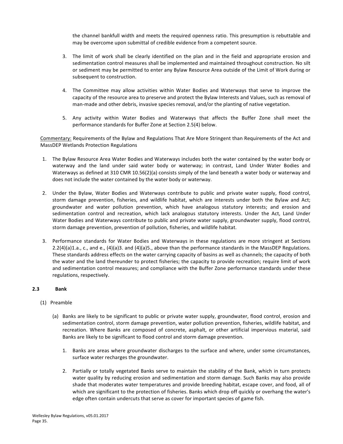<span id="page-36-0"></span>the channel bankfull width and meets the required openness ratio. This presumption is rebuttable and may be overcome upon submittal of credible evidence from a competent source.

- 3. The limit of work shall be clearly identified on the plan and in the field and appropriate erosion and sedimentation control measures shall be implemented and maintained throughout construction. No silt or sediment may be permitted to enter any Bylaw Resource Area outside of the Limit of Work during or subsequent to construction.
- 4. The Committee may allow activities within Water Bodies and Waterways that serve to improve the capacity of the resource area to preserve and protect the Bylaw Interests and Values, such as removal of man-made and other debris, invasive species removal, and/or the planting of native vegetation.
- 5. Any activity within Water Bodies and Waterways that affects the Buffer Zone shall meet the performance standards for Buffer Zone at Section 2.5(4) below.

Commentary: Requirements of the Bylaw and Regulations That Are More Stringent than Requirements of the Act and MassDEP Wetlands Protection Regulations

- 1. The Bylaw Resource Area Water Bodies and Waterways includes both the water contained by the water body or waterway and the land under said water body or waterway; in contrast, Land Under Water Bodies and Waterways as defined at 310 CMR 10.56(2)(a) consists simply of the land beneath a water body or waterway and does not include the water contained by the water body or waterway.
- 2. Under the Bylaw, Water Bodies and Waterways contribute to public and private water supply, flood control, storm damage prevention, fisheries, and wildlife habitat, which are interests under both the Bylaw and Act; groundwater and water pollution prevention, which have analogous statutory interests; and erosion and sedimentation control and recreation, which lack analogous statutory interests. Under the Act, Land Under Water Bodies and Waterways contribute to public and private water supply, groundwater supply, flood control, storm damage prevention, prevention of pollution, fisheries, and wildlife habitat.
- 3. Performance standards for Water Bodies and Waterways in these regulations are more stringent at Sections 2.2(4)(a)1.a., c., and e., (4)(a)3. and (4)(a)5., above than the performance standards in the MassDEP Regulations. These standards address effects on the water carrying capacity of basins as well as channels; the capacity of both the water and the land thereunder to protect fisheries; the capacity to provide recreation; require limit of work and sedimentation control measures; and compliance with the Buffer Zone performance standards under these regulations, respectively.

# **2.3 Bank**

- (1) Preamble
	- (a) Banks are likely to be significant to public or private water supply, groundwater, flood control, erosion and sedimentation control, storm damage prevention, water pollution prevention, fisheries, wildlife habitat, and recreation. Where Banks are composed of concrete, asphalt, or other artificial impervious material, said Banks are likely to be significant to flood control and storm damage prevention.
		- 1. Banks are areas where groundwater discharges to the surface and where, under some circumstances, surface water recharges the groundwater.
		- 2. Partially or totally vegetated Banks serve to maintain the stability of the Bank, which in turn protects water quality by reducing erosion and sedimentation and storm damage. Such Banks may also provide shade that moderates water temperatures and provide breeding habitat, escape cover, and food, all of which are significant to the protection of fisheries. Banks which drop off quickly or overhang the water's edge often contain undercuts that serve as cover for important species of game fish.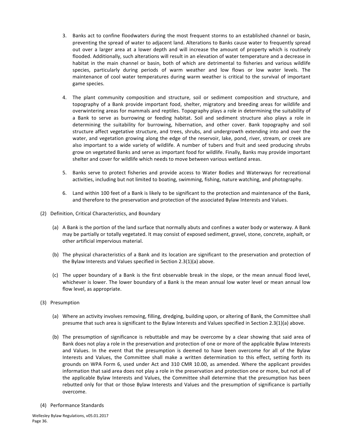- 3. Banks act to confine floodwaters during the most frequent storms to an established channel or basin, preventing the spread of water to adjacent land. Alterations to Banks cause water to frequently spread out over a larger area at a lower depth and will increase the amount of property which is routinely flooded. Additionally, such alterations will result in an elevation of water temperature and a decrease in habitat in the main channel or basin, both of which are detrimental to fisheries and various wildlife species, particularly during periods of warm weather and low flows or low water levels. The maintenance of cool water temperatures during warm weather is critical to the survival of important game species.
- 4. The plant community composition and structure, soil or sediment composition and structure, and topography of a Bank provide important food, shelter, migratory and breeding areas for wildlife and overwintering areas for mammals and reptiles. Topography plays a role in determining the suitability of a Bank to serve as burrowing or feeding habitat. Soil and sediment structure also plays a role in determining the suitability for burrowing, hibernation, and other cover. Bank topography and soil structure affect vegetative structure, and trees, shrubs, and undergrowth extending into and over the water, and vegetation growing along the edge of the reservoir, lake, pond, river, stream, or creek are also important to a wide variety of wildlife. A number of tubers and fruit and seed producing shrubs grow on vegetated Banks and serve as important food for wildlife. Finally, Banks may provide important shelter and cover for wildlife which needs to move between various wetland areas.
- 5. Banks serve to protect fisheries and provide access to Water Bodies and Waterways for recreational activities, including but not limited to boating, swimming, fishing, nature watching, and photography.
- 6. Land within 100 feet of a Bank is likely to be significant to the protection and maintenance of the Bank, and therefore to the preservation and protection of the associated Bylaw Interests and Values.
- (2) Definition, Critical Characteristics, and Boundary
	- (a) A Bank is the portion of the land surface that normally abuts and confines a water body or waterway. A Bank may be partially or totally vegetated. It may consist of exposed sediment, gravel, stone, concrete, asphalt, or other artificial impervious material.
	- (b) The physical characteristics of a Bank and its location are significant to the preservation and protection of the Bylaw Interests and Values specified in Section 2.3(1)(a) above.
	- (c) The upper boundary of a Bank is the first observable break in the slope, or the mean annual flood level, whichever is lower. The lower boundary of a Bank is the mean annual low water level or mean annual low flow level, as appropriate.
- (3) Presumption
	- (a) Where an activity involves removing, filling, dredging, building upon, or altering of Bank, the Committee shall presume that such area is significant to the Bylaw Interests and Values specified in Section 2.3(1)(a) above.
	- (b) The presumption of significance is rebuttable and may be overcome by a clear showing that said area of Bank does not play a role in the preservation and protection of one or more of the applicable Bylaw Interests and Values. In the event that the presumption is deemed to have been overcome for all of the Bylaw Interests and Values, the Committee shall make a written determination to this effect, setting forth its grounds on WPA Form 6, used under Act and 310 CMR 10.00, as amended. Where the applicant provides information that said area does not play a role in the preservation and protection one or more, but not all of the applicable Bylaw Interests and Values, the Committee shall determine that the presumption has been rebutted only for that or those Bylaw Interests and Values and the presumption of significance is partially overcome.
- (4) Performance Standards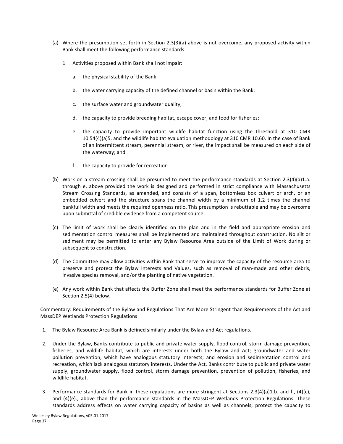- (a) Where the presumption set forth in Section 2.3(3)(a) above is not overcome, any proposed activity within Bank shall meet the following performance standards.
	- 1. Activities proposed within Bank shall not impair:
		- a. the physical stability of the Bank;
		- b. the water carrying capacity of the defined channel or basin within the Bank;
		- c. the surface water and groundwater quality;
		- d. the capacity to provide breeding habitat, escape cover, and food for fisheries;
		- e. the capacity to provide important wildlife habitat function using the threshold at 310 CMR 10.54(4)(a)5. and the wildlife habitat evaluation methodology at 310 CMR 10.60. In the case of Bank of an intermittent stream, perennial stream, or river, the impact shall be measured on each side of the waterway; and
		- f. the capacity to provide for recreation.
- (b) Work on a stream crossing shall be presumed to meet the performance standards at Section  $2.3(4)(a)1.a$ . through e. above provided the work is designed and performed in strict compliance with Massachusetts Stream Crossing Standards, as amended, and consists of a span, bottomless box culvert or arch, or an embedded culvert and the structure spans the channel width by a minimum of 1.2 times the channel bankfull width and meets the required openness ratio. This presumption is rebuttable and may be overcome upon submittal of credible evidence from a competent source.
- (c) The limit of work shall be clearly identified on the plan and in the field and appropriate erosion and sedimentation control measures shall be implemented and maintained throughout construction. No silt or sediment may be permitted to enter any Bylaw Resource Area outside of the Limit of Work during or subsequent to construction.
- (d) The Committee may allow activities within Bank that serve to improve the capacity of the resource area to preserve and protect the Bylaw Interests and Values, such as removal of man-made and other debris, invasive species removal, and/or the planting of native vegetation.
- (e) Any work within Bank that affects the Buffer Zone shall meet the performance standards for Buffer Zone at Section 2.5(4) below.

Commentary: Requirements of the Bylaw and Regulations That Are More Stringent than Requirements of the Act and MassDEP Wetlands Protection Regulations

- 1. The Bylaw Resource Area Bank is defined similarly under the Bylaw and Act regulations.
- 2. Under the Bylaw, Banks contribute to public and private water supply, flood control, storm damage prevention, fisheries, and wildlife habitat, which are interests under both the Bylaw and Act; groundwater and water pollution prevention, which have analogous statutory interests; and erosion and sedimentation control and recreation, which lack analogous statutory interests. Under the Act, Banks contribute to public and private water supply, groundwater supply, flood control, storm damage prevention, prevention of pollution, fisheries, and wildlife habitat.
- 3. Performance standards for Bank in these regulations are more stringent at Sections 2.3(4)(a)1.b. and f., (4)(c), and  $(4)(e)$ ., above than the performance standards in the MassDEP Wetlands Protection Regulations. These standards address effects on water carrying capacity of basins as well as channels; protect the capacity to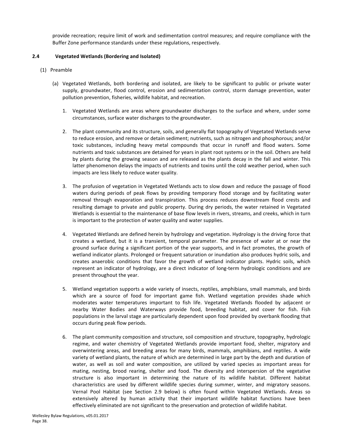<span id="page-39-0"></span>provide recreation; require limit of work and sedimentation control measures; and require compliance with the Buffer Zone performance standards under these regulations, respectively.

# **2.4 Vegetated Wetlands (Bordering and Isolated)**

- (1) Preamble
	- (a) Vegetated Wetlands, both bordering and isolated, are likely to be significant to public or private water supply, groundwater, flood control, erosion and sedimentation control, storm damage prevention, water pollution prevention, fisheries, wildlife habitat, and recreation.
		- 1. Vegetated Wetlands are areas where groundwater discharges to the surface and where, under some circumstances, surface water discharges to the groundwater.
		- 2. The plant community and its structure, soils, and generally flat topography of Vegetated Wetlands serve to reduce erosion, and remove or detain sediment; nutrients, such as nitrogen and phosphorous; and/or toxic substances, including heavy metal compounds that occur in runoff and flood waters. Some nutrients and toxic substances are detained for years in plant root systems or in the soil. Others are held by plants during the growing season and are released as the plants decay in the fall and winter. This latter phenomenon delays the impacts of nutrients and toxins until the cold weather period, when such impacts are less likely to reduce water quality.
		- 3. The profusion of vegetation in Vegetated Wetlands acts to slow down and reduce the passage of flood waters during periods of peak flows by providing temporary flood storage and by facilitating water removal through evaporation and transpiration. This process reduces downstream flood crests and resulting damage to private and public property. During dry periods, the water retained in Vegetated Wetlands is essential to the maintenance of base flow levels in rivers, streams, and creeks, which in turn is important to the protection of water quality and water supplies.
		- 4. Vegetated Wetlands are defined herein by hydrology and vegetation. Hydrology is the driving force that creates a wetland, but it is a transient, temporal parameter. The presence of water at or near the ground surface during a significant portion of the year supports, and in fact promotes, the growth of wetland indicator plants. Prolonged or frequent saturation or inundation also produces hydric soils, and creates anaerobic conditions that favor the growth of wetland indicator plants. Hydric soils, which represent an indicator of hydrology, are a direct indicator of long-term hydrologic conditions and are present throughout the year.
		- 5. Wetland vegetation supports a wide variety of insects, reptiles, amphibians, small mammals, and birds which are a source of food for important game fish. Wetland vegetation provides shade which moderates water temperatures important to fish life. Vegetated Wetlands flooded by adjacent or nearby Water Bodies and Waterways provide food, breeding habitat, and cover for fish. Fish populations in the larval stage are particularly dependent upon food provided by overbank flooding that occurs during peak flow periods.
		- 6. The plant community composition and structure, soil composition and structure, topography, hydrologic regime, and water chemistry of Vegetated Wetlands provide important food, shelter, migratory and overwintering areas, and breeding areas for many birds, mammals, amphibians, and reptiles. A wide variety of wetland plants, the nature of which are determined in large part by the depth and duration of water, as well as soil and water composition, are utilized by varied species as important areas for mating, nesting, brood rearing, shelter and food. The diversity and interspersion of the vegetative structure is also important in determining the nature of its wildlife habitat. Different habitat characteristics are used by different wildlife species during summer, winter, and migratory seasons. Vernal Pool Habitat (see Section 2.9 below) is often found within Vegetated Wetlands. Areas so extensively altered by human activity that their important wildlife habitat functions have been effectively eliminated are not significant to the preservation and protection of wildlife habitat.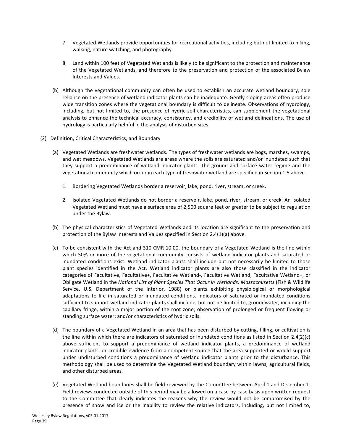- 7. Vegetated Wetlands provide opportunities for recreational activities, including but not limited to hiking, walking, nature watching, and photography.
- 8. Land within 100 feet of Vegetated Wetlands is likely to be significant to the protection and maintenance of the Vegetated Wetlands, and therefore to the preservation and protection of the associated Bylaw Interests and Values.
- (b) Although the vegetational community can often be used to establish an accurate wetland boundary, sole reliance on the presence of wetland indicator plants can be inadequate. Gently sloping areas often produce wide transition zones where the vegetational boundary is difficult to delineate. Observations of hydrology, including, but not limited to, the presence of hydric soil characteristics, can supplement the vegetational analysis to enhance the technical accuracy, consistency, and credibility of wetland delineations. The use of hydrology is particularly helpful in the analysis of disturbed sites.
- (2) Definition, Critical Characteristics, and Boundary
	- (a) Vegetated Wetlands are freshwater wetlands. The types of freshwater wetlands are bogs, marshes, swamps, and wet meadows. Vegetated Wetlands are areas where the soils are saturated and/or inundated such that they support a predominance of wetland indicator plants. The ground and surface water regime and the vegetational community which occur in each type of freshwater wetland are specified in Section 1.5 above.
		- 1. Bordering Vegetated Wetlands border a reservoir, lake, pond, river, stream, or creek.
		- 2. Isolated Vegetated Wetlands do not border a reservoir, lake, pond, river, stream, or creek. An Isolated Vegetated Wetland must have a surface area of 2,500 square feet or greater to be subject to regulation under the Bylaw.
	- (b) The physical characteristics of Vegetated Wetlands and its location are significant to the preservation and protection of the Bylaw Interests and Values specified in Section 2.4(1)(a) above.
	- (c) To be consistent with the Act and 310 CMR 10.00, the boundary of a Vegetated Wetland is the line within which 50% or more of the vegetational community consists of wetland indicator plants and saturated or inundated conditions exist. Wetland indicator plants shall include but not necessarily be limited to those plant species identified in the Act. Wetland indicator plants are also those classified in the indicator categories of Facultative, Facultative+, Facultative Wetland-, Facultative Wetland, Facultative Wetland+, or Obligate Wetland in the *National List of Plant Species That Occur in Wetlands: Massachusetts* (Fish & Wildlife Service, U.S. Department of the Interior, 1988) or plants exhibiting physiological or morphological adaptations to life in saturated or inundated conditions. Indicators of saturated or inundated conditions sufficient to support wetland indicator plants shall include, but not be limited to, groundwater, including the capillary fringe, within a major portion of the root zone; observation of prolonged or frequent flowing or standing surface water; and/or characteristics of hydric soils.
	- (d) The boundary of a Vegetated Wetland in an area that has been disturbed by cutting, filling, or cultivation is the line within which there are indicators of saturated or inundated conditions as listed in Section 2.4(2)(c) above sufficient to support a predominance of wetland indicator plants, a predominance of wetland indicator plants, or credible evidence from a competent source that the area supported or would support under undisturbed conditions a predominance of wetland indicator plants prior to the disturbance. This methodology shall be used to determine the Vegetated Wetland boundary within lawns, agricultural fields, and other disturbed areas.
	- (e) Vegetated Wetland boundaries shall be field reviewed by the Committee between April 1 and December 1. Field reviews conducted outside of this period may be allowed on a case-by-case basis upon written request to the Committee that clearly indicates the reasons why the review would not be compromised by the presence of snow and ice or the inability to review the relative indicators, including, but not limited to,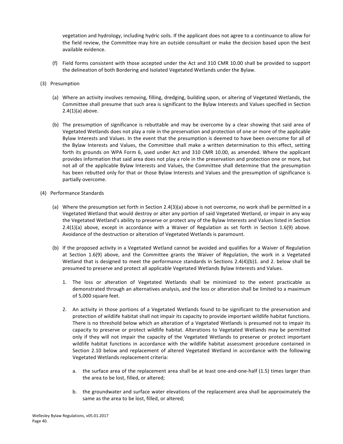vegetation and hydrology, including hydric soils. If the applicant does not agree to a continuance to allow for the field review, the Committee may hire an outside consultant or make the decision based upon the best available evidence.

- (f) Field forms consistent with those accepted under the Act and 310 CMR 10.00 shall be provided to support the delineation of both Bordering and Isolated Vegetated Wetlands under the Bylaw.
- (3) Presumption
	- (a) Where an activity involves removing, filling, dredging, building upon, or altering of Vegetated Wetlands, the Committee shall presume that such area is significant to the Bylaw Interests and Values specified in Section  $2.4(1)(a)$  above.
	- (b) The presumption of significance is rebuttable and may be overcome by a clear showing that said area of Vegetated Wetlands does not play a role in the preservation and protection of one or more of the applicable Bylaw Interests and Values. In the event that the presumption is deemed to have been overcome for all of the Bylaw Interests and Values, the Committee shall make a written determination to this effect, setting forth its grounds on WPA Form 6, used under Act and 310 CMR 10.00, as amended. Where the applicant provides information that said area does not play a role in the preservation and protection one or more, but not all of the applicable Bylaw Interests and Values, the Committee shall determine that the presumption has been rebutted only for that or those Bylaw Interests and Values and the presumption of significance is partially overcome.
- (4) Performance Standards
	- (a) Where the presumption set forth in Section 2.4(3)(a) above is not overcome, no work shall be permitted in a Vegetated Wetland that would destroy or alter any portion of said Vegetated Wetland, or impair in any way the Vegetated Wetland's ability to preserve or protect any of the Bylaw Interests and Values listed in Section  $2.4(1)(a)$  above, except in accordance with a Waiver of Regulation as set forth in Section 1.6(9) above. Avoidance of the destruction or alteration of Vegetated Wetlands is paramount.
	- (b) If the proposed activity in a Vegetated Wetland cannot be avoided and qualifies for a Waiver of Regulation at Section 1.6(9) above, and the Committee grants the Waiver of Regulation, the work in a Vegetated Wetland that is designed to meet the performance standards in Sections  $2.4(4)(b)1$ . and 2. below shall be presumed to preserve and protect all applicable Vegetated Wetlands Bylaw Interests and Values.
		- 1. The loss or alteration of Vegetated Wetlands shall be minimized to the extent practicable as demonstrated through an alternatives analysis, and the loss or alteration shall be limited to a maximum of 5,000 square feet.
		- 2. An activity in those portions of a Vegetated Wetlands found to be significant to the preservation and protection of wildlife habitat shall not impair its capacity to provide important wildlife habitat functions. There is no threshold below which an alteration of a Vegetated Wetlands is presumed not to impair its capacity to preserve or protect wildlife habitat. Alterations to Vegetated Wetlands may be permitted only if they will not impair the capacity of the Vegetated Wetlands to preserve or protect important wildlife habitat functions in accordance with the wildlife habitat assessment procedure contained in Section 2.10 below and replacement of altered Vegetated Wetland in accordance with the following Vegetated Wetlands replacement criteria:
			- a. the surface area of the replacement area shall be at least one-and-one-half (1.5) times larger than the area to be lost, filled, or altered;
			- b. the groundwater and surface water elevations of the replacement area shall be approximately the same as the area to be lost, filled, or altered;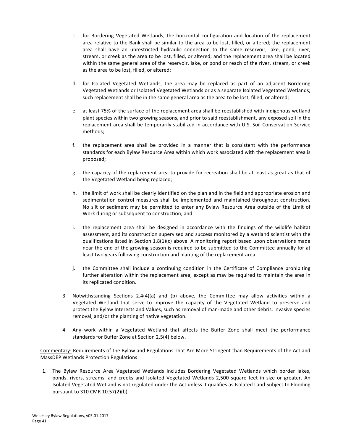- c. for Bordering Vegetated Wetlands, the horizontal configuration and location of the replacement area relative to the Bank shall be similar to the area to be lost, filled, or altered; the replacement area shall have an unrestricted hydraulic connection to the same reservoir, lake, pond, river, stream, or creek as the area to be lost, filled, or altered; and the replacement area shall be located within the same general area of the reservoir, lake, or pond or reach of the river, stream, or creek as the area to be lost, filled, or altered;
- d. for Isolated Vegetated Wetlands, the area may be replaced as part of an adjacent Bordering Vegetated Wetlands or Isolated Vegetated Wetlands or as a separate Isolated Vegetated Wetlands; such replacement shall be in the same general area as the area to be lost, filled, or altered;
- e. at least 75% of the surface of the replacement area shall be reestablished with indigenous wetland plant species within two growing seasons, and prior to said reestablishment, any exposed soil in the replacement area shall be temporarily stabilized in accordance with U.S. Soil Conservation Service methods;
- f. the replacement area shall be provided in a manner that is consistent with the performance standards for each Bylaw Resource Area within which work associated with the replacement area is proposed;
- g. the capacity of the replacement area to provide for recreation shall be at least as great as that of the Vegetated Wetland being replaced;
- h. the limit of work shall be clearly identified on the plan and in the field and appropriate erosion and sedimentation control measures shall be implemented and maintained throughout construction. No silt or sediment may be permitted to enter any Bylaw Resource Area outside of the Limit of Work during or subsequent to construction; and
- i. the replacement area shall be designed in accordance with the findings of the wildlife habitat assessment, and its construction supervised and success monitored by a wetland scientist with the qualifications listed in Section  $1.8(1)(c)$  above. A monitoring report based upon observations made near the end of the growing season is required to be submitted to the Committee annually for at least two years following construction and planting of the replacement area.
- j. the Committee shall include a continuing condition in the Certificate of Compliance prohibiting further alteration within the replacement area, except as may be required to maintain the area in its replicated condition.
- 3. Notwithstanding Sections  $2.4(4)(a)$  and (b) above, the Committee may allow activities within a Vegetated Wetland that serve to improve the capacity of the Vegetated Wetland to preserve and protect the Bylaw Interests and Values, such as removal of man-made and other debris, invasive species removal, and/or the planting of native vegetation.
- 4. Any work within a Vegetated Wetland that affects the Buffer Zone shall meet the performance standards for Buffer Zone at Section 2.5(4) below.

Commentary: Requirements of the Bylaw and Regulations That Are More Stringent than Requirements of the Act and MassDEP Wetlands Protection Regulations

1. The Bylaw Resource Area Vegetated Wetlands includes Bordering Vegetated Wetlands which border lakes, ponds, rivers, streams, and creeks and Isolated Vegetated Wetlands 2,500 square feet in size or greater. An Isolated Vegetated Wetland is not regulated under the Act unless it qualifies as Isolated Land Subject to Flooding pursuant to 310 CMR 10.57(2)(b).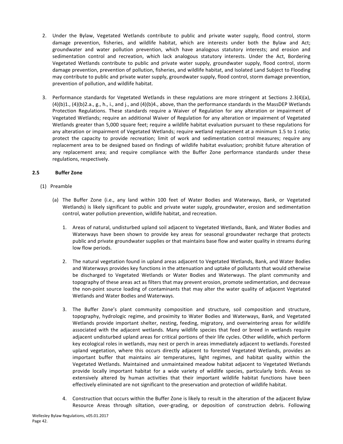- <span id="page-43-0"></span>2. Under the Bylaw, Vegetated Wetlands contribute to public and private water supply, flood control, storm damage prevention, fisheries, and wildlife habitat, which are interests under both the Bylaw and Act; groundwater and water pollution prevention, which have analogous statutory interests; and erosion and sedimentation control and recreation, which lack analogous statutory interests. Under the Act, Bordering Vegetated Wetlands contribute to public and private water supply, groundwater supply, flood control, storm damage prevention, prevention of pollution, fisheries, and wildlife habitat, and Isolated Land Subject to Flooding may contribute to public and private water supply, groundwater supply, flood control, storm damage prevention, prevention of pollution, and wildlife habitat.
- 3. Performance standards for Vegetated Wetlands in these regulations are more stringent at Sections 2.3(4)(a),  $(4)(b)1$ .,  $(4)(b)2.a$ .,  $g$ ., h., i., and j., and  $(4)(b)4$ ., above, than the performance standards in the MassDEP Wetlands Protection Regulations. These standards require a Waiver of Regulation for any alteration or impairment of Vegetated Wetlands; require an additional Waiver of Regulation for any alteration or impairment of Vegetated Wetlands greater than 5,000 square feet; require a wildlife habitat evaluation pursuant to these regulations for any alteration or impairment of Vegetated Wetlands; require wetland replacement at a minimum 1.5 to 1 ratio; protect the capacity to provide recreation; limit of work and sedimentation control measures; require any replacement area to be designed based on findings of wildlife habitat evaluation; prohibit future alteration of any replacement area; and require compliance with the Buffer Zone performance standards under these regulations, respectively.

# **2.5 Buffer Zone**

- (1) Preamble
	- (a) The Buffer Zone (i.e., any land within 100 feet of Water Bodies and Waterways, Bank, or Vegetated Wetlands) is likely significant to public and private water supply, groundwater, erosion and sedimentation control, water pollution prevention, wildlife habitat, and recreation.
		- 1. Areas of natural, undisturbed upland soil adjacent to Vegetated Wetlands, Bank, and Water Bodies and Waterways have been shown to provide key areas for seasonal groundwater recharge that protects public and private groundwater supplies or that maintains base flow and water quality in streams during low flow periods.
		- 2. The natural vegetation found in upland areas adjacent to Vegetated Wetlands, Bank, and Water Bodies and Waterways provides key functions in the attenuation and uptake of pollutants that would otherwise be discharged to Vegetated Wetlands or Water Bodies and Waterways. The plant community and topography of these areas act as filters that may prevent erosion, promote sedimentation, and decrease the non-point source loading of contaminants that may alter the water quality of adjacent Vegetated Wetlands and Water Bodies and Waterways.
		- 3. The Buffer Zone's plant community composition and structure, soil composition and structure, topography, hydrologic regime, and proximity to Water Bodies and Waterways, Bank, and Vegetated Wetlands provide important shelter, nesting, feeding, migratory, and overwintering areas for wildlife associated with the adjacent wetlands. Many wildlife species that feed or breed in wetlands require adjacent undisturbed upland areas for critical portions of their life cycles. Other wildlife, which perform key ecological roles in wetlands, may nest or perch in areas immediately adjacent to wetlands. Forested upland vegetation, where this occurs directly adjacent to forested Vegetated Wetlands, provides an important buffer that maintains air temperatures, light regimes, and habitat quality within the Vegetated Wetlands. Maintained and unmaintained meadow habitat adjacent to Vegetated Wetlands provide locally important habitat for a wide variety of wildlife species, particularly birds. Areas so extensively altered by human activities that their important wildlife habitat functions have been effectively eliminated are not significant to the preservation and protection of wildlife habitat.
		- 4. Construction that occurs within the Buffer Zone is likely to result in the alteration of the adjacent Bylaw Resource Areas through siltation, over-grading, or deposition of construction debris. Following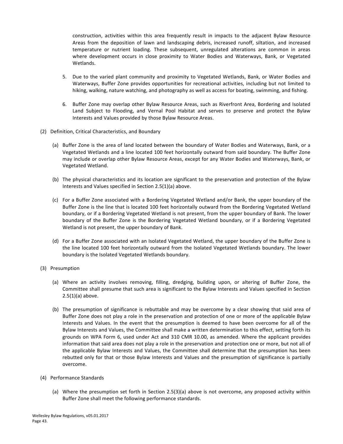construction, activities within this area frequently result in impacts to the adjacent Bylaw Resource Areas from the deposition of lawn and landscaping debris, increased runoff, siltation, and increased temperature or nutrient loading. These subsequent, unregulated alterations are common in areas where development occurs in close proximity to Water Bodies and Waterways, Bank, or Vegetated Wetlands.

- 5. Due to the varied plant community and proximity to Vegetated Wetlands, Bank, or Water Bodies and Waterways, Buffer Zone provides opportunities for recreational activities, including but not limited to hiking, walking, nature watching, and photography as well as access for boating, swimming, and fishing.
- 6. Buffer Zone may overlap other Bylaw Resource Areas, such as Riverfront Area, Bordering and Isolated Land Subject to Flooding, and Vernal Pool Habitat and serves to preserve and protect the Bylaw Interests and Values provided by those Bylaw Resource Areas.
- (2) Definition, Critical Characteristics, and Boundary
	- (a) Buffer Zone is the area of land located between the boundary of Water Bodies and Waterways, Bank, or a Vegetated Wetlands and a line located 100 feet horizontally outward from said boundary. The Buffer Zone may include or overlap other Bylaw Resource Areas, except for any Water Bodies and Waterways, Bank, or Vegetated Wetland.
	- (b) The physical characteristics and its location are significant to the preservation and protection of the Bylaw Interests and Values specified in Section 2.5(1)(a) above.
	- (c) For a Buffer Zone associated with a Bordering Vegetated Wetland and/or Bank, the upper boundary of the Buffer Zone is the line that is located 100 feet horizontally outward from the Bordering Vegetated Wetland boundary, or if a Bordering Vegetated Wetland is not present, from the upper boundary of Bank. The lower boundary of the Buffer Zone is the Bordering Vegetated Wetland boundary, or if a Bordering Vegetated Wetland is not present, the upper boundary of Bank.
	- (d) For a Buffer Zone associated with an Isolated Vegetated Wetland, the upper boundary of the Buffer Zone is the line located 100 feet horizontally outward from the Isolated Vegetated Wetlands boundary. The lower boundary is the Isolated Vegetated Wetlands boundary.
- (3) Presumption
	- (a) Where an activity involves removing, filling, dredging, building upon, or altering of Buffer Zone, the Committee shall presume that such area is significant to the Bylaw Interests and Values specified in Section  $2.5(1)(a)$  above.
	- (b) The presumption of significance is rebuttable and may be overcome by a clear showing that said area of Buffer Zone does not play a role in the preservation and protection of one or more of the applicable Bylaw Interests and Values. In the event that the presumption is deemed to have been overcome for all of the Bylaw Interests and Values, the Committee shall make a written determination to this effect, setting forth its grounds on WPA Form 6, used under Act and 310 CMR 10.00, as amended. Where the applicant provides information that said area does not play a role in the preservation and protection one or more, but not all of the applicable Bylaw Interests and Values, the Committee shall determine that the presumption has been rebutted only for that or those Bylaw Interests and Values and the presumption of significance is partially overcome.
- (4) Performance Standards
	- (a) Where the presumption set forth in Section 2.5(3)(a) above is not overcome, any proposed activity within Buffer Zone shall meet the following performance standards.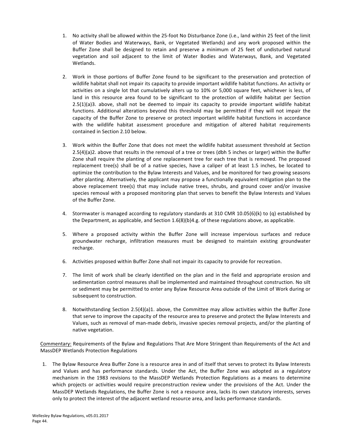- 1. No activity shall be allowed within the 25-foot No Disturbance Zone (i.e., land within 25 feet of the limit of Water Bodies and Waterways, Bank, or Vegetated Wetlands) and any work proposed within the Buffer Zone shall be designed to retain and preserve a minimum of 25 feet of undisturbed natural vegetation and soil adjacent to the limit of Water Bodies and Waterways, Bank, and Vegetated Wetlands.
- 2. Work in those portions of Buffer Zone found to be significant to the preservation and protection of wildlife habitat shall not impair its capacity to provide important wildlife habitat functions. An activity or activities on a single lot that cumulatively alters up to 10% or 5,000 square feet, whichever is less, of land in this resource area found to be significant to the protection of wildlife habitat per Section  $2.5(1)(a)3$ . above, shall not be deemed to impair its capacity to provide important wildlife habitat functions. Additional alterations beyond this threshold may be permitted if they will not impair the capacity of the Buffer Zone to preserve or protect important wildlife habitat functions in accordance with the wildlife habitat assessment procedure and mitigation of altered habitat requirements contained in Section 2.10 below.
- 3. Work within the Buffer Zone that does not meet the wildlife habitat assessment threshold at Section  $2.5(4)(a)$ 2. above that results in the removal of a tree or trees (dbh 5 inches or larger) within the Buffer Zone shall require the planting of one replacement tree for each tree that is removed. The proposed replacement tree(s) shall be of a native species, have a caliper of at least 1.5 inches, be located to optimize the contribution to the Bylaw Interests and Values, and be monitored for two growing seasons after planting. Alternatively, the applicant may propose a functionally equivalent mitigation plan to the above replacement tree(s) that may include native trees, shrubs, and ground cover and/or invasive species removal with a proposed monitoring plan that serves to benefit the Bylaw Interests and Values of the Buffer Zone.
- 4. Stormwater is managed according to regulatory standards at 310 CMR 10.05(6)(k) to (q) established by the Department, as applicable, and Section  $1.6(8)(b)4.g.$  of these regulations above, as applicable.
- 5. Where a proposed activity within the Buffer Zone will increase impervious surfaces and reduce groundwater recharge, infiltration measures must be designed to maintain existing groundwater recharge.
- 6. Activities proposed within Buffer Zone shall not impair its capacity to provide for recreation.
- 7. The limit of work shall be clearly identified on the plan and in the field and appropriate erosion and sedimentation control measures shall be implemented and maintained throughout construction. No silt or sediment may be permitted to enter any Bylaw Resource Area outside of the Limit of Work during or subsequent to construction.
- 8. Notwithstanding Section 2.5(4)(a)1. above, the Committee may allow activities within the Buffer Zone that serve to improve the capacity of the resource area to preserve and protect the Bylaw Interests and Values, such as removal of man-made debris, invasive species removal projects, and/or the planting of native vegetation.

Commentary: Requirements of the Bylaw and Regulations That Are More Stringent than Requirements of the Act and MassDEP Wetlands Protection Regulations

1. The Bylaw Resource Area Buffer Zone is a resource area in and of itself that serves to protect its Bylaw Interests and Values and has performance standards. Under the Act, the Buffer Zone was adopted as a regulatory mechanism in the 1983 revisions to the MassDEP Wetlands Protection Regulations as a means to determine which projects or activities would require preconstruction review under the provisions of the Act. Under the MassDEP Wetlands Regulations, the Buffer Zone is not a resource area, lacks its own statutory interests, serves only to protect the interest of the adjacent wetland resource area, and lacks performance standards.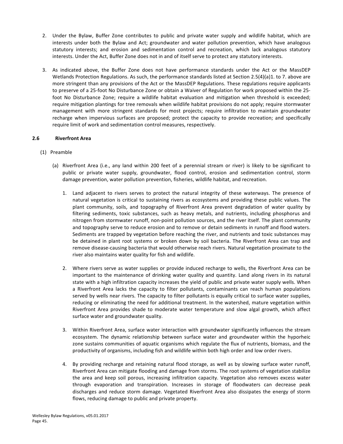- <span id="page-46-0"></span>2. Under the Bylaw, Buffer Zone contributes to public and private water supply and wildlife habitat, which are interests under both the Bylaw and Act; groundwater and water pollution prevention, which have analogous statutory interests; and erosion and sedimentation control and recreation, which lack analogous statutory interests. Under the Act, Buffer Zone does not in and of itself serve to protect any statutory interests.
- 3. As indicated above, the Buffer Zone does not have performance standards under the Act or the MassDEP Wetlands Protection Regulations. As such, the performance standards listed at Section 2.5(4)(a)1. to 7. above are more stringent than any provisions of the Act or the MassDEP Regulations. These regulations require applicants to preserve of a 25-foot No Disturbance Zone or obtain a Waiver of Regulation for work proposed within the 25foot No Disturbance Zone; require a wildlife habitat evaluation and mitigation when threshold is exceeded; require mitigation plantings for tree removals when wildlife habitat provisions do not apply; require stormwater management with more stringent standards for most projects; require infiltration to maintain groundwater recharge when impervious surfaces are proposed; protect the capacity to provide recreation; and specifically require limit of work and sedimentation control measures, respectively.

# **2.6 Riverfront Area**

- (1) Preamble
	- (a) Riverfront Area (i.e., any land within 200 feet of a perennial stream or river) is likely to be significant to public or private water supply, groundwater, flood control, erosion and sedimentation control, storm damage prevention, water pollution prevention, fisheries, wildlife habitat, and recreation.
		- 1. Land adjacent to rivers serves to protect the natural integrity of these waterways. The presence of natural vegetation is critical to sustaining rivers as ecosystems and providing these public values. The plant community, soils, and topography of Riverfront Area prevent degradation of water quality by filtering sediments, toxic substances, such as heavy metals, and nutrients, including phosphorus and nitrogen from stormwater runoff, non-point pollution sources, and the river itself. The plant community and topography serve to reduce erosion and to remove or detain sediments in runoff and flood waters. Sediments are trapped by vegetation before reaching the river, and nutrients and toxic substances may be detained in plant root systems or broken down by soil bacteria. The Riverfront Area can trap and remove disease-causing bacteria that would otherwise reach rivers. Natural vegetation proximate to the river also maintains water quality for fish and wildlife.
		- 2. Where rivers serve as water supplies or provide induced recharge to wells, the Riverfront Area can be important to the maintenance of drinking water quality and quantity. Land along rivers in its natural state with a high infiltration capacity increases the yield of public and private water supply wells. When a Riverfront Area lacks the capacity to filter pollutants, contaminants can reach human populations served by wells near rivers. The capacity to filter pollutants is equally critical to surface water supplies, reducing or eliminating the need for additional treatment. In the watershed, mature vegetation within Riverfront Area provides shade to moderate water temperature and slow algal growth, which affect surface water and groundwater quality.
		- 3. Within Riverfront Area, surface water interaction with groundwater significantly influences the stream ecosystem. The dynamic relationship between surface water and groundwater within the hyporheic zone sustains communities of aquatic organisms which regulate the flux of nutrients, biomass, and the productivity of organisms, including fish and wildlife within both high order and low order rivers.
		- 4. By providing recharge and retaining natural flood storage, as well as by slowing surface water runoff, Riverfront Area can mitigate flooding and damage from storms. The root systems of vegetation stabilize the area and keep soil porous, increasing infiltration capacity. Vegetation also removes excess water through evaporation and transpiration. Increases in storage of floodwaters can decrease peak discharges and reduce storm damage. Vegetated Riverfront Area also dissipates the energy of storm flows, reducing damage to public and private property.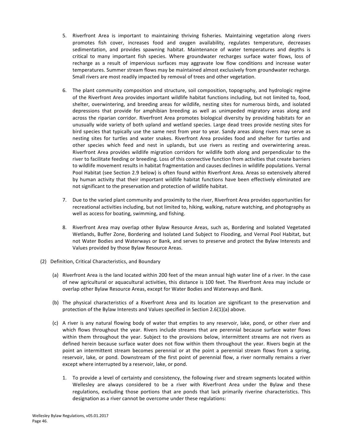- 5. Riverfront Area is important to maintaining thriving fisheries. Maintaining vegetation along rivers promotes fish cover, increases food and oxygen availability, regulates temperature, decreases sedimentation, and provides spawning habitat. Maintenance of water temperatures and depths is critical to many important fish species. Where groundwater recharges surface water flows, loss of recharge as a result of impervious surfaces may aggravate low flow conditions and increase water temperatures. Summer stream flows may be maintained almost exclusively from groundwater recharge. Small rivers are most readily impacted by removal of trees and other vegetation.
- 6. The plant community composition and structure, soil composition, topography, and hydrologic regime of the Riverfront Area provides important wildlife habitat functions including, but not limited to, food, shelter, overwintering, and breeding areas for wildlife, nesting sites for numerous birds, and isolated depressions that provide for amphibian breeding as well as unimpeded migratory areas along and across the riparian corridor. Riverfront Area promotes biological diversity by providing habitats for an unusually wide variety of both upland and wetland species. Large dead trees provide nesting sites for bird species that typically use the same nest from year to year. Sandy areas along rivers may serve as nesting sites for turtles and water snakes. Riverfront Area provides food and shelter for turtles and other species which feed and nest in uplands, but use rivers as resting and overwintering areas. Riverfront Area provides wildlife migration corridors for wildlife both along and perpendicular to the river to facilitate feeding or breeding. Loss of this connective function from activities that create barriers to wildlife movement results in habitat fragmentation and causes declines in wildlife populations. Vernal Pool Habitat (see Section 2.9 below) is often found within Riverfront Area. Areas so extensively altered by human activity that their important wildlife habitat functions have been effectively eliminated are not significant to the preservation and protection of wildlife habitat.
- 7. Due to the varied plant community and proximity to the river, Riverfront Area provides opportunities for recreational activities including, but not limited to, hiking, walking, nature watching, and photography as well as access for boating, swimming, and fishing.
- 8. Riverfront Area may overlap other Bylaw Resource Areas, such as, Bordering and Isolated Vegetated Wetlands, Buffer Zone, Bordering and Isolated Land Subject to Flooding, and Vernal Pool Habitat, but not Water Bodies and Waterways or Bank, and serves to preserve and protect the Bylaw Interests and Values provided by those Bylaw Resource Areas.
- (2) Definition, Critical Characteristics, and Boundary
	- (a) Riverfront Area is the land located within 200 feet of the mean annual high water line of a river. In the case of new agricultural or aquacultural activities, this distance is 100 feet. The Riverfront Area may include or overlap other Bylaw Resource Areas, except for Water Bodies and Waterways and Bank.
	- (b) The physical characteristics of a Riverfront Area and its location are significant to the preservation and protection of the Bylaw Interests and Values specified in Section 2.6(1)(a) above.
	- (c) A river is any natural flowing body of water that empties to any reservoir, lake, pond, or other river and which flows throughout the year. Rivers include streams that are perennial because surface water flows within them throughout the year. Subject to the provisions below, intermittent streams are not rivers as defined herein because surface water does not flow within them throughout the year. Rivers begin at the point an intermittent stream becomes perennial or at the point a perennial stream flows from a spring, reservoir, lake, or pond. Downstream of the first point of perennial flow, a river normally remains a river except where interrupted by a reservoir, lake, or pond.
		- 1. To provide a level of certainty and consistency, the following river and stream segments located within Wellesley are always considered to be a river with Riverfront Area under the Bylaw and these regulations, excluding those portions that are ponds that lack primarily riverine characteristics. This designation as a river cannot be overcome under these regulations: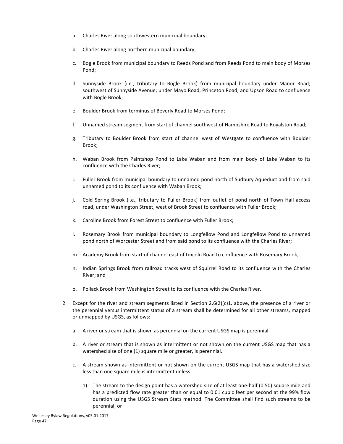- a. Charles River along southwestern municipal boundary;
- b. Charles River along northern municipal boundary;
- c. Bogle Brook from municipal boundary to Reeds Pond and from Reeds Pond to main body of Morses Pond;
- d. Sunnyside Brook (i.e., tributary to Bogle Brook) from municipal boundary under Manor Road; southwest of Sunnyside Avenue; under Mayo Road, Princeton Road, and Upson Road to confluence with Bogle Brook;
- e. Boulder Brook from terminus of Beverly Road to Morses Pond;
- f. Unnamed stream segment from start of channel southwest of Hampshire Road to Royalston Road;
- g. Tributary to Boulder Brook from start of channel west of Westgate to confluence with Boulder Brook;
- h. Waban Brook from Paintshop Pond to Lake Waban and from main body of Lake Waban to its confluence with the Charles River;
- i. Fuller Brook from municipal boundary to unnamed pond north of Sudbury Aqueduct and from said unnamed pond to its confluence with Waban Brook;
- j. Cold Spring Brook (i.e., tributary to Fuller Brook) from outlet of pond north of Town Hall access road, under Washington Street, west of Brook Street to confluence with Fuller Brook;
- k. Caroline Brook from Forest Street to confluence with Fuller Brook;
- I. Rosemary Brook from municipal boundary to Longfellow Pond and Longfellow Pond to unnamed pond north of Worcester Street and from said pond to its confluence with the Charles River;
- m. Academy Brook from start of channel east of Lincoln Road to confluence with Rosemary Brook;
- n. Indian Springs Brook from railroad tracks west of Squirrel Road to its confluence with the Charles River; and
- o. Pollack Brook from Washington Street to its confluence with the Charles River.
- 2. Except for the river and stream segments listed in Section  $2.6(2)(c)1$ . above, the presence of a river or the perennial versus intermittent status of a stream shall be determined for all other streams, mapped or unmapped by USGS, as follows:
	- a. A river or stream that is shown as perennial on the current USGS map is perennial.
	- b. A river or stream that is shown as intermittent or not shown on the current USGS map that has a watershed size of one (1) square mile or greater, is perennial.
	- c. A stream shown as intermittent or not shown on the current USGS map that has a watershed size less than one square mile is intermittent unless:
		- 1) The stream to the design point has a watershed size of at least one-half (0.50) square mile and has a predicted flow rate greater than or equal to 0.01 cubic feet per second at the 99% flow duration using the USGS Stream Stats method. The Committee shall find such streams to be perennial; or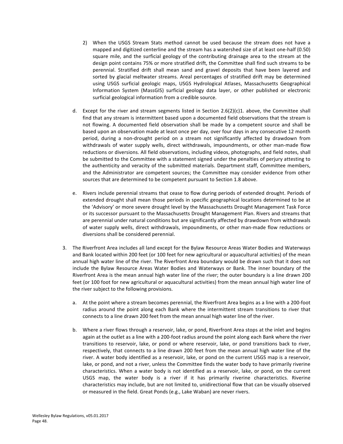- 2) When the USGS Stream Stats method cannot be used because the stream does not have a mapped and digitized centerline and the stream has a watershed size of at least one-half (0.50) square mile, and the surficial geology of the contributing drainage area to the stream at the design point contains 75% or more stratified drift, the Committee shall find such streams to be perennial. Stratified drift shall mean sand and gravel deposits that have been layered and sorted by glacial meltwater streams. Areal percentages of stratified drift may be determined using USGS surficial geologic maps, USGS Hydrological Atlases, Massachusetts Geographical Information System (MassGIS) surficial geology data layer, or other published or electronic surficial geological information from a credible source.
- d. Except for the river and stream segments listed in Section 2.6(2)(c)1. above, the Committee shall find that any stream is intermittent based upon a documented field observations that the stream is not flowing. A documented field observation shall be made by a competent source and shall be based upon an observation made at least once per day, over four days in any consecutive 12 month period, during a non-drought period on a stream not significantly affected by drawdown from withdrawals of water supply wells, direct withdrawals, impoundments, or other man-made flow reductions or diversions. All field observations, including videos, photographs, and field notes, shall be submitted to the Committee with a statement signed under the penalties of perjury attesting to the authenticity and veracity of the submitted materials. Department staff, Committee members, and the Administrator are competent sources; the Committee may consider evidence from other sources that are determined to be competent pursuant to Section 1.8 above.
- e. Rivers include perennial streams that cease to flow during periods of extended drought. Periods of extended drought shall mean those periods in specific geographical locations determined to be at the 'Advisory' or more severe drought level by the Massachusetts Drought Management Task Force or its successor pursuant to the Massachusetts Drought Management Plan. Rivers and streams that are perennial under natural conditions but are significantly affected by drawdown from withdrawals of water supply wells, direct withdrawals, impoundments, or other man-made flow reductions or diversions shall be considered perennial.
- 3. The Riverfront Area includes all land except for the Bylaw Resource Areas Water Bodies and Waterways and Bank located within 200 feet (or 100 feet for new agricultural or aquacultural activities) of the mean annual high water line of the river. The Riverfront Area boundary would be drawn such that it does not include the Bylaw Resource Areas Water Bodies and Waterways or Bank. The inner boundary of the Riverfront Area is the mean annual high water line of the river; the outer boundary is a line drawn 200 feet (or 100 foot for new agricultural or aquacultural activities) from the mean annual high water line of the river subject to the following provisions.
	- a. At the point where a stream becomes perennial, the Riverfront Area begins as a line with a 200-foot radius around the point along each Bank where the intermittent stream transitions to river that connects to a line drawn 200 feet from the mean annual high water line of the river.
	- b. Where a river flows through a reservoir, lake, or pond, Riverfront Area stops at the inlet and begins again at the outlet as a line with a 200-foot radius around the point along each Bank where the river transitions to reservoir, lake, or pond or where reservoir, lake, or pond transitions back to river, respectively, that connects to a line drawn 200 feet from the mean annual high water line of the river. A water body identified as a reservoir, lake, or pond on the current USGS map is a reservoir, lake, or pond, and not a river, unless the Committee finds the water body to have primarily riverine characteristics. When a water body is not identified as a reservoir, lake, or pond, on the current USGS map, the water body is a river if it has primarily riverine characteristics. Riverine characteristics may include, but are not limited to, unidirectional flow that can be visually observed or measured in the field. Great Ponds (e.g., Lake Waban) are never rivers.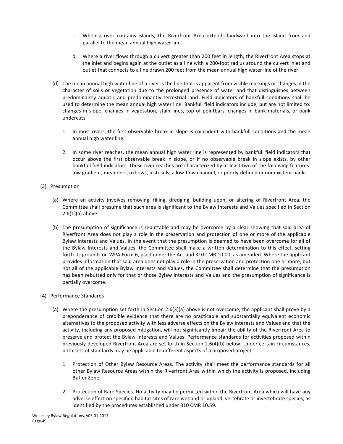- c. When a river contains islands, the Riverfront Area extends landward into the island from and parallel to the mean annual high water line.
- d. Where a river flows through a culvert greater than 200 feet in length, the Riverfront Area stops at the inlet and begins again at the outlet as a line with a 200-foot radius around the culvert inlet and outlet that connects to a line drawn 200 feet from the mean annual high water line of the river.
- (d) The mean annual high water line of a river is the line that is apparent from visible markings or changes in the character of soils or vegetation due to the prolonged presence of water and that distinguishes between predominantly aquatic and predominantly terrestrial land. Field indicators of bankfull conditions shall be used to determine the mean annual high water line. Bankfull field indicators include, but are not limited to: changes in slope, changes in vegetation, stain lines, top of pointbars, changes in bank materials, or bank undercuts.
	- 1. In most rivers, the first observable break in slope is coincident with bankfull conditions and the mean annual high water line.
	- 2. In some river reaches, the mean annual high water line is represented by bankfull field indicators that occur above the first observable break in slope, or if no observable break in slope exists, by other bankfull field indicators. These river reaches are characterized by at least two of the following features: low gradient, meanders, oxbows, histosols, a low-flow channel, or poorly-defined or nonexistent banks.
- (3) Presumption
	- (a) Where an activity involves removing, filling, dredging, building upon, or altering of Riverfront Area, the Committee shall presume that such area is significant to the Bylaw Interests and Values specified in Section  $2.6(1)(a)$  above.
	- (b) The presumption of significance is rebuttable and may be overcome by a clear showing that said area of Riverfront Area does not play a role in the preservation and protection of one or more of the applicable Bylaw Interests and Values. In the event that the presumption is deemed to have been overcome for all of the Bylaw Interests and Values, the Committee shall make a written determination to this effect, setting forth its grounds on WPA Form 6, used under the Act and 310 CMR 10.00, as amended. Where the applicant provides information that said area does not play a role in the preservation and protection one or more, but not all of the applicable Bylaw Interests and Values, the Committee shall determine that the presumption has been rebutted only for that or those Bylaw Interests and Values and the presumption of significance is partially overcome.
- (4) Performance Standards
	- (a) Where the presumption set forth in Section 2.6(3)(a) above is not overcome, the applicant shall prove by a preponderance of credible evidence that there are no practicable and substantially equivalent economic alternatives to the proposed activity with less adverse effects on the Bylaw Interests and Values and that the activity, including any proposed mitigation, will not significantly impair the ability of the Riverfront Area to preserve and protect the Bylaw Interests and Values. Performance standards for activities proposed within previously developed Riverfront Area are set forth in Section 2.6(4)(b) below. Under certain circumstances, both sets of standards may be applicable to different aspects of a proposed project.
		- 1. Protection of Other Bylaw Resource Areas. The activity shall meet the performance standards for all other Bylaw Resource Areas within the Riverfront Area within which the activity is proposed, including Buffer Zone.
		- 2. Protection of Rare Species. No activity may be permitted within the Riverfront Area which will have any adverse effect on specified habitat sites of rare wetland or upland, vertebrate or invertebrate species, as identified by the procedures established under 310 CMR 10.59.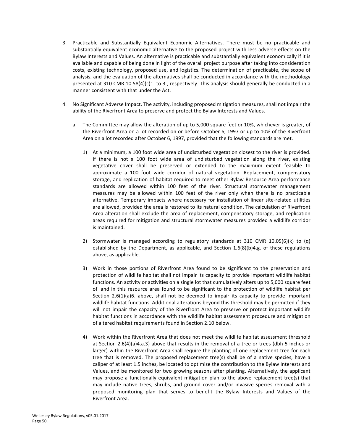- 3. Practicable and Substantially Equivalent Economic Alternatives. There must be no practicable and substantially equivalent economic alternative to the proposed project with less adverse effects on the Bylaw Interests and Values. An alternative is practicable and substantially equivalent economically if it is available and capable of being done in light of the overall project purpose after taking into consideration costs, existing technology, proposed use, and logistics. The determination of practicable, the scope of analysis, and the evaluation of the alternatives shall be conducted in accordance with the methodology presented at 310 CMR 10.58(4)(c)1. to 3., respectively. This analysis should generally be conducted in a manner consistent with that under the Act.
- 4. No Significant Adverse Impact. The activity, including proposed mitigation measures, shall not impair the ability of the Riverfront Area to preserve and protect the Bylaw Interests and Values.
	- a. The Committee may allow the alteration of up to 5,000 square feet or 10%, whichever is greater, of the Riverfront Area on a lot recorded on or before October 6, 1997 or up to 10% of the Riverfront Area on a lot recorded after October 6, 1997, provided that the following standards are met.
		- 1) At a minimum, a 100 foot wide area of undisturbed vegetation closest to the river is provided. If there is not a 100 foot wide area of undisturbed vegetation along the river, existing vegetative cover shall be preserved or extended to the maximum extent feasible to approximate a 100 foot wide corridor of natural vegetation. Replacement, compensatory storage, and replication of habitat required to meet other Bylaw Resource Area performance standards are allowed within 100 feet of the river. Structural stormwater management measures may be allowed within 100 feet of the river only when there is no practicable alternative. Temporary impacts where necessary for installation of linear site-related utilities are allowed, provided the area is restored to its natural condition. The calculation of Riverfront Area alteration shall exclude the area of replacement, compensatory storage, and replication areas required for mitigation and structural stormwater measures provided a wildlife corridor is maintained.
		- 2) Stormwater is managed according to regulatory standards at 310 CMR 10.05(6)(k) to  $(q)$ established by the Department, as applicable, and Section  $1.6(8)(b)4.g.$  of these regulations above, as applicable.
		- 3) Work in those portions of Riverfront Area found to be significant to the preservation and protection of wildlife habitat shall not impair its capacity to provide important wildlife habitat functions. An activity or activities on a single lot that cumulatively alters up to 5,000 square feet of land in this resource area found to be significant to the protection of wildlife habitat per Section  $2.6(1)(a)6$ . above, shall not be deemed to impair its capacity to provide important wildlife habitat functions. Additional alterations beyond this threshold may be permitted if they will not impair the capacity of the Riverfront Area to preserve or protect important wildlife habitat functions in accordance with the wildlife habitat assessment procedure and mitigation of altered habitat requirements found in Section 2.10 below.
		- 4) Work within the Riverfront Area that does not meet the wildlife habitat assessment threshold at Section  $2.6(4)(a)4.a.3$ ) above that results in the removal of a tree or trees (dbh 5 inches or larger) within the Riverfront Area shall require the planting of one replacement tree for each tree that is removed. The proposed replacement tree(s) shall be of a native species, have a caliper of at least 1.5 inches, be located to optimize the contribution to the Bylaw Interests and Values, and be monitored for two growing seasons after planting. Alternatively, the applicant may propose a functionally equivalent mitigation plan to the above replacement tree(s) that may include native trees, shrubs, and ground cover and/or invasive species removal with a proposed monitoring plan that serves to benefit the Bylaw Interests and Values of the Riverfront Area.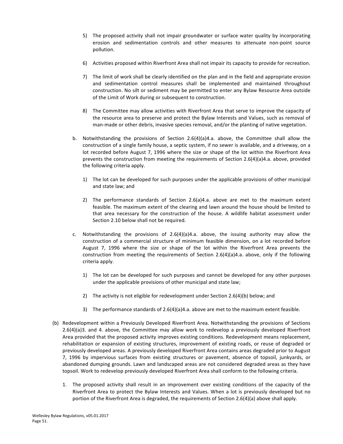- 5) The proposed activity shall not impair groundwater or surface water quality by incorporating erosion and sedimentation controls and other measures to attenuate non-point source pollution.
- 6) Activities proposed within Riverfront Area shall not impair its capacity to provide for recreation.
- 7) The limit of work shall be clearly identified on the plan and in the field and appropriate erosion and sedimentation control measures shall be implemented and maintained throughout construction. No silt or sediment may be permitted to enter any Bylaw Resource Area outside of the Limit of Work during or subsequent to construction.
- 8) The Committee may allow activities with Riverfront Area that serve to improve the capacity of the resource area to preserve and protect the Bylaw Interests and Values, such as removal of man-made or other debris, invasive species removal, and/or the planting of native vegetation.
- b. Notwithstanding the provisions of Section  $2.6(4)(a)4.a.$  above, the Committee shall allow the construction of a single family house, a septic system, if no sewer is available, and a driveway, on a lot recorded before August 7, 1996 where the size or shape of the lot within the Riverfront Area prevents the construction from meeting the requirements of Section 2.6(4)(a)4.a. above, provided the following criteria apply.
	- 1) The lot can be developed for such purposes under the applicable provisions of other municipal and state law; and
	- 2) The performance standards of Section  $2.6(a)4.a.$  above are met to the maximum extent feasible. The maximum extent of the clearing and lawn around the house should be limited to that area necessary for the construction of the house. A wildlife habitat assessment under Section 2.10 below shall not be required.
- c. Notwithstanding the provisions of  $2.6(4)(a)4.a.$  above, the issuing authority may allow the construction of a commercial structure of minimum feasible dimension, on a lot recorded before August 7, 1996 where the size or shape of the lot within the Riverfront Area prevents the construction from meeting the requirements of Section 2.6(4)(a)4.a. above, only if the following criteria apply.
	- 1) The lot can be developed for such purposes and cannot be developed for any other purposes under the applicable provisions of other municipal and state law;
	- 2) The activity is not eligible for redevelopment under Section 2.6(4)(b) below; and
	- 3) The performance standards of  $2.6(4)(a)4.a.$  above are met to the maximum extent feasible.
- (b) Redevelopment within a Previously Developed Riverfront Area. Notwithstanding the provisions of Sections  $2.6(4)(a)3$ . and 4. above, the Committee may allow work to redevelop a previously developed Riverfront Area provided that the proposed activity improves existing conditions. Redevelopment means replacement, rehabilitation or expansion of existing structures, improvement of existing roads, or reuse of degraded or previously developed areas. A previously developed Riverfront Area contains areas degraded prior to August 7, 1996 by impervious surfaces from existing structures or pavement, absence of topsoil, junkyards, or abandoned dumping grounds. Lawn and landscaped areas are not considered degraded areas as they have topsoil. Work to redevelop previously developed Riverfront Area shall conform to the following criteria.
	- 1. The proposed activity shall result in an improvement over existing conditions of the capacity of the Riverfront Area to protect the Bylaw Interests and Values. When a lot is previously developed but no portion of the Riverfront Area is degraded, the requirements of Section 2.6(4)(a) above shall apply.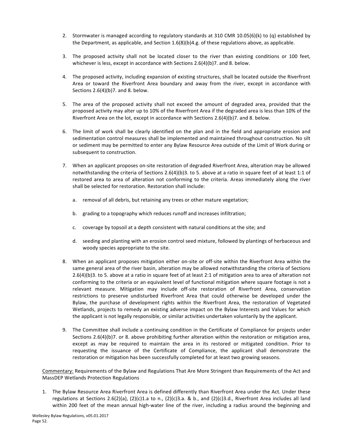- 2. Stormwater is managed according to regulatory standards at 310 CMR 10.05(6)(k) to (q) established by the Department, as applicable, and Section  $1.6(8)(b)4.g.$  of these regulations above, as applicable.
- 3. The proposed activity shall not be located closer to the river than existing conditions or 100 feet, whichever is less, except in accordance with Sections  $2.6(4)(b)7$ . and 8. below.
- 4. The proposed activity, including expansion of existing structures, shall be located outside the Riverfront Area or toward the Riverfront Area boundary and away from the river, except in accordance with Sections  $2.6(4)(b)$ 7. and 8. below.
- 5. The area of the proposed activity shall not exceed the amount of degraded area, provided that the proposed activity may alter up to 10% of the Riverfront Area if the degraded area is less than 10% of the Riverfront Area on the lot, except in accordance with Sections  $2.6(4)(b)$ 7. and 8. below.
- 6. The limit of work shall be clearly identified on the plan and in the field and appropriate erosion and sedimentation control measures shall be implemented and maintained throughout construction. No silt or sediment may be permitted to enter any Bylaw Resource Area outside of the Limit of Work during or subsequent to construction.
- 7. When an applicant proposes on-site restoration of degraded Riverfront Area, alteration may be allowed notwithstanding the criteria of Sections 2.6(4)(b)3. to 5. above at a ratio in square feet of at least 1:1 of restored area to area of alteration not conforming to the criteria. Areas immediately along the river shall be selected for restoration. Restoration shall include:
	- a. removal of all debris, but retaining any trees or other mature vegetation;
	- b. grading to a topography which reduces runoff and increases infiltration;
	- c. coverage by topsoil at a depth consistent with natural conditions at the site; and
	- d. seeding and planting with an erosion control seed mixture, followed by plantings of herbaceous and woody species appropriate to the site.
- 8. When an applicant proposes mitigation either on-site or off-site within the Riverfront Area within the same general area of the river basin, alteration may be allowed notwithstanding the criteria of Sections 2.6(4)(b)3. to 5. above at a ratio in square feet of at least 2:1 of mitigation area to area of alteration not conforming to the criteria or an equivalent level of functional mitigation where square footage is not a relevant measure. Mitigation may include off-site restoration of Riverfront Area, conservation restrictions to preserve undisturbed Riverfront Area that could otherwise be developed under the Bylaw, the purchase of development rights within the Riverfront Area, the restoration of Vegetated Wetlands, projects to remedy an existing adverse impact on the Bylaw Interests and Values for which the applicant is not legally responsible, or similar activities undertaken voluntarily by the applicant.
- 9. The Committee shall include a continuing condition in the Certificate of Compliance for projects under Sections 2.6(4)(b)7. or 8. above prohibiting further alteration within the restoration or mitigation area, except as may be required to maintain the area in its restored or mitigated condition. Prior to requesting the issuance of the Certificate of Compliance, the applicant shall demonstrate the restoration or mitigation has been successfully completed for at least two growing seasons.

Commentary: Requirements of the Bylaw and Regulations That Are More Stringent than Requirements of the Act and MassDEP Wetlands Protection Regulations

1. The Bylaw Resource Area Riverfront Area is defined differently than Riverfront Area under the Act. Under these regulations at Sections 2.6(2)(a), (2)(c)1.a to n., (2)(c)3.a. & b., and (2)(c)3.d., Riverfront Area includes all land within 200 feet of the mean annual high-water line of the river, including a radius around the beginning and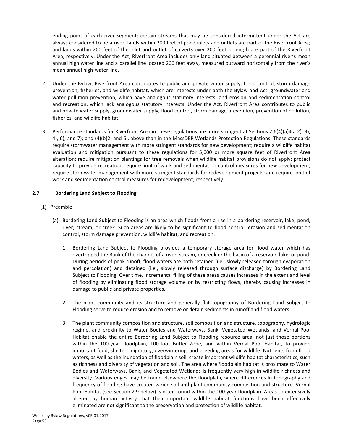<span id="page-54-0"></span>ending point of each river segment; certain streams that may be considered intermittent under the Act are always considered to be a river; lands within 200 feet of pond inlets and outlets are part of the Riverfront Area; and lands within 200 feet of the inlet and outlet of culverts over 200 feet in length are part of the Riverfront Area, respectively. Under the Act, Riverfront Area includes only land situated between a perennial river's mean annual high water line and a parallel line located 200 feet away, measured outward horizontally from the river's mean annual high-water line.

- 2. Under the Bylaw, Riverfront Area contributes to public and private water supply, flood control, storm damage prevention, fisheries, and wildlife habitat, which are interests under both the Bylaw and Act; groundwater and water pollution prevention, which have analogous statutory interests; and erosion and sedimentation control and recreation, which lack analogous statutory interests. Under the Act, Riverfront Area contributes to public and private water supply, groundwater supply, flood control, storm damage prevention, prevention of pollution, fisheries, and wildlife habitat.
- 3. Performance standards for Riverfront Area in these regulations are more stringent at Sections 2.6(4)(a)4.a.2), 3), 4), 6), and 7); and (4)(b)2. and 6., above than in the MassDEP Wetlands Protection Regulations. These standards require stormwater management with more stringent standards for new development; require a wildlife habitat evaluation and mitigation pursuant to these regulations for 5,000 or more square feet of Riverfront Area alteration; require mitigation plantings for tree removals when wildlife habitat provisions do not apply; protect capacity to provide recreation; require limit of work and sedimentation control measures for new development; require stormwater management with more stringent standards for redevelopment projects; and require limit of work and sedimentation control measures for redevelopment, respectively.

# **2.7 Bordering Land Subject to Flooding**

- (1) Preamble
	- (a) Bordering Land Subject to Flooding is an area which floods from a rise in a bordering reservoir, lake, pond, river, stream, or creek. Such areas are likely to be significant to flood control, erosion and sedimentation control, storm damage prevention, wildlife habitat, and recreation.
		- 1. Bordering Land Subject to Flooding provides a temporary storage area for flood water which has overtopped the Bank of the channel of a river, stream, or creek or the basin of a reservoir, lake, or pond. During periods of peak runoff, flood waters are both retained (i.e., slowly released through evaporation and percolation) and detained (i.e., slowly released through surface discharge) by Bordering Land Subject to Flooding. Over time, incremental filling of these areas causes increases in the extent and level of flooding by eliminating flood storage volume or by restricting flows, thereby causing increases in damage to public and private properties.
		- 2. The plant community and its structure and generally flat topography of Bordering Land Subject to Flooding serve to reduce erosion and to remove or detain sediments in runoff and flood waters.
		- 3. The plant community composition and structure, soil composition and structure, topography, hydrologic regime, and proximity to Water Bodies and Waterways, Bank, Vegetated Wetlands, and Vernal Pool Habitat enable the entire Bordering Land Subject to Flooding resource area, not just those portions within the 100-year floodplain, 100-foot Buffer Zone, and within Vernal Pool Habitat, to provide important food, shelter, migratory, overwintering, and breeding areas for wildlife. Nutrients from flood waters, as well as the inundation of floodplain soil, create important wildlife habitat characteristics, such as richness and diversity of vegetation and soil. The area where floodplain habitat is proximate to Water Bodies and Waterways, Bank, and Vegetated Wetlands is frequently very high in wildlife richness and diversity. Various edges may be found elsewhere the floodplain, where differences in topography and frequency of flooding have created varied soil and plant community composition and structure. Vernal Pool Habitat (see Section 2.9 below) is often found within the 100-year floodplain. Areas so extensively altered by human activity that their important wildlife habitat functions have been effectively eliminated are not significant to the preservation and protection of wildlife habitat.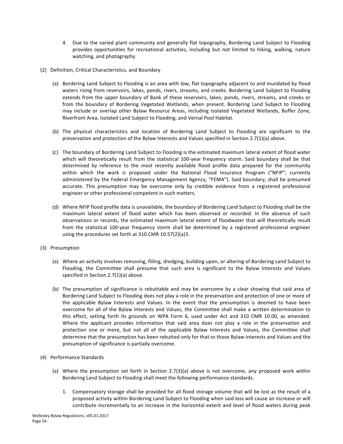- 4. Due to the varied plant community and generally flat topography, Bordering Land Subject to Flooding provides opportunities for recreational activities, including but not limited to hiking, walking, nature watching, and photography.
- (2) Definition, Critical Characteristics, and Boundary
	- (a) Bordering Land Subject to Flooding is an area with low, flat topography adjacent to and inundated by flood waters rising from reservoirs, lakes, ponds, rivers, streams, and creeks. Bordering Land Subject to Flooding extends from the upper boundary of Bank of these reservoirs, lakes, ponds, rivers, streams, and creeks or from the boundary of Bordering Vegetated Wetlands, when present. Bordering Land Subject to Flooding may include or overlap other Bylaw Resource Areas, including Isolated Vegetated Wetlands, Buffer Zone, Riverfront Area, Isolated Land Subject to Flooding, and Vernal Pool Habitat.
	- (b) The physical characteristics and location of Bordering Land Subject to Flooding are significant to the preservation and protection of the Bylaw Interests and Values specified in Section 2.7(1)(a) above.
	- (c) The boundary of Bordering Land Subject to Flooding is the estimated maximum lateral extent of flood water which will theoretically result from the statistical 100-year frequency storm. Said boundary shall be that determined by reference to the most recently available flood profile data prepared for the community within which the work is proposed under the National Flood Insurance Program ("NFIP"; currently administered by the Federal Emergency Management Agency, "FEMA"). Said boundary, shall be presumed accurate. This presumption may be overcome only by credible evidence from a registered professional engineer or other professional competent in such matters.
	- (d) Where NFIP flood profile data is unavailable, the boundary of Bordering Land Subject to Flooding shall be the maximum lateral extent of flood water which has been observed or recorded. In the absence of such observations or records, the estimated maximum lateral extent of floodwater that will theoretically result from the statistical 100-year frequency storm shall be determined by a registered professional engineer using the procedures set forth at 310 CMR 10.57(2)(a)3.
- (3) Presumption
	- (a) Where an activity involves removing, filling, dredging, building upon, or altering of Bordering Land Subject to Flooding, the Committee shall presume that such area is significant to the Bylaw Interests and Values specified in Section  $2.7(1)(a)$  above.
	- (b) The presumption of significance is rebuttable and may be overcome by a clear showing that said area of Bordering Land Subject to Flooding does not play a role in the preservation and protection of one or more of the applicable Bylaw Interests and Values. In the event that the presumption is deemed to have been overcome for all of the Bylaw Interests and Values, the Committee shall make a written determination to this effect, setting forth its grounds on WPA Form 6, used under Act and 310 CMR 10.00, as amended. Where the applicant provides information that said area does not play a role in the preservation and protection one or more, but not all of the applicable Bylaw Interests and Values, the Committee shall determine that the presumption has been rebutted only for that or those Bylaw Interests and Values and the presumption of significance is partially overcome.
- (4) Performance Standards
	- (a) Where the presumption set forth in Section 2.7(3)(a) above is not overcome, any proposed work within Bordering Land Subject to Flooding shall meet the following performance standards.
		- 1. Compensatory storage shall be provided for all flood storage volume that will be lost as the result of a proposed activity within Bordering Land Subject to Flooding when said loss will cause an increase or will contribute incrementally to an increase in the horizontal extent and level of flood waters during peak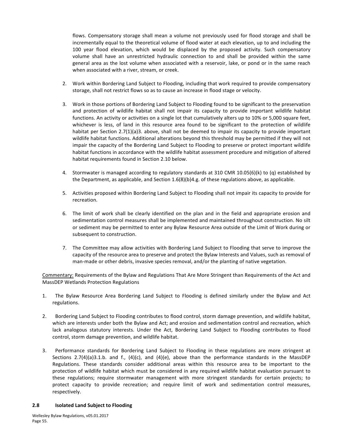flows. Compensatory storage shall mean a volume not previously used for flood storage and shall be incrementally equal to the theoretical volume of flood water at each elevation, up to and including the 100 year flood elevation, which would be displaced by the proposed activity. Such compensatory volume shall have an unrestricted hydraulic connection to and shall be provided within the same general area as the lost volume when associated with a reservoir, lake, or pond or in the same reach when associated with a river, stream, or creek.

- 2. Work within Bordering Land Subject to Flooding, including that work required to provide compensatory storage, shall not restrict flows so as to cause an increase in flood stage or velocity.
- 3. Work in those portions of Bordering Land Subject to Flooding found to be significant to the preservation and protection of wildlife habitat shall not impair its capacity to provide important wildlife habitat functions. An activity or activities on a single lot that cumulatively alters up to 10% or 5,000 square feet, whichever is less, of land in this resource area found to be significant to the protection of wildlife habitat per Section  $2.7(1)(a)3$ . above, shall not be deemed to impair its capacity to provide important wildlife habitat functions. Additional alterations beyond this threshold may be permitted if they will not impair the capacity of the Bordering Land Subject to Flooding to preserve or protect important wildlife habitat functions in accordance with the wildlife habitat assessment procedure and mitigation of altered habitat requirements found in Section 2.10 below.
- 4. Stormwater is managed according to regulatory standards at 310 CMR 10.05(6)(k) to (q) established by the Department, as applicable, and Section  $1.6(8)(b)4.g.$  of these regulations above, as applicable.
- 5. Activities proposed within Bordering Land Subject to Flooding shall not impair its capacity to provide for recreation.
- 6. The limit of work shall be clearly identified on the plan and in the field and appropriate erosion and sedimentation control measures shall be implemented and maintained throughout construction. No silt or sediment may be permitted to enter any Bylaw Resource Area outside of the Limit of Work during or subsequent to construction.
- 7. The Committee may allow activities with Bordering Land Subject to Flooding that serve to improve the capacity of the resource area to preserve and protect the Bylaw Interests and Values, such as removal of man-made or other debris, invasive species removal, and/or the planting of native vegetation.

Commentary: Requirements of the Bylaw and Regulations That Are More Stringent than Requirements of the Act and MassDEP Wetlands Protection Regulations

- 1. The Bylaw Resource Area Bordering Land Subject to Flooding is defined similarly under the Bylaw and Act regulations.
- 2. Bordering Land Subject to Flooding contributes to flood control, storm damage prevention, and wildlife habitat, which are interests under both the Bylaw and Act; and erosion and sedimentation control and recreation, which lack analogous statutory interests. Under the Act, Bordering Land Subject to Flooding contributes to flood control, storm damage prevention, and wildlife habitat.
- 3. Performance standards for Bordering Land Subject to Flooding in these regulations are more stringent at Sections  $2.7(4)(a)3.1.b.$  and f.,  $(4)(c)$ , and  $(4)(e)$ , above than the performance standards in the MassDEP Regulations. These standards consider additional areas within this resource area to be important to the protection of wildlife habitat which must be considered in any required wildlife habitat evaluation pursuant to these regulations; require stormwater management with more stringent standards for certain projects; to protect capacity to provide recreation; and require limit of work and sedimentation control measures, respectively.

#### **2.8 Isolated Land Subject to Flooding**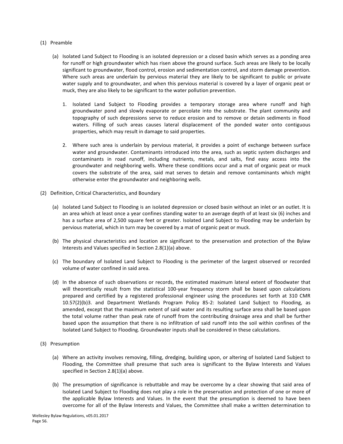#### <span id="page-57-0"></span>(1) Preamble

- (a) Isolated Land Subject to Flooding is an isolated depression or a closed basin which serves as a ponding area for runoff or high groundwater which has risen above the ground surface. Such areas are likely to be locally significant to groundwater, flood control, erosion and sedimentation control, and storm damage prevention. Where such areas are underlain by pervious material they are likely to be significant to public or private water supply and to groundwater, and when this pervious material is covered by a layer of organic peat or muck, they are also likely to be significant to the water pollution prevention.
	- 1. Isolated Land Subject to Flooding provides a temporary storage area where runoff and high groundwater pond and slowly evaporate or percolate into the substrate. The plant community and topography of such depressions serve to reduce erosion and to remove or detain sediments in flood waters. Filling of such areas causes lateral displacement of the ponded water onto contiguous properties, which may result in damage to said properties.
	- 2. Where such area is underlain by pervious material, it provides a point of exchange between surface water and groundwater. Contaminants introduced into the area, such as septic system discharges and contaminants in road runoff, including nutrients, metals, and salts, find easy access into the groundwater and neighboring wells. Where these conditions occur and a mat of organic peat or muck covers the substrate of the area, said mat serves to detain and remove contaminants which might otherwise enter the groundwater and neighboring wells.
- (2) Definition, Critical Characteristics, and Boundary
	- (a) Isolated Land Subject to Flooding is an isolated depression or closed basin without an inlet or an outlet. It is an area which at least once a year confines standing water to an average depth of at least six (6) inches and has a surface area of 2,500 square feet or greater. Isolated Land Subject to Flooding may be underlain by pervious material, which in turn may be covered by a mat of organic peat or muck.
	- (b) The physical characteristics and location are significant to the preservation and protection of the Bylaw Interests and Values specified in Section  $2.8(1)(a)$  above.
	- (c) The boundary of Isolated Land Subject to Flooding is the perimeter of the largest observed or recorded volume of water confined in said area.
	- (d) In the absence of such observations or records, the estimated maximum lateral extent of floodwater that will theoretically result from the statistical 100-year frequency storm shall be based upon calculations prepared and certified by a registered professional engineer using the procedures set forth at 310 CMR 10.57(2)(b)3. and Department Wetlands Program Policy 85-2: Isolated Land Subject to Flooding, as amended, except that the maximum extent of said water and its resulting surface area shall be based upon the total volume rather than peak rate of runoff from the contributing drainage area and shall be further based upon the assumption that there is no infiltration of said runoff into the soil within confines of the Isolated Land Subject to Flooding. Groundwater inputs shall be considered in these calculations.
- (3) Presumption
	- (a) Where an activity involves removing, filling, dredging, building upon, or altering of Isolated Land Subject to Flooding, the Committee shall presume that such area is significant to the Bylaw Interests and Values specified in Section  $2.8(1)(a)$  above.
	- (b) The presumption of significance is rebuttable and may be overcome by a clear showing that said area of Isolated Land Subject to Flooding does not play a role in the preservation and protection of one or more of the applicable Bylaw Interests and Values. In the event that the presumption is deemed to have been overcome for all of the Bylaw Interests and Values, the Committee shall make a written determination to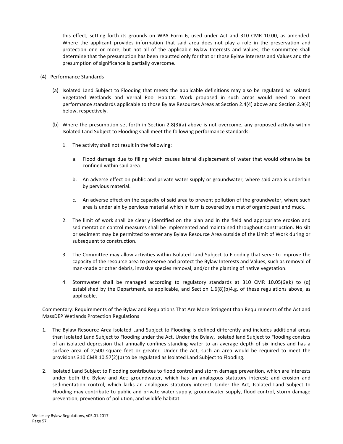this effect, setting forth its grounds on WPA Form 6, used under Act and 310 CMR 10.00, as amended. Where the applicant provides information that said area does not play a role in the preservation and protection one or more, but not all of the applicable Bylaw Interests and Values, the Committee shall determine that the presumption has been rebutted only for that or those Bylaw Interests and Values and the presumption of significance is partially overcome.

- (4) Performance Standards
	- (a) Isolated Land Subject to Flooding that meets the applicable definitions may also be regulated as Isolated Vegetated Wetlands and Vernal Pool Habitat. Work proposed in such areas would need to meet performance standards applicable to those Bylaw Resources Areas at Section 2.4(4) above and Section 2.9(4) below, respectively.
	- (b) Where the presumption set forth in Section 2.8(3)(a) above is not overcome, any proposed activity within Isolated Land Subject to Flooding shall meet the following performance standards:
		- 1. The activity shall not result in the following:
			- a. Flood damage due to filling which causes lateral displacement of water that would otherwise be confined within said area.
			- b. An adverse effect on public and private water supply or groundwater, where said area is underlain by pervious material.
			- c. An adverse effect on the capacity of said area to prevent pollution of the groundwater, where such area is underlain by pervious material which in turn is covered by a mat of organic peat and muck.
		- 2. The limit of work shall be clearly identified on the plan and in the field and appropriate erosion and sedimentation control measures shall be implemented and maintained throughout construction. No silt or sediment may be permitted to enter any Bylaw Resource Area outside of the Limit of Work during or subsequent to construction.
		- 3. The Committee may allow activities within Isolated Land Subject to Flooding that serve to improve the capacity of the resource area to preserve and protect the Bylaw Interests and Values, such as removal of man-made or other debris, invasive species removal, and/or the planting of native vegetation.
		- 4. Stormwater shall be managed according to regulatory standards at 310 CMR 10.05(6)(k) to (q) established by the Department, as applicable, and Section  $1.6(8)(b)4.g.$  of these regulations above, as applicable.

Commentary: Requirements of the Bylaw and Regulations That Are More Stringent than Requirements of the Act and MassDEP Wetlands Protection Regulations

- 1. The Bylaw Resource Area Isolated Land Subject to Flooding is defined differently and includes additional areas than Isolated Land Subject to Flooding under the Act. Under the Bylaw, Isolated land Subject to Flooding consists of an isolated depression that annually confines standing water to an average depth of six inches and has a surface area of 2,500 square feet or greater. Under the Act, such an area would be required to meet the provisions 310 CMR 10.57(2)(b) to be regulated as Isolated Land Subject to Flooding.
- 2. Isolated Land Subject to Flooding contributes to flood control and storm damage prevention, which are interests under both the Bylaw and Act; groundwater, which has an analogous statutory interest; and erosion and sedimentation control, which lacks an analogous statutory interest. Under the Act, Isolated Land Subject to Flooding may contribute to public and private water supply, groundwater supply, flood control, storm damage prevention, prevention of pollution, and wildlife habitat.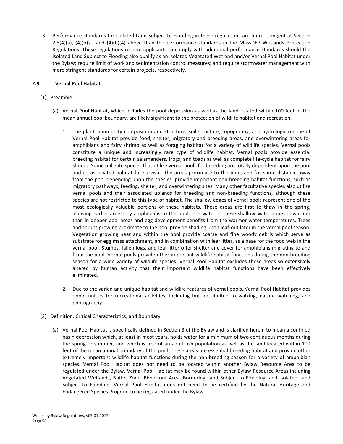<span id="page-59-0"></span>3. Performance standards for Isolated Land Subject to Flooding in these regulations are more stringent at Section  $2.8(4)(a)$ ,  $(4)(b)2$ ., and  $(4)(b)(4)$  above than the performance standards in the MassDEP Wetlands Protection Regulations. These regulations require applicants to comply with additional performance standards should the Isolated Land Subject to Flooding also qualify as an Isolated Vegetated Wetland and/or Vernal Pool Habitat under the Bylaw; require limit of work and sedimentation control measures; and require stormwater management with more stringent standards for certain projects, respectively.

# **2.9 Vernal Pool Habitat**

- (1) Preamble
	- (a) Vernal Pool Habitat, which includes the pool depression as well as the land located within 100 feet of the mean annual pool boundary, are likely significant to the protection of wildlife habitat and recreation.
		- 1. The plant community composition and structure, soil structure, topography, and hydrologic regime of Vernal Pool Habitat provide food, shelter, migratory and breeding areas, and overwintering areas for amphibians and fairy shrimp as well as foraging habitat for a variety of wildlife species. Vernal pools constitute a unique and increasingly rare type of wildlife habitat. Vernal pools provide essential breeding habitat for certain salamanders, frogs, and toads as well as complete life-cycle habitat for fairy shrimp. Some obligate species that utilize vernal pools for breeding are totally dependent upon the pool and its associated habitat for survival. The areas proximate to the pool, and for some distance away from the pool depending upon the species, provide important non-breeding habitat functions, such as migratory pathways, feeding, shelter, and overwintering sites. Many other facultative species also utilize vernal pools and their associated uplands for breeding and non-breeding functions, although these species are not restricted to this type of habitat. The shallow edges of vernal pools represent one of the most ecologically valuable portions of these habitats. These areas are first to thaw in the spring, allowing earlier access by amphibians to the pool. The water in these shallow water zones is warmer than in deeper pool areas and egg development benefits from the warmer water temperatures. Trees and shrubs growing proximate to the pool provide shading upon leaf-out later in the vernal pool season. Vegetation growing near and within the pool provide coarse and fine woody debris which serve as substrate for egg mass attachment, and in combination with leaf litter, as a base for the food web in the vernal pool. Stumps, fallen logs, and leaf litter offer shelter and cover for amphibians migrating to and from the pool. Vernal pools provide other important wildlife habitat functions during the non-breeding season for a wide variety of wildlife species. Vernal Pool Habitat excludes those areas so extensively altered by human activity that their important wildlife habitat functions have been effectively eliminated.
		- 2. Due to the varied and unique habitat and wildlife features of vernal pools, Vernal Pool Habitat provides opportunities for recreational activities, including but not limited to walking, nature watching, and photography.
- (2) Definition, Critical Characteristics, and Boundary
	- (a) Vernal Pool Habitat is specifically defined in Section 3 of the Bylaw and is clarified herein to mean a confined basin depression which, at least in most years, holds water for a minimum of two continuous months during the spring or summer, and which is free of an adult fish population as well as the land located within 100 feet of the mean annual boundary of the pool. These areas are essential breeding habitat and provide other extremely important wildlife habitat functions during the non-breeding season for a variety of amphibian species. Vernal Pool Habitat does not need to be located within another Bylaw Resource Area to be regulated under the Bylaw. Vernal Pool Habitat may be found within other Bylaw Resource Areas including Vegetated Wetlands, Buffer Zone, Riverfront Area, Bordering Land Subject to Flooding, and Isolated Land Subject to Flooding. Vernal Pool Habitat does not need to be certified by the Natural Heritage and Endangered Species Program to be regulated under the Bylaw.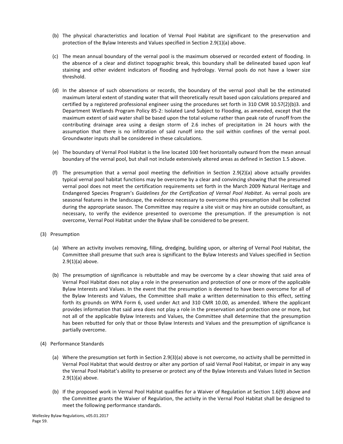- (b) The physical characteristics and location of Vernal Pool Habitat are significant to the preservation and protection of the Bylaw Interests and Values specified in Section 2.9(1)(a) above.
- (c) The mean annual boundary of the vernal pool is the maximum observed or recorded extent of flooding. In the absence of a clear and distinct topographic break, this boundary shall be delineated based upon leaf staining and other evident indicators of flooding and hydrology. Vernal pools do not have a lower size threshold.
- (d) In the absence of such observations or records, the boundary of the vernal pool shall be the estimated maximum lateral extent of standing water that will theoretically result based upon calculations prepared and certified by a registered professional engineer using the procedures set forth in 310 CMR 10.57(2)(b)3. and Department Wetlands Program Policy 85-2: Isolated Land Subject to Flooding, as amended, except that the maximum extent of said water shall be based upon the total volume rather than peak rate of runoff from the contributing drainage area using a design storm of 2.6 inches of precipitation in 24 hours with the assumption that there is no infiltration of said runoff into the soil within confines of the vernal pool. Groundwater inputs shall be considered in these calculations.
- (e) The boundary of Vernal Pool Habitat is the line located 100 feet horizontally outward from the mean annual boundary of the vernal pool, but shall not include extensively altered areas as defined in Section 1.5 above.
- (f) The presumption that a vernal pool meeting the definition in Section 2.9(2)(a) above actually provides typical vernal pool habitat functions may be overcome by a clear and convincing showing that the presumed vernal pool does not meet the certification requirements set forth in the March 2009 Natural Heritage and Endangered Species Program's Guidelines for the Certification of Vernal Pool Habitat. As vernal pools are seasonal features in the landscape, the evidence necessary to overcome this presumption shall be collected during the appropriate season. The Committee may require a site visit or may hire an outside consultant, as necessary, to verify the evidence presented to overcome the presumption. If the presumption is not overcome, Vernal Pool Habitat under the Bylaw shall be considered to be present.
- (3) Presumption
	- (a) Where an activity involves removing, filling, dredging, building upon, or altering of Vernal Pool Habitat, the Committee shall presume that such area is significant to the Bylaw Interests and Values specified in Section  $2.9(1)(a)$  above.
	- (b) The presumption of significance is rebuttable and may be overcome by a clear showing that said area of Vernal Pool Habitat does not play a role in the preservation and protection of one or more of the applicable Bylaw Interests and Values. In the event that the presumption is deemed to have been overcome for all of the Bylaw Interests and Values, the Committee shall make a written determination to this effect, setting forth its grounds on WPA Form 6, used under Act and 310 CMR 10.00, as amended. Where the applicant provides information that said area does not play a role in the preservation and protection one or more, but not all of the applicable Bylaw Interests and Values, the Committee shall determine that the presumption has been rebutted for only that or those Bylaw Interests and Values and the presumption of significance is partially overcome.
- (4) Performance Standards
	- (a) Where the presumption set forth in Section 2.9(3)(a) above is not overcome, no activity shall be permitted in Vernal Pool Habitat that would destroy or alter any portion of said Vernal Pool Habitat, or impair in any way the Vernal Pool Habitat's ability to preserve or protect any of the Bylaw Interests and Values listed in Section  $2.9(1)(a)$  above.
	- (b) If the proposed work in Vernal Pool Habitat qualifies for a Waiver of Regulation at Section 1.6(9) above and the Committee grants the Waiver of Regulation, the activity in the Vernal Pool Habitat shall be designed to meet the following performance standards.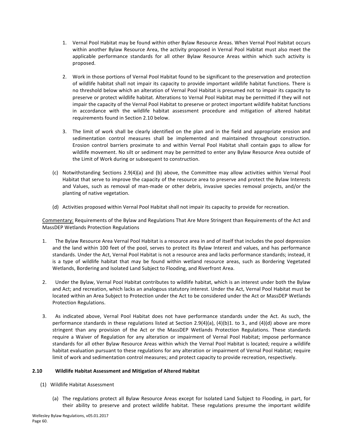- 1. Vernal Pool Habitat may be found within other Bylaw Resource Areas. When Vernal Pool Habitat occurs within another Bylaw Resource Area, the activity proposed in Vernal Pool Habitat must also meet the applicable performance standards for all other Bylaw Resource Areas within which such activity is proposed.
- 2. Work in those portions of Vernal Pool Habitat found to be significant to the preservation and protection of wildlife habitat shall not impair its capacity to provide important wildlife habitat functions. There is no threshold below which an alteration of Vernal Pool Habitat is presumed not to impair its capacity to preserve or protect wildlife habitat. Alterations to Vernal Pool Habitat may be permitted if they will not impair the capacity of the Vernal Pool Habitat to preserve or protect important wildlife habitat functions in accordance with the wildlife habitat assessment procedure and mitigation of altered habitat requirements found in Section 2.10 below.
- 3. The limit of work shall be clearly identified on the plan and in the field and appropriate erosion and sedimentation control measures shall be implemented and maintained throughout construction. Erosion control barriers proximate to and within Vernal Pool Habitat shall contain gaps to allow for wildlife movement. No silt or sediment may be permitted to enter any Bylaw Resource Area outside of the Limit of Work during or subsequent to construction.
- (c) Notwithstanding Sections 2.9(4)(a) and (b) above, the Committee may allow activities within Vernal Pool Habitat that serve to improve the capacity of the resource area to preserve and protect the Bylaw Interests and Values, such as removal of man-made or other debris, invasive species removal projects, and/or the planting of native vegetation.
- (d) Activities proposed within Vernal Pool Habitat shall not impair its capacity to provide for recreation.

Commentary: Requirements of the Bylaw and Regulations That Are More Stringent than Requirements of the Act and MassDEP Wetlands Protection Regulations

- 1. The Bylaw Resource Area Vernal Pool Habitat is a resource area in and of itself that includes the pool depression and the land within 100 feet of the pool, serves to protect its Bylaw Interest and values, and has performance standards. Under the Act, Vernal Pool Habitat is not a resource area and lacks performance standards; instead, it is a type of wildlife habitat that may be found within wetland resource areas, such as Bordering Vegetated Wetlands, Bordering and Isolated Land Subject to Flooding, and Riverfront Area.
- 2. Under the Bylaw, Vernal Pool Habitat contributes to wildlife habitat, which is an interest under both the Bylaw and Act; and recreation, which lacks an analogous statutory interest. Under the Act, Vernal Pool Habitat must be located within an Area Subject to Protection under the Act to be considered under the Act or MassDEP Wetlands Protection Regulations.
- 3. As indicated above, Vernal Pool Habitat does not have performance standards under the Act. As such, the performance standards in these regulations listed at Section 2.9(4)(a), (4)(b)1. to 3., and (4)(d) above are more stringent than any provision of the Act or the MassDEP Wetlands Protection Regulations. These standards require a Waiver of Regulation for any alteration or impairment of Vernal Pool Habitat; impose performance standards for all other Bylaw Resource Areas within which the Vernal Pool Habitat is located; require a wildlife habitat evaluation pursuant to these regulations for any alteration or impairment of Vernal Pool Habitat; require limit of work and sedimentation control measures; and protect capacity to provide recreation, respectively.

# **2.10 Wildlife Habitat Assessment and Mitigation of Altered Habitat**

- (1) Wildlife Habitat Assessment
	- (a) The regulations protect all Bylaw Resource Areas except for Isolated Land Subject to Flooding, in part, for their ability to preserve and protect wildlife habitat. These regulations presume the important wildlife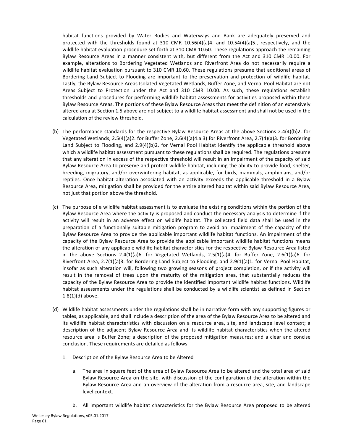<span id="page-62-0"></span>habitat functions provided by Water Bodies and Waterways and Bank are adequately preserved and protected with the thresholds found at 310 CMR  $10.56(4)(a)4$ . and  $10.54(4)(a)5$ ., respectively, and the wildlife habitat evaluation procedure set forth at 310 CMR 10.60. These regulations approach the remaining Bylaw Resource Areas in a manner consistent with, but different from the Act and 310 CMR 10.00. For example, alterations to Bordering Vegetated Wetlands and Riverfront Area do not necessarily require a wildlife habitat evaluation pursuant to 310 CMR 10.60. These regulations presume that additional areas of Bordering Land Subject to Flooding are important to the preservation and protection of wildlife habitat. Lastly, the Bylaw Resource Areas Isolated Vegetated Wetlands, Buffer Zone, and Vernal Pool Habitat are not Areas Subject to Protection under the Act and 310 CMR 10.00. As such, these regulations establish thresholds and procedures for performing wildlife habitat assessments for activities proposed within these Bylaw Resource Areas. The portions of these Bylaw Resource Areas that meet the definition of an extensively altered area at Section 1.5 above are not subject to a wildlife habitat assessment and shall not be used in the calculation of the review threshold.

- (b) The performance standards for the respective Bylaw Resource Areas at the above Sections  $2.4(4)(b)2$ . for Vegetated Wetlands, 2.5(4)(a)2. for Buffer Zone, 2.6(4)(a)4.a.3) for Riverfront Area, 2.7(4)(a)3. for Bordering Land Subject to Flooding, and  $2.9(4)(b)2$ . for Vernal Pool Habitat identify the applicable threshold above which a wildlife habitat assessment pursuant to these regulations shall be required. The regulations presume that any alteration in excess of the respective threshold will result in an impairment of the capacity of said Bylaw Resource Area to preserve and protect wildlife habitat, including the ability to provide food, shelter, breeding, migratory, and/or overwintering habitat, as applicable, for birds, mammals, amphibians, and/or reptiles. Once habitat alteration associated with an activity exceeds the applicable threshold in a Bylaw Resource Area, mitigation shall be provided for the entire altered habitat within said Bylaw Resource Area, not just that portion above the threshold.
- (c) The purpose of a wildlife habitat assessment is to evaluate the existing conditions within the portion of the Bylaw Resource Area where the activity is proposed and conduct the necessary analysis to determine if the activity will result in an adverse effect on wildlife habitat. The collected field data shall be used in the preparation of a functionally suitable mitigation program to avoid an impairment of the capacity of the Bylaw Resource Area to provide the applicable important wildlife habitat functions. An impairment of the capacity of the Bylaw Resource Area to provide the applicable important wildlife habitat functions means the alteration of any applicable wildlife habitat characteristics for the respective Bylaw Resource Area listed in the above Sections  $2.4(1)(a)6$ . for Vegetated Wetlands,  $2.5(1)(a)4$ . for Buffer Zone,  $2.6(1)(a)6$ . for Riverfront Area, 2.7(1)(a)3. for Bordering Land Subject to Flooding, and 2.9(1)(a)1. for Vernal Pool Habitat, insofar as such alteration will, following two growing seasons of project completion, or if the activity will result in the removal of trees upon the maturity of the mitigation area, that substantially reduces the capacity of the Bylaw Resource Area to provide the identified important wildlife habitat functions. Wildlife habitat assessments under the regulations shall be conducted by a wildlife scientist as defined in Section  $1.8(1)(d)$  above.
- (d) Wildlife habitat assessments under the regulations shall be in narrative form with any supporting figures or tables, as applicable, and shall include a description of the area of the Bylaw Resource Area to be altered and its wildlife habitat characteristics with discussion on a resource area, site, and landscape level context; a description of the adjacent Bylaw Resource Area and its wildlife habitat characteristics when the altered resource area is Buffer Zone; a description of the proposed mitigation measures; and a clear and concise conclusion. These requirements are detailed as follows.
	- 1. Description of the Bylaw Resource Area to be Altered
		- a. The area in square feet of the area of Bylaw Resource Area to be altered and the total area of said Bylaw Resource Area on the site, with discussion of the configuration of the alteration within the Bylaw Resource Area and an overview of the alteration from a resource area, site, and landscape level context.
		- b. All important wildlife habitat characteristics for the Bylaw Resource Area proposed to be altered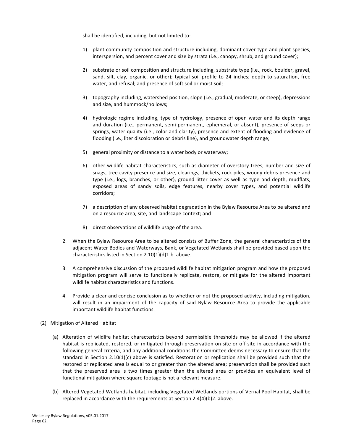shall be identified, including, but not limited to:

- 1) plant community composition and structure including, dominant cover type and plant species, interspersion, and percent cover and size by strata (i.e., canopy, shrub, and ground cover);
- 2) substrate or soil composition and structure including, substrate type (i.e., rock, boulder, gravel, sand, silt, clay, organic, or other); typical soil profile to 24 inches; depth to saturation, free water, and refusal; and presence of soft soil or moist soil;
- 3) topography including, watershed position, slope (i.e., gradual, moderate, or steep), depressions and size, and hummock/hollows;
- 4) hydrologic regime including, type of hydrology, presence of open water and its depth range and duration (i.e., permanent, semi-permanent, ephemeral, or absent), presence of seeps or springs, water quality (i.e., color and clarity), presence and extent of flooding and evidence of flooding (i.e., liter discoloration or debris line), and groundwater depth range;
- 5) general proximity or distance to a water body or waterway;
- 6) other wildlife habitat characteristics, such as diameter of overstory trees, number and size of snags, tree cavity presence and size, clearings, thickets, rock piles, woody debris presence and type (i.e., logs, branches, or other), ground litter cover as well as type and depth, mudflats, exposed areas of sandy soils, edge features, nearby cover types, and potential wildlife corridors;
- 7) a description of any observed habitat degradation in the Bylaw Resource Area to be altered and on a resource area, site, and landscape context; and
- 8) direct observations of wildlife usage of the area.
- 2. When the Bylaw Resource Area to be altered consists of Buffer Zone, the general characteristics of the adjacent Water Bodies and Waterways, Bank, or Vegetated Wetlands shall be provided based upon the characteristics listed in Section  $2.10(1)(d)1.b.$  above.
- 3. A comprehensive discussion of the proposed wildlife habitat mitigation program and how the proposed mitigation program will serve to functionally replicate, restore, or mitigate for the altered important wildlife habitat characteristics and functions.
- 4. Provide a clear and concise conclusion as to whether or not the proposed activity, including mitigation, will result in an impairment of the capacity of said Bylaw Resource Area to provide the applicable important wildlife habitat functions.
- (2) Mitigation of Altered Habitat
	- (a) Alteration of wildlife habitat characteristics beyond permissible thresholds may be allowed if the altered habitat is replicated, restored, or mitigated through preservation on-site or off-site in accordance with the following general criteria, and any additional conditions the Committee deems necessary to ensure that the standard in Section  $2.10(1)(c)$  above is satisfied. Restoration or replication shall be provided such that the restored or replicated area is equal to or greater than the altered area; preservation shall be provided such that the preserved area is two times greater than the altered area or provides an equivalent level of functional mitigation where square footage is not a relevant measure.
	- (b) Altered Vegetated Wetlands habitat, including Vegetated Wetlands portions of Vernal Pool Habitat, shall be replaced in accordance with the requirements at Section 2.4(4)(b)2. above.